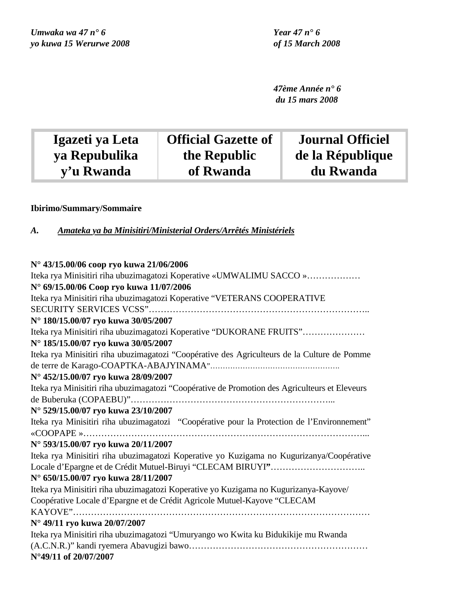*47ème Année n° 6 du 15 mars 2008*

| Igazeti ya Leta | <b>Official Gazette of</b> | <b>Journal Officiel</b> |
|-----------------|----------------------------|-------------------------|
| ya Repubulika   | the Republic               | de la République        |
| y'u Rwanda      | of Rwanda                  | du Rwanda               |
|                 |                            |                         |

## **Ibirimo/Summary/Sommaire**

*A. Amateka ya ba Minisitiri/Ministerial Orders/Arrêtés Ministériels*

## **N° 43/15.00/06 coop ryo kuwa 21/06/2006** Iteka rya Minisitiri riha ubuzimagatozi Koperative «UMWALIMU SACCO »……………… **N° 69/15.00/06 Coop ryo kuwa 11/07/2006** Iteka rya Minisitiri riha ubuzimagatozi Koperative "VETERANS COOPERATIVE SECURITY SERVICES VCSS"……………………………………………………………….. **N° 180/15.00/07 ryo kuwa 30/05/2007** Iteka rya Minisitiri riha ubuzimagatozi Koperative "DUKORANE FRUITS"………………… **N° 185/15.00/07 ryo kuwa 30/05/2007** Iteka rya Minisitiri riha ubuzimagatozi "Coopérative des Agriculteurs de la Culture de Pomme de terre de Karago-COAPTKA-ABAJYINAMA"……………………………………………. **N° 452/15.00/07 ryo kuwa 28/09/2007** Iteka rya Minisitiri riha ubuzimagatozi "Coopérative de Promotion des Agriculteurs et Eleveurs de Buberuka (COPAEBU)"…………………………………………………………... **N° 529/15.00/07 ryo kuwa 23/10/2007** Iteka rya Minisitiri riha ubuzimagatozi "Coopérative pour la Protection de l'Environnement" «COOPAPE »…………………………………………………………………………………... **N° 593/15.00/07 ryo kuwa 20/11/2007** Iteka rya Minisitiri riha ubuzimagatozi Koperative yo Kuzigama no Kugurizanya/Coopérative Locale d'Epargne et de Crédit Mutuel-Biruyi "CLECAM BIRUYI**"**………………………….. **N° 650/15.00/07 ryo kuwa 28/11/2007** Iteka rya Minisitiri riha ubuzimagatozi Koperative yo Kuzigama no Kugurizanya-Kayove/ Coopérative Locale d'Epargne et de Crédit Agricole Mutuel-Kayove "CLECAM KAYOVE"……………………………………………………………………………………… **N° 49/11 ryo kuwa 20/07/2007** Iteka rya Minisitiri riha ubuzimagatozi "Umuryango wo Kwita ku Bidukikije mu Rwanda (A.C.N.R.)" kandi ryemera Abavugizi bawo…………………………………………………… **N°49/11 of 20/07/2007**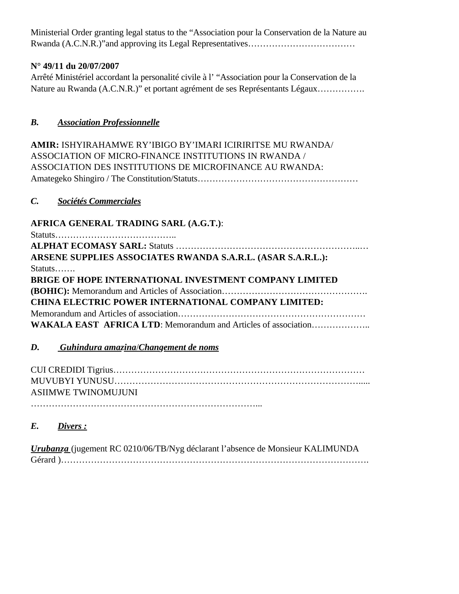Ministerial Order granting legal status to the "Association pour la Conservation de la Nature au Rwanda (A.C.N.R.)"and approving its Legal Representatives………………………………

## **N° 49/11 du 20/07/2007**

Arrêté Ministériel accordant la personalité civile à l' "Association pour la Conservation de la Nature au Rwanda (A.C.N.R.)" et portant agrément de ses Représentants Légaux…………….

## *B. Association Professionnelle*

**AMIR:** ISHYIRAHAMWE RY'IBIGO BY'IMARI ICIRIRITSE MU RWANDA/ ASSOCIATION OF MICRO-FINANCE INSTITUTIONS IN RWANDA / ASSOCIATION DES INSTITUTIONS DE MICROFINANCE AU RWANDA: Amategeko Shingiro / The Constitution/Statuts………………………………………………

## *C. Sociétés Commerciales*

## **AFRICA GENERAL TRADING SARL (A.G.T.)**:

Statuts…………………………………..

| ARSENE SUPPLIES ASSOCIATES RWANDA S.A.R.L. (ASAR S.A.R.L.):   |
|---------------------------------------------------------------|
| $Status \dots \dots$                                          |
| <b>BRIGE OF HOPE INTERNATIONAL INVESTMENT COMPANY LIMITED</b> |
|                                                               |
| <b>CHINA ELECTRIC POWER INTERNATIONAL COMPANY LIMITED:</b>    |
|                                                               |
|                                                               |
|                                                               |

## *D. Guhindura amazina*/*Changement de noms*

| <b>ASHMWE TWINOMUJUNI</b> |
|---------------------------|
|                           |

## *E. Divers :*

*Urubanza* (jugement RC 0210/06/TB/Nyg déclarant l'absence de Monsieur KALIMUNDA Gérard )………………………………………………………………………………………….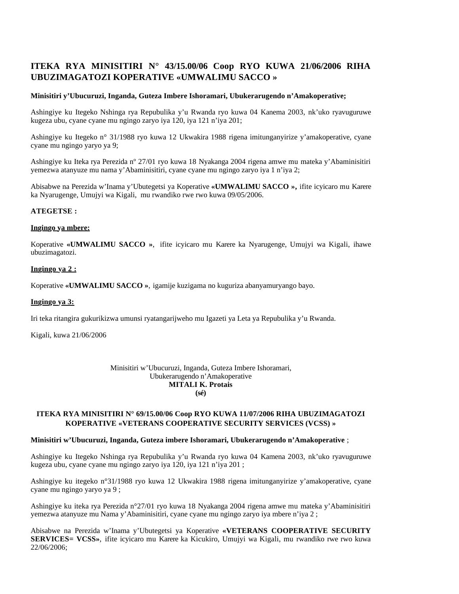## **ITEKA RYA MINISITIRI N° 43/15.00/06 Coop RYO KUWA 21/06/2006 RIHA UBUZIMAGATOZI KOPERATIVE «UMWALIMU SACCO »**

### **Minisitiri y'Ubucuruzi, Inganda, Guteza Imbere Ishoramari, Ubukerarugendo n'Amakoperative;**

Ashingiye ku Itegeko Nshinga rya Repubulika y'u Rwanda ryo kuwa 04 Kanema 2003, nk'uko ryavuguruwe kugeza ubu, cyane cyane mu ngingo zaryo iya 120, iya 121 n'iya 201;

Ashingiye ku Itegeko n° 31/1988 ryo kuwa 12 Ukwakira 1988 rigena imitunganyirize y'amakoperative, cyane cyane mu ngingo yaryo ya 9;

Ashingiye ku Iteka rya Perezida nº 27/01 ryo kuwa 18 Nyakanga 2004 rigena amwe mu mateka y'Abaminisitiri yemezwa atanyuze mu nama y'Abaminisitiri, cyane cyane mu ngingo zaryo iya 1 n'iya 2;

Abisabwe na Perezida w'Inama y'Ubutegetsi ya Koperative **«UMWALIMU SACCO »,** ifite icyicaro mu Karere ka Nyarugenge, Umujyi wa Kigali, mu rwandiko rwe rwo kuwa 09/05/2006.

### **ATEGETSE :**

#### **Ingingo ya mbere:**

Koperative **«UMWALIMU SACCO »**, ifite icyicaro mu Karere ka Nyarugenge, Umujyi wa Kigali, ihawe ubuzimagatozi.

### **Ingingo ya 2 :**

Koperative **«UMWALIMU SACCO »**, igamije kuzigama no kuguriza abanyamuryango bayo.

#### **Ingingo ya 3:**

Iri teka ritangira gukurikizwa umunsi ryatangarijweho mu Igazeti ya Leta ya Repubulika y'u Rwanda.

Kigali, kuwa 21/06/2006

#### Minisitiri w'Ubucuruzi, Inganda, Guteza Imbere Ishoramari, Ubukerarugendo n'Amakoperative **MITALI K. Protais (sé)**

## **ITEKA RYA MINISITIRI N° 69/15.00/06 Coop RYO KUWA 11/07/2006 RIHA UBUZIMAGATOZI KOPERATIVE «VETERANS COOPERATIVE SECURITY SERVICES (VCSS) »**

#### **Minisitiri w'Ubucuruzi, Inganda, Guteza imbere Ishoramari, Ubukerarugendo n'Amakoperative** ;

Ashingiye ku Itegeko Nshinga rya Repubulika y'u Rwanda ryo kuwa 04 Kamena 2003, nk'uko ryavuguruwe kugeza ubu, cyane cyane mu ngingo zaryo iya 120, iya 121 n'iya 201 ;

Ashingiye ku itegeko n°31/1988 ryo kuwa 12 Ukwakira 1988 rigena imitunganyirize y'amakoperative, cyane cyane mu ngingo yaryo ya 9 ;

Ashingiye ku iteka rya Perezida n°27/01 ryo kuwa 18 Nyakanga 2004 rigena amwe mu mateka y'Abaminisitiri yemezwa atanyuze mu Nama y'Abaminisitiri, cyane cyane mu ngingo zaryo iya mbere n'iya 2 ;

Abisabwe na Perezida w'Inama y'Ubutegetsi ya Koperative **«VETERANS COOPERATIVE SECURITY SERVICES= VCSS»**, ifite icyicaro mu Karere ka Kicukiro, Umujyi wa Kigali, mu rwandiko rwe rwo kuwa 22/06/2006;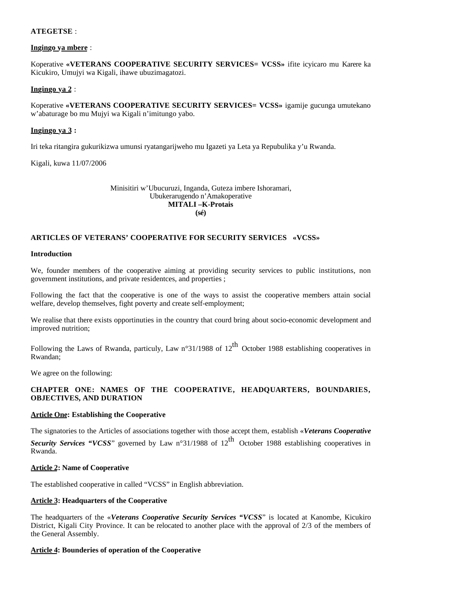## **ATEGETSE** :

## **Ingingo ya mbere** :

Koperative **«VETERANS COOPERATIVE SECURITY SERVICES= VCSS»** ifite icyicaro mu Karere ka Kicukiro, Umujyi wa Kigali, ihawe ubuzimagatozi.

## **Ingingo ya 2** :

Koperative **«VETERANS COOPERATIVE SECURITY SERVICES= VCSS»** igamije gucunga umutekano w'abaturage bo mu Mujyi wa Kigali n'imitungo yabo.

## **Ingingo ya 3 :**

Iri teka ritangira gukurikizwa umunsi ryatangarijweho mu Igazeti ya Leta ya Repubulika y'u Rwanda.

Kigali, kuwa 11/07/2006

Minisitiri w'Ubucuruzi, Inganda, Guteza imbere Ishoramari, Ubukerarugendo n'Amakoperative **MITALI –K-Protais (sé)**

## **ARTICLES OF VETERANS' COOPERATIVE FOR SECURITY SERVICES «VCSS»**

#### **Introduction**

We, founder members of the cooperative aiming at providing security services to public institutions, non government institutions, and private residentces, and properties ;

Following the fact that the cooperative is one of the ways to assist the cooperative members attain social welfare, develop themselves, fight poverty and create self-employment;

We realise that there exists opportinuties in the country that courd bring about socio-economic development and improved nutrition;

Following the Laws of Rwanda, particuly, Law n°31/1988 of 12<sup>th</sup> October 1988 establishing cooperatives in Rwandan;

We agree on the following:

## **CHAPTER ONE: NAMES OF THE COOPERATIVE, HEADQUARTERS, BOUNDARIES, OBJECTIVES, AND DURATION**

## **Article One: Establishing the Cooperative**

The signatories to the Articles of associations together with those accept them, establish «*Veterans Cooperative Security Services "VCSS*" governed by Law n°31/1988 of 12<sup>th</sup> October 1988 establishing cooperatives in Rwanda.

#### **Article 2: Name of Cooperative**

The established cooperative in called "VCSS" in English abbreviation.

#### **Article 3: Headquarters of the Cooperative**

The headquarters of the «*Veterans Cooperative Security Services "VCSS*" is located at Kanombe, Kicukiro District, Kigali City Province. It can be relocated to another place with the approval of 2/3 of the members of the General Assembly.

#### **Article 4: Bounderies of operation of the Cooperative**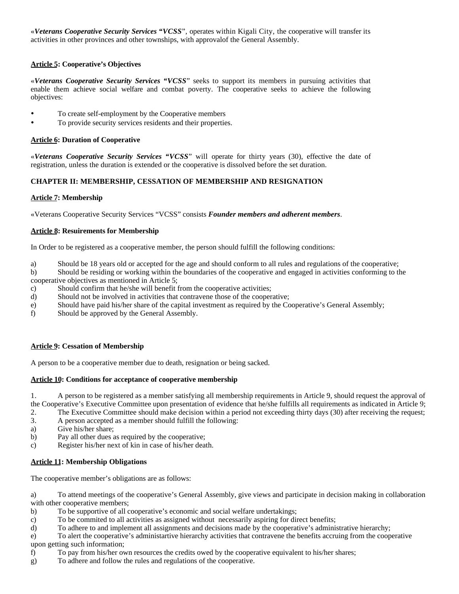«*Veterans Cooperative Security Services "VCSS*", operates within Kigali City, the cooperative will transfer its activities in other provinces and other townships, with approvalof the General Assembly.

## **Article 5: Cooperative's Objectives**

«*Veterans Cooperative Security Services "VCSS*" seeks to support its members in pursuing activities that enable them achieve social welfare and combat poverty. The cooperative seeks to achieve the following objectives:

- To create self-employment by the Cooperative members
- To provide security services residents and their properties.

## **Article 6: Duration of Cooperative**

«*Veterans Cooperative Security Services "VCSS*" will operate for thirty years (30), effective the date of registration, unless the duration is extended or the cooperative is dissolved before the set duration.

## **CHAPTER II: MEMBERSHIP, CESSATION OF MEMBERSHIP AND RESIGNATION**

### **Article 7: Membership**

«Veterans Cooperative Security Services "VCSS" consists *Founder members and adherent members*.

## **Article 8: Resuirements for Membership**

In Order to be registered as a cooperative member, the person should fulfill the following conditions:

a) Should be 18 years old or accepted for the age and should conform to all rules and regulations of the cooperative;

b) Should be residing or working within the boundaries of the cooperative and engaged in activities conforming to the cooperative objectives as mentioned in Article 5;

- c) Should confirm that he/she will benefit from the cooperative activities;
- d) Should not be involved in activities that contravene those of the cooperative;
- e) Should have paid his/her share of the capital investment as required by the Cooperative's General Assembly;
- f) Should be approved by the General Assembly.

## **Article 9: Cessation of Membership**

A person to be a cooperative member due to death, resignation or being sacked.

## **Article 10: Conditions for acceptance of cooperative membership**

1. A person to be registered as a member satisfying all membership requirements in Article 9, should request the approval of the Cooperative's Executive Committee upon presentation of evidence that he/she fulfills all requirements as indicated in Article 9;

- 2. The Executive Committee should make decision within a period not exceeding thirty days (30) after receiving the request;
- 3. A person accepted as a member should fulfill the following:
- a) Give his/her share;
- b) Pay all other dues as required by the cooperative;
- c) Register his/her next of kin in case of his/her death.

## **Article 11: Membership Obligations**

The cooperative member's obligations are as follows:

a) To attend meetings of the cooperative's General Assembly, give views and participate in decision making in collaboration with other cooperative members;

- b) To be supportive of all cooperative's economic and social welfare undertakings;
- c) To be commited to all activities as assigned without necessarily aspiring for direct benefits;
- d) To adhere to and implement all assignments and decisions made by the cooperative's administrative hierarchy;

e) To alert the cooperative's administartive hierarchy activities that contravene the benefits accruing from the cooperative upon getting such information;

- f) To pay from his/her own resources the credits owed by the cooperative equivalent to his/her shares;
- g) To adhere and follow the rules and regulations of the cooperative.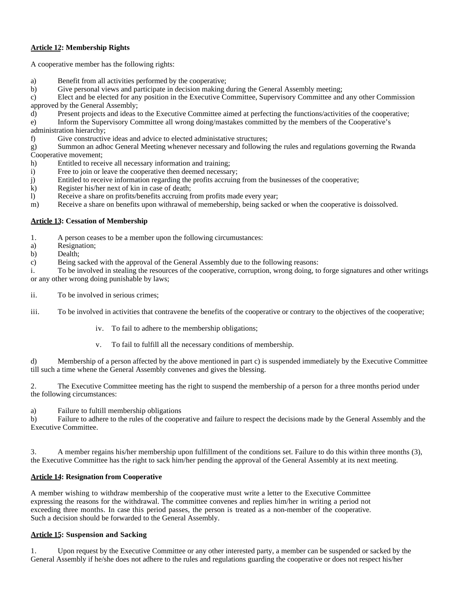## **Article 12: Membership Rights**

A cooperative member has the following rights:

- a) Benefit from all activities performed by the cooperative;
- b) Give personal views and participate in decision making during the General Assembly meeting;

c) Elect and be elected for any position in the Executive Committee, Supervisory Committee and any other Commission approved by the General Assembly;

- d) Present projects and ideas to the Executive Committee aimed at perfecting the functions/activities of the cooperative;
- e) Inform the Supervisory Committee all wrong doing/mastakes committed by the members of the Cooperative's administration hierarchy;

f) Give constructive ideas and advice to elected administative structures;

g) Summon an adhoc General Meeting whenever necessary and following the rules and regulations governing the Rwanda Cooperative movement;

- h) Entitled to receive all necessary information and training;
- i) Free to join or leave the cooperative then deemed necessary;
- j) Entitled to receive information regarding the profits accruing from the businesses of the cooperative;
- k) Register his/her next of kin in case of death;
- l) Receive a share on profits/benefits accruing from profits made every year;
- m) Receive a share on benefits upon withrawal of memebership, being sacked or when the cooperative is doissolved.

## **Article 13: Cessation of Membership**

- 1. A person ceases to be a member upon the following circumustances:
- a) Resignation;
- b) Dealth;
- c) Being sacked with the approval of the General Assembly due to the following reasons:

i. To be involved in stealing the resources of the cooperative, corruption, wrong doing, to forge signatures and other writings or any other wrong doing punishable by laws;

- ii. To be involved in serious crimes;
- iii. To be involved in activities that contravene the benefits of the cooperative or contrary to the objectives of the cooperative;
	- iv. To fail to adhere to the membership obligations;
	- v. To fail to fulfill all the necessary conditions of membership.

d) Membership of a person affected by the above mentioned in part c) is suspended immediately by the Executive Committee till such a time whene the General Assembly convenes and gives the blessing.

2. The Executive Committee meeting has the right to suspend the membership of a person for a three months period under the following circumstances:

a) Failure to fultill membership obligations

b) Failure to adhere to the rules of the cooperative and failure to respect the decisions made by the General Assembly and the Executive Committee.

3. A member regains his/her membership upon fulfillment of the conditions set. Failure to do this within three months (3), the Executive Committee has the right to sack him/her pending the approval of the General Assembly at its next meeting.

## **Article 14: Resignation from Cooperative**

A member wishing to withdraw membership of the cooperative must write a letter to the Executive Committee expressing the reasons for the withdrawal. The committee convenes and replies him/her in writing a period not exceeding three months. In case this period passes, the person is treated as a non-member of the cooperative. Such a decision should be forwarded to the General Assembly.

## **Article 15: Suspension and Sacking**

1. Upon request by the Executive Committee or any other interested party, a member can be suspended or sacked by the General Assembly if he/she does not adhere to the rules and regulations guarding the cooperative or does not respect his/her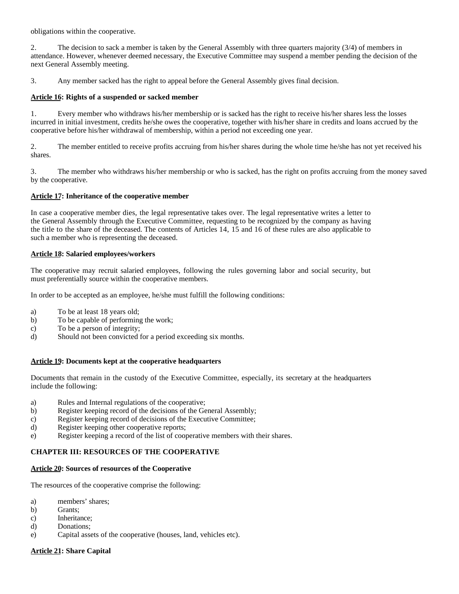obligations within the cooperative.

2. The decision to sack a member is taken by the General Assembly with three quarters majority (3/4) of members in attendance. However, whenever deemed necessary, the Executive Committee may suspend a member pending the decision of the next General Assembly meeting.

3. Any member sacked has the right to appeal before the General Assembly gives final decision.

## **Article 16: Rights of a suspended or sacked member**

1. Every member who withdraws his/her membership or is sacked has the right to receive his/her shares less the losses incurred in initial investment, credits he/she owes the cooperative, together with his/her share in credits and loans accrued by the cooperative before his/her withdrawal of membership, within a period not exceeding one year.

2. The member entitled to receive profits accruing from his/her shares during the whole time he/she has not yet received his shares.

3. The member who withdraws his/her membership or who is sacked, has the right on profits accruing from the money saved by the cooperative.

## **Article 17: Inheritance of the cooperative member**

In case a cooperative member dies, the legal representative takes over. The legal representative writes a letter to the General Assembly through the Executive Committee, requesting to be recognized by the company as having the title to the share of the deceased. The contents of Articles 14, 15 and 16 of these rules are also applicable to such a member who is representing the deceased.

## **Article 18: Salaried employees/workers**

The cooperative may recruit salaried employees, following the rules governing labor and social security, but must preferentially source within the cooperative members.

In order to be accepted as an employee, he/she must fulfill the following conditions:

- a) To be at least 18 years old;
- b) To be capable of performing the work;
- c) To be a person of integrity;
- d) Should not been convicted for a period exceeding six months.

## **Article 19: Documents kept at the cooperative headquarters**

Documents that remain in the custody of the Executive Committee, especially, its secretary at the headquarters include the following:

- a) Rules and Internal regulations of the cooperative;
- b) Register keeping record of the decisions of the General Assembly;
- c) Register keeping record of decisions of the Executive Committee;
- d) Register keeping other cooperative reports;
- e) Register keeping a record of the list of cooperative members with their shares.

## **CHAPTER III: RESOURCES OF THE COOPERATIVE**

## **Article 20: Sources of resources of the Cooperative**

The resources of the cooperative comprise the following:

- a) members' shares;
- b) Grants;
- c) Inheritance;
- d) Donations;
- e) Capital assets of the cooperative (houses, land, vehicles etc).

## **Article 21: Share Capital**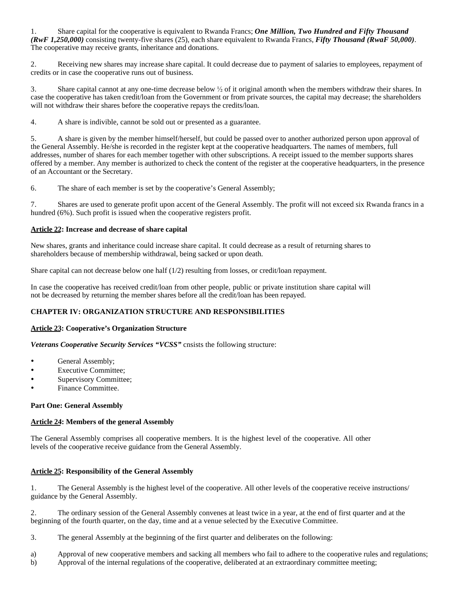1. Share capital for the cooperative is equivalent to Rwanda Francs; *One Million, Two Hundred and Fifty Thousand (RwF 1,250,000)* consisting twenty-five shares (25), each share equivalent to Rwanda Francs, *Fifty Thousand (RwaF 50,000)*. The cooperative may receive grants, inheritance and donations.

2. Receiving new shares may increase share capital. It could decrease due to payment of salaries to employees, repayment of credits or in case the cooperative runs out of business.

3. Share capital cannot at any one-time decrease below  $\frac{1}{2}$  of it original amonth when the members withdraw their shares. In case the cooperative has taken credit/loan from the Government or from private sources, the capital may decrease; the shareholders will not withdraw their shares before the cooperative repays the credits/loan.

4. A share is indivible, cannot be sold out or presented as a guarantee.

5. A share is given by the member himself/herself, but could be passed over to another authorized person upon approval of the General Assembly. He/she is recorded in the register kept at the cooperative headquarters. The names of members, full addresses, number of shares for each member together with other subscriptions. A receipt issued to the member supports shares offered by a member. Any member is authorized to check the content of the register at the cooperative headquarters, in the presence of an Accountant or the Secretary.

6. The share of each member is set by the cooperative's General Assembly;

7. Shares are used to generate profit upon accent of the General Assembly. The profit will not exceed six Rwanda francs in a hundred (6%). Such profit is issued when the cooperative registers profit.

## **Article 22: Increase and decrease of share capital**

New shares, grants and inheritance could increase share capital. It could decrease as a result of returning shares to shareholders because of membership withdrawal, being sacked or upon death.

Share capital can not decrease below one half (1/2) resulting from losses, or credit/loan repayment.

In case the cooperative has received credit/loan from other people, public or private institution share capital will not be decreased by returning the member shares before all the credit/loan has been repayed.

## **CHAPTER IV: ORGANIZATION STRUCTURE AND RESPONSIBILITIES**

## **Article 23: Cooperative's Organization Structure**

*Veterans Cooperative Security Services "VCSS"* cnsists the following structure:

- General Assembly;
- Executive Committee;
- Supervisory Committee;
- Finance Committee.

## **Part One: General Assembly**

## **Article 24: Members of the general Assembly**

The General Assembly comprises all cooperative members. It is the highest level of the cooperative. All other levels of the cooperative receive guidance from the General Assembly.

## **Article 25: Responsibility of the General Assembly**

1. The General Assembly is the highest level of the cooperative. All other levels of the cooperative receive instructions/ guidance by the General Assembly.

2. The ordinary session of the General Assembly convenes at least twice in a year, at the end of first quarter and at the beginning of the fourth quarter, on the day, time and at a venue selected by the Executive Committee.

3. The general Assembly at the beginning of the first quarter and deliberates on the following:

a) Approval of new cooperative members and sacking all members who fail to adhere to the cooperative rules and regulations;

b) Approval of the internal regulations of the cooperative, deliberated at an extraordinary committee meeting;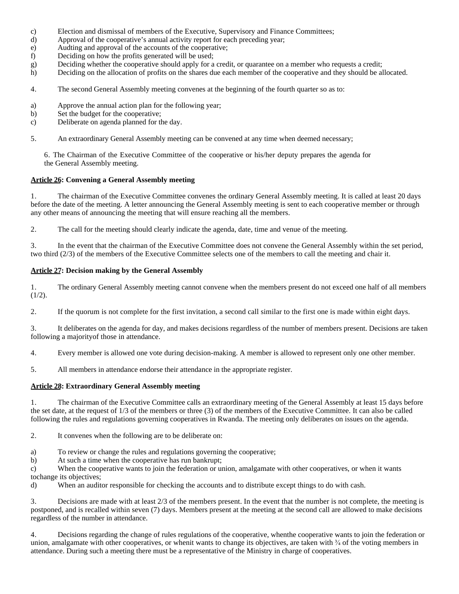- c) Election and dismissal of members of the Executive, Supervisory and Finance Committees;
- d) Approval of the cooperative's annual activity report for each preceding year;
- e) Audting and approval of the accounts of the cooperative;
- f) Deciding on how the profits generated will be used;
- g) Deciding whether the cooperative should apply for a credit, or quarantee on a member who requests a credit;
- h) Deciding on the allocation of profits on the shares due each member of the cooperative and they should be allocated.
- 4. The second General Assembly meeting convenes at the beginning of the fourth quarter so as to:
- a) Approve the annual action plan for the following year;
- b) Set the budget for the cooperative;
- c) Deliberate on agenda planned for the day.
- 5. An extraordinary General Assembly meeting can be convened at any time when deemed necessary;

6. The Chairman of the Executive Committee of the cooperative or his/her deputy prepares the agenda for the General Assembly meeting.

## **Article 26: Convening a General Assembly meeting**

1. The chairman of the Executive Committee convenes the ordinary General Assembly meeting. It is called at least 20 days before the date of the meeting. A letter announcing the General Assembly meeting is sent to each cooperative member or through any other means of announcing the meeting that will ensure reaching all the members.

2. The call for the meeting should clearly indicate the agenda, date, time and venue of the meeting.

3. In the event that the chairman of the Executive Committee does not convene the General Assembly within the set period, two third (2/3) of the members of the Executive Committee selects one of the members to call the meeting and chair it.

## **Article 27: Decision making by the General Assembly**

1. The ordinary General Assembly meeting cannot convene when the members present do not exceed one half of all members  $(1/2).$ 

2. If the quorum is not complete for the first invitation, a second call similar to the first one is made within eight days.

3. It deliberates on the agenda for day, and makes decisions regardless of the number of members present. Decisions are taken following a majorityof those in attendance.

4. Every member is allowed one vote during decision-making. A member is allowed to represent only one other member.

5. All members in attendance endorse their attendance in the appropriate register.

## **Article 28: Extraordinary General Assembly meeting**

1. The chairman of the Executive Committee calls an extraordinary meeting of the General Assembly at least 15 days before the set date, at the request of 1/3 of the members or three (3) of the members of the Executive Committee. It can also be called following the rules and regulations governing cooperatives in Rwanda. The meeting only deliberates on issues on the agenda.

2. It convenes when the following are to be deliberate on:

- a) To review or change the rules and regulations governing the cooperative;
- b) At such a time when the cooperative has run bankrupt;

c) When the cooperative wants to join the federation or union, amalgamate with other cooperatives, or when it wants tochange its objectives;

d) When an auditor responsible for checking the accounts and to distribute except things to do with cash.

3. Decisions are made with at least 2/3 of the members present. In the event that the number is not complete, the meeting is postponed, and is recalled within seven (7) days. Members present at the meeting at the second call are allowed to make decisions regardless of the number in attendance.

4. Decisions regarding the change of rules regulations of the cooperative, whenthe cooperative wants to join the federation or union, amalgamate with other cooperatives, or whenit wants to change its objectives, are taken with  $\frac{3}{4}$  of the voting members in attendance. During such a meeting there must be a representative of the Ministry in charge of cooperatives.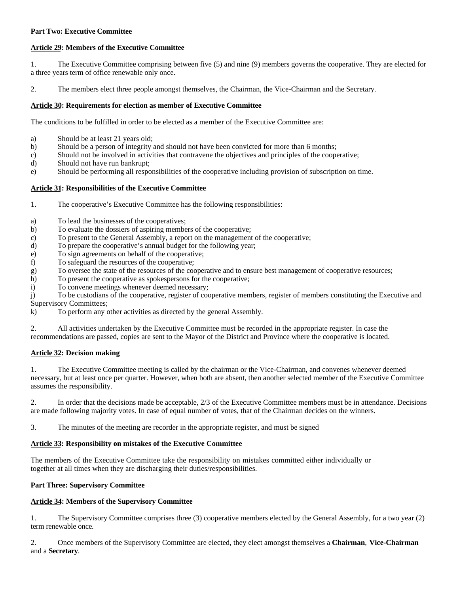## **Part Two: Executive Committee**

## **Article 29: Members of the Executive Committee**

1. The Executive Committee comprising between five (5) and nine (9) members governs the cooperative. They are elected for a three years term of office renewable only once.

2. The members elect three people amongst themselves, the Chairman, the Vice-Chairman and the Secretary.

## **Article 30: Requirements for election as member of Executive Committee**

The conditions to be fulfilled in order to be elected as a member of the Executive Committee are:

- a) Should be at least 21 years old;
- b) Should be a person of integrity and should not have been convicted for more than 6 months;
- c) Should not be involved in activities that contravene the objectives and principles of the cooperative;
- d) Should not have run bankrupt;
- e) Should be performing all responsibilities of the cooperative including provision of subscription on time.

## **Article 31: Responsibilities of the Executive Committee**

- 1. The cooperative's Executive Committee has the following responsibilities:
- a) To lead the businesses of the cooperatives;
- b) To evaluate the dossiers of aspiring members of the cooperative;
- c) To present to the General Assembly, a report on the management of the cooperative;
- d) To prepare the cooperative's annual budget for the following year;
- e) To sign agreements on behalf of the cooperative;
- f) To safeguard the resources of the cooperative;
- g) To oversee the state of the resources of the cooperative and to ensure best management of cooperative resources;
- h) To present the cooperative as spokespersons for the cooperative;
- i) To convene meetings whenever deemed necessary;

j) To be custodians of the cooperative, register of cooperative members, register of members constituting the Executive and Supervisory Committees;

k) To perform any other activities as directed by the general Assembly.

2. All activities undertaken by the Executive Committee must be recorded in the appropriate register. In case the recommendations are passed, copies are sent to the Mayor of the District and Province where the cooperative is located.

## **Article 32: Decision making**

1. The Executive Committee meeting is called by the chairman or the Vice-Chairman, and convenes whenever deemed necessary, but at least once per quarter. However, when both are absent, then another selected member of the Executive Committee assumes the responsibility.

2. In order that the decisions made be acceptable, 2/3 of the Executive Committee members must be in attendance. Decisions are made following majority votes. In case of equal number of votes, that of the Chairman decides on the winners.

3. The minutes of the meeting are recorder in the appropriate register, and must be signed

## **Article 33: Responsibility on mistakes of the Executive Committee**

The members of the Executive Committee take the responsibility on mistakes committed either individually or together at all times when they are discharging their duties/responsibilities.

## **Part Three: Supervisory Committee**

## **Article 34: Members of the Supervisory Committee**

1. The Supervisory Committee comprises three (3) cooperative members elected by the General Assembly, for a two year (2) term renewable once.

2. Once members of the Supervisory Committee are elected, they elect amongst themselves a **Chairman**, **Vice-Chairman**  and a **Secretary**.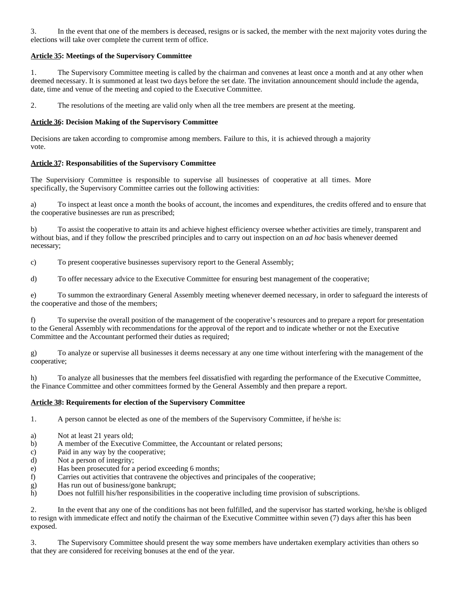3. In the event that one of the members is deceased, resigns or is sacked, the member with the next majority votes during the elections will take over complete the current term of office.

## **Article 35: Meetings of the Supervisory Committee**

1. The Supervisory Committee meeting is called by the chairman and convenes at least once a month and at any other when deemed necessary. It is summoned at least two days before the set date. The invitation announcement should include the agenda, date, time and venue of the meeting and copied to the Executive Committee.

2. The resolutions of the meeting are valid only when all the tree members are present at the meeting.

## **Article 36: Decision Making of the Supervisory Committee**

Decisions are taken according to compromise among members. Failure to this, it is achieved through a majority vote.

## **Article 37: Responsabilities of the Supervisory Committee**

The Supervisiory Committee is responsible to supervise all businesses of cooperative at all times. More specifically, the Supervisory Committee carries out the following activities:

a) To inspect at least once a month the books of account, the incomes and expenditures, the credits offered and to ensure that the cooperative businesses are run as prescribed;

b) To assist the cooperative to attain its and achieve highest efficiency oversee whether activities are timely, transparent and without bias, and if they follow the prescribed principles and to carry out inspection on an *ad hoc* basis whenever deemed necessary;

c) To present cooperative businesses supervisory report to the General Assembly;

d) To offer necessary advice to the Executive Committee for ensuring best management of the cooperative;

e) To summon the extraordinary General Assembly meeting whenever deemed necessary, in order to safeguard the interests of the cooperative and those of the members;

f) To supervise the overall position of the management of the cooperative's resources and to prepare a report for presentation to the General Assembly with recommendations for the approval of the report and to indicate whether or not the Executive Committee and the Accountant performed their duties as required;

g) To analyze or supervise all businesses it deems necessary at any one time without interfering with the management of the cooperative;

h) To analyze all businesses that the members feel dissatisfied with regarding the performance of the Executive Committee, the Finance Committee and other committees formed by the General Assembly and then prepare a report.

## **Article 38: Requirements for election of the Supervisory Committee**

1. A person cannot be elected as one of the members of the Supervisory Committee, if he/she is:

- a) Not at least 21 years old;
- b) A member of the Executive Committee, the Accountant or related persons;
- c) Paid in any way by the cooperative;
- d) Not a person of integrity;
- e) Has been prosecuted for a period exceeding 6 months;
- f) Carries out activities that contravene the objectives and principales of the cooperative;
- g) Has run out of business/gone bankrupt;
- h) Does not fulfill his/her responsibilities in the cooperative including time provision of subscriptions.

2. In the event that any one of the conditions has not been fulfilled, and the supervisor has started working, he/she is obliged to resign with immedicate effect and notify the chairman of the Executive Committee within seven (7) days after this has been exposed.

3. The Supervisory Committee should present the way some members have undertaken exemplary activities than others so that they are considered for receiving bonuses at the end of the year.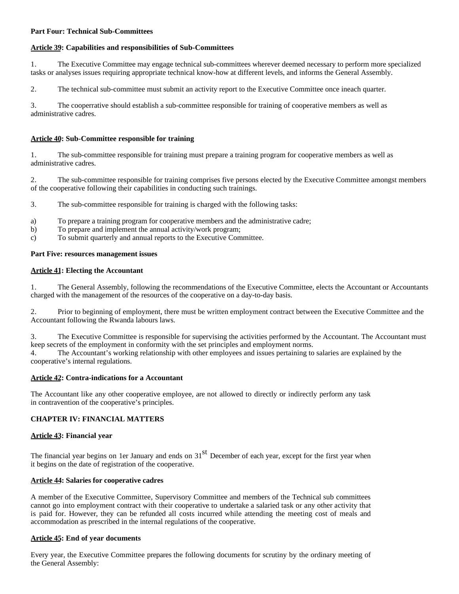## **Part Four: Technical Sub-Committees**

## **Article 39: Capabilities and responsibilities of Sub-Committees**

1. The Executive Committee may engage technical sub-committees wherever deemed necessary to perform more specialized tasks or analyses issues requiring appropriate technical know-how at different levels, and informs the General Assembly.

2. The technical sub-committee must submit an activity report to the Executive Committee once ineach quarter.

3. The cooperrative should establish a sub-committee responsible for training of cooperative members as well as administrative cadres.

## **Article 40: Sub-Committee responsible for training**

1. The sub-committee responsible for training must prepare a training program for cooperative members as well as administrative cadres.

2. The sub-committee responsible for training comprises five persons elected by the Executive Committee amongst members of the cooperative following their capabilities in conducting such trainings.

- 3. The sub-committee responsible for training is charged with the following tasks:
- a) To prepare a training program for cooperative members and the administrative cadre;
- b) To prepare and implement the annual activity/work program;
- c) To submit quarterly and annual reports to the Executive Committee.

## **Part Five: resources management issues**

## **Article 41: Electing the Accountant**

1. The General Assembly, following the recommendations of the Executive Committee, elects the Accountant or Accountants charged with the management of the resources of the cooperative on a day-to-day basis.

2. Prior to beginning of employment, there must be written employment contract between the Executive Committee and the Accountant following the Rwanda labours laws.

3. The Executive Committee is responsible for supervising the activities performed by the Accountant. The Accountant must keep secrets of the employment in conformity with the set principles and employment norms.

4. The Accountant's working relationship with other employees and issues pertaining to salaries are explained by the cooperative's internal regulations.

## **Article 42: Contra-indications for a Accountant**

The Accountant like any other cooperative employee, are not allowed to directly or indirectly perform any task in contravention of the cooperative's principles.

## **CHAPTER IV: FINANCIAL MATTERS**

## **Article 43: Financial year**

The financial year begins on 1er January and ends on  $31<sup>st</sup>$  December of each year, except for the first year when it begins on the date of registration of the cooperative.

## **Article 44: Salaries for cooperative cadres**

A member of the Executive Committee, Supervisory Committee and members of the Technical sub committees cannot go into employment contract with their cooperative to undertake a salaried task or any other activity that is paid for. However, they can be refunded all costs incurred while attending the meeting cost of meals and accommodation as prescribed in the internal regulations of the cooperative.

## **Article 45: End of year documents**

Every year, the Executive Committee prepares the following documents for scrutiny by the ordinary meeting of the General Assembly: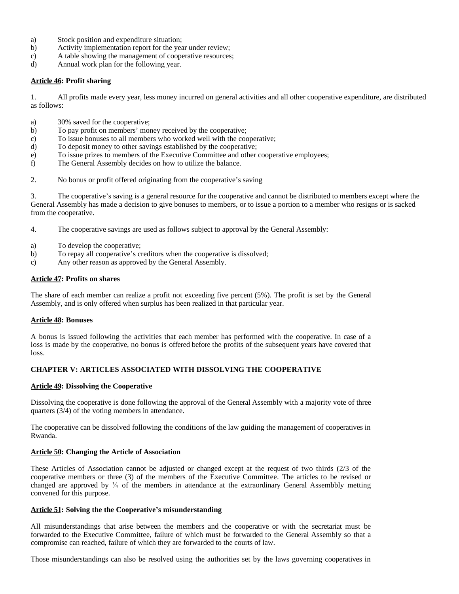- a) Stock position and expenditure situation;
- b) Activity implementation report for the year under review;
- c) A table showing the management of cooperative resources;
- d) Annual work plan for the following year.

## **Article 46: Profit sharing**

1. All profits made every year, less money incurred on general activities and all other cooperative expenditure, are distributed as follows:

- a) 30% saved for the cooperative;
- b) To pay profit on members' money received by the cooperative;
- c) To issue bonuses to all members who worked well with the cooperative;
- d) To deposit money to other savings established by the cooperative;
- e) To issue prizes to members of the Executive Committee and other cooperative employees;
- f) The General Assembly decides on how to utilize the balance.
- 2. No bonus or profit offered originating from the cooperative's saving

3. The cooperative's saving is a general resource for the cooperative and cannot be distributed to members except where the General Assembly has made a decision to give bonuses to members, or to issue a portion to a member who resigns or is sacked from the cooperative.

- 4. The cooperative savings are used as follows subject to approval by the General Assembly:
- a) To develop the cooperative;
- b) To repay all cooperative's creditors when the cooperative is dissolved;
- c) Any other reason as approved by the General Assembly.

### **Article 47: Profits on shares**

The share of each member can realize a profit not exceeding five percent (5%). The profit is set by the General Assembly, and is only offered when surplus has been realized in that particular year.

## **Article 48: Bonuses**

A bonus is issued following the activities that each member has performed with the cooperative. In case of a loss is made by the cooperative, no bonus is offered before the profits of the subsequent years have covered that loss.

## **CHAPTER V: ARTICLES ASSOCIATED WITH DISSOLVING THE COOPERATIVE**

#### **Article 49: Dissolving the Cooperative**

Dissolving the cooperative is done following the approval of the General Assembly with a majority vote of three quarters (3/4) of the voting members in attendance.

The cooperative can be dissolved following the conditions of the law guiding the management of cooperatives in Rwanda.

## **Article 50: Changing the Article of Association**

These Articles of Association cannot be adjusted or changed except at the request of two thirds (2/3 of the cooperative members or three (3) of the members of the Executive Committee. The articles to be revised or changed are approved by  $\frac{3}{4}$  of the members in attendance at the extraordinary General Assembbly metting convened for this purpose.

#### **Article 51: Solving the the Cooperative's misunderstanding**

All misunderstandings that arise between the members and the cooperative or with the secretariat must be forwarded to the Executive Committee, failure of which must be forwarded to the General Assembly so that a compromise can reached, failure of which they are forwarded to the courts of law.

Those misunderstandings can also be resolved using the authorities set by the laws governing cooperatives in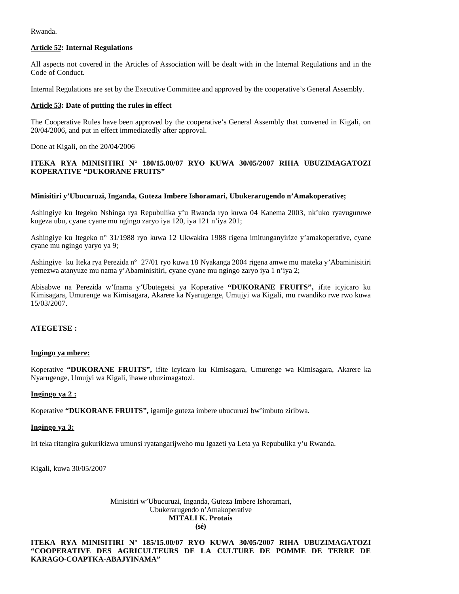Rwanda.

## **Article 52: Internal Regulations**

All aspects not covered in the Articles of Association will be dealt with in the Internal Regulations and in the Code of Conduct.

Internal Regulations are set by the Executive Committee and approved by the cooperative's General Assembly.

## **Article 53: Date of putting the rules in effect**

The Cooperative Rules have been approved by the cooperative's General Assembly that convened in Kigali, on 20/04/2006, and put in effect immediatedly after approval.

Done at Kigali, on the 20/04/2006

## **ITEKA RYA MINISITIRI N° 180/15.00/07 RYO KUWA 30/05/2007 RIHA UBUZIMAGATOZI KOPERATIVE "DUKORANE FRUITS"**

## **Minisitiri y'Ubucuruzi, Inganda, Guteza Imbere Ishoramari, Ubukerarugendo n'Amakoperative;**

Ashingiye ku Itegeko Nshinga rya Repubulika y'u Rwanda ryo kuwa 04 Kanema 2003, nk'uko ryavuguruwe kugeza ubu, cyane cyane mu ngingo zaryo iya 120, iya 121 n'iya 201;

Ashingiye ku Itegeko n° 31/1988 ryo kuwa 12 Ukwakira 1988 rigena imitunganyirize y'amakoperative, cyane cyane mu ngingo yaryo ya 9;

Ashingiye ku Iteka rya Perezida nº 27/01 ryo kuwa 18 Nyakanga 2004 rigena amwe mu mateka y'Abaminisitiri yemezwa atanyuze mu nama y'Abaminisitiri, cyane cyane mu ngingo zaryo iya 1 n'iya 2;

Abisabwe na Perezida w'Inama y'Ubutegetsi ya Koperative **"DUKORANE FRUITS",** ifite icyicaro ku Kimisagara, Umurenge wa Kimisagara, Akarere ka Nyarugenge, Umujyi wa Kigali, mu rwandiko rwe rwo kuwa 15/03/2007.

## **ATEGETSE :**

## **Ingingo ya mbere:**

Koperative **"DUKORANE FRUITS",** ifite icyicaro ku Kimisagara, Umurenge wa Kimisagara, Akarere ka Nyarugenge, Umujyi wa Kigali, ihawe ubuzimagatozi.

## **Ingingo ya 2 :**

Koperative **"DUKORANE FRUITS",** igamije guteza imbere ubucuruzi bw'imbuto ziribwa.

## **Ingingo ya 3:**

Iri teka ritangira gukurikizwa umunsi ryatangarijweho mu Igazeti ya Leta ya Repubulika y'u Rwanda.

Kigali, kuwa 30/05/2007

Minisitiri w'Ubucuruzi, Inganda, Guteza Imbere Ishoramari, Ubukerarugendo n'Amakoperative **MITALI K. Protais (sé)**

**ITEKA RYA MINISITIRI N° 185/15.00/07 RYO KUWA 30/05/2007 RIHA UBUZIMAGATOZI "COOPERATIVE DES AGRICULTEURS DE LA CULTURE DE POMME DE TERRE DE KARAGO-COAPTKA-ABAJYINAMA"**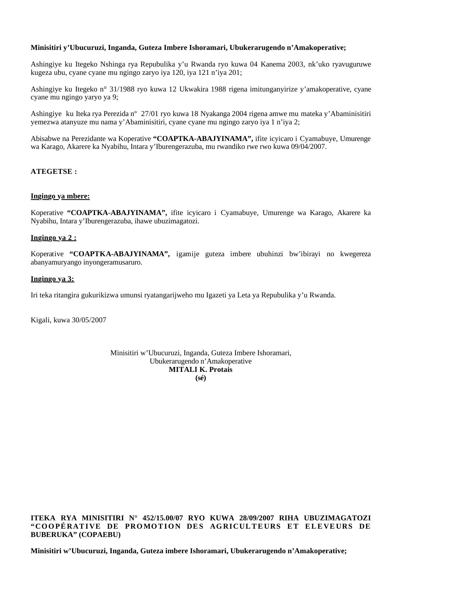## **Minisitiri y'Ubucuruzi, Inganda, Guteza Imbere Ishoramari, Ubukerarugendo n'Amakoperative;**

Ashingiye ku Itegeko Nshinga rya Repubulika y'u Rwanda ryo kuwa 04 Kanema 2003, nk'uko ryavuguruwe kugeza ubu, cyane cyane mu ngingo zaryo iya 120, iya 121 n'iya 201;

Ashingiye ku Itegeko n° 31/1988 ryo kuwa 12 Ukwakira 1988 rigena imitunganyirize y'amakoperative, cyane cyane mu ngingo yaryo ya 9;

Ashingiye ku Iteka rya Perezida nº 27/01 ryo kuwa 18 Nyakanga 2004 rigena amwe mu mateka y'Abaminisitiri yemezwa atanyuze mu nama y'Abaminisitiri, cyane cyane mu ngingo zaryo iya 1 n'iya 2;

Abisabwe na Perezidante wa Koperative **"COAPTKA-ABAJYINAMA",** ifite icyicaro i Cyamabuye, Umurenge wa Karago, Akarere ka Nyabihu, Intara y'Iburengerazuba, mu rwandiko rwe rwo kuwa 09/04/2007.

## **ATEGETSE :**

#### **Ingingo ya mbere:**

Koperative **"COAPTKA-ABAJYINAMA",** ifite icyicaro i Cyamabuye, Umurenge wa Karago, Akarere ka Nyabihu, Intara y'Iburengerazuba, ihawe ubuzimagatozi.

### **Ingingo ya 2 :**

Koperative **"COAPTKA-ABAJYINAMA",** igamije guteza imbere ubuhinzi bw'ibirayi no kwegereza abanyamuryango inyongeramusaruro.

### **Ingingo ya 3:**

Iri teka ritangira gukurikizwa umunsi ryatangarijweho mu Igazeti ya Leta ya Repubulika y'u Rwanda.

Kigali, kuwa 30/05/2007

Minisitiri w'Ubucuruzi, Inganda, Guteza Imbere Ishoramari, Ubukerarugendo n'Amakoperative **MITALI K. Protais (sé)**

**ITEKA RYA MINISITIRI N° 452/15.00/07 RYO KUWA 28/09/2007 RIHA UBUZIMAGATOZI "COOPÉRATIVE DE PROMOTION DES AGRICULTEURS ET ELEVEURS DE BUBERUKA" (COPAEBU)**

**Minisitiri w'Ubucuruzi, Inganda, Guteza imbere Ishoramari, Ubukerarugendo n'Amakoperative;**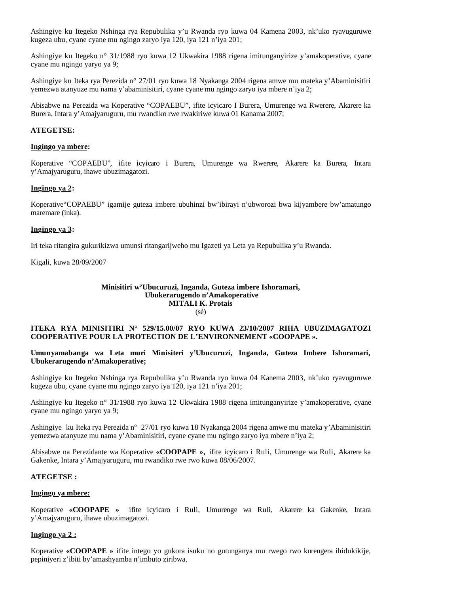Ashingiye ku Itegeko Nshinga rya Repubulika y'u Rwanda ryo kuwa 04 Kamena 2003, nk'uko ryavuguruwe kugeza ubu, cyane cyane mu ngingo zaryo iya 120, iya 121 n'iya 201;

Ashingiye ku Itegeko n° 31/1988 ryo kuwa 12 Ukwakira 1988 rigena imitunganyirize y'amakoperative, cyane cyane mu ngingo yaryo ya 9;

Ashingiye ku Iteka rya Perezida n° 27/01 ryo kuwa 18 Nyakanga 2004 rigena amwe mu mateka y'Abaminisitiri yemezwa atanyuze mu nama y'abaminisitiri, cyane cyane mu ngingo zaryo iya mbere n'iya 2;

Abisabwe na Perezida wa Koperative "COPAEBU", ifite icyicaro I Burera, Umurenge wa Rwerere, Akarere ka Burera, Intara y'Amajyaruguru, mu rwandiko rwe rwakiriwe kuwa 01 Kanama 2007;

### **ATEGETSE:**

#### **Ingingo ya mbere:**

Koperative "COPAEBU", ifite icyicaro i Burera, Umurenge wa Rwerere, Akarere ka Burera, Intara y'Amajyaruguru, ihawe ubuzimagatozi.

### **Ingingo ya 2:**

Koperative"COPAEBU" igamije guteza imbere ubuhinzi bw'ibirayi n'ubworozi bwa kijyambere bw'amatungo maremare (inka).

### **Ingingo ya 3:**

Iri teka ritangira gukurikizwa umunsi ritangarijweho mu Igazeti ya Leta ya Repubulika y'u Rwanda.

Kigali, kuwa 28/09/2007

#### **Minisitiri w'Ubucuruzi, Inganda, Guteza imbere Ishoramari, Ubukerarugendo n'Amakoperative MITALI K. Protais** (sé)

### **ITEKA RYA MINISITIRI N° 529/15.00/07 RYO KUWA 23/10/2007 RIHA UBUZIMAGATOZI COOPERATIVE POUR LA PROTECTION DE L'ENVIRONNEMENT «COOPAPE ».**

### **Umunyamabanga wa Leta muri Minisiteri y'Ubucuruzi, Inganda, Guteza Imbere Ishoramari, Ubukerarugendo n'Amakoperative;**

Ashingiye ku Itegeko Nshinga rya Repubulika y'u Rwanda ryo kuwa 04 Kanema 2003, nk'uko ryavuguruwe kugeza ubu, cyane cyane mu ngingo zaryo iya 120, iya 121 n'iya 201;

Ashingiye ku Itegeko n° 31/1988 ryo kuwa 12 Ukwakira 1988 rigena imitunganyirize y'amakoperative, cyane cyane mu ngingo yaryo ya 9;

Ashingiye ku Iteka rya Perezida nº 27/01 ryo kuwa 18 Nyakanga 2004 rigena amwe mu mateka y'Abaminisitiri yemezwa atanyuze mu nama y'Abaminisitiri, cyane cyane mu ngingo zaryo iya mbere n'iya 2;

Abisabwe na Perezidante wa Koperative **«COOPAPE »,** ifite icyicaro i Ruli, Umurenge wa Ruli, Akarere ka Gakenke, Intara y'Amajyaruguru, mu rwandiko rwe rwo kuwa 08/06/2007.

#### **ATEGETSE :**

### **Ingingo ya mbere:**

Koperative **«COOPAPE »** ifite icyicaro i Ruli, Umurenge wa Ruli, Akarere ka Gakenke, Intara y'Amajyaruguru, ihawe ubuzimagatozi.

#### **Ingingo ya 2 :**

Koperative **«COOPAPE »** ifite intego yo gukora isuku no gutunganya mu rwego rwo kurengera ibidukikije, pepiniyeri z'ibiti by'amashyamba n'imbuto ziribwa.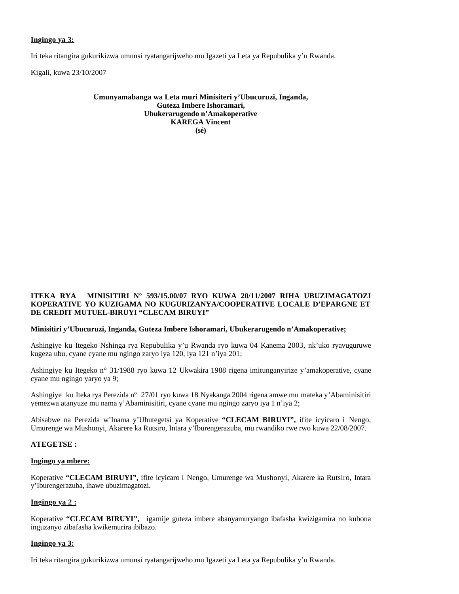## **Ingingo ya 3:**

Iri teka ritangira gukurikizwa umunsi ryatangarijweho mu Igazeti ya Leta ya Repubulika y'u Rwanda.

Kigali, kuwa 23/10/2007

#### **Umunyamabanga wa Leta muri Minisiteri y'Ubucuruzi, Inganda, Guteza Imbere Ishoramari, Ubukerarugendo n'Amakoperative KAREGA Vincent (sé)**

#### **ITEKA RYA MINISITIRI N° 593/15.00/07 RYO KUWA 20/11/2007 RIHA UBUZIMAGATOZI KOPERATIVE YO KUZIGAMA NO KUGURIZANYA/COOPERATIVE LOCALE D'EPARGNE ET DE CREDIT MUTUEL-BIRUYI "CLECAM BIRUYI"**

## **Minisitiri y'Ubucuruzi, Inganda, Guteza Imbere Ishoramari, Ubukerarugendo n'Amakoperative;**

Ashingiye ku Itegeko Nshinga rya Repubulika y'u Rwanda ryo kuwa 04 Kanema 2003, nk'uko ryavuguruwe kugeza ubu, cyane cyane mu ngingo zaryo iya 120, iya 121 n'iya 201;

Ashingiye ku Itegeko n° 31/1988 ryo kuwa 12 Ukwakira 1988 rigena imitunganyirize y'amakoperative, cyane cyane mu ngingo yaryo ya 9;

Ashingiye ku Iteka rya Perezida nº 27/01 ryo kuwa 18 Nyakanga 2004 rigena amwe mu mateka y'Abaminisitiri yemezwa atanyuze mu nama y'Abaminisitiri, cyane cyane mu ngingo zaryo iya 1 n'iya 2;

Abisabwe na Perezida w'Inama y'Ubutegetsi ya Koperative **"CLECAM BIRUYI",** ifite icyicaro i Nengo, Umurenge wa Mushonyi, Akarere ka Rutsiro, Intara y'Iburengerazuba, mu rwandiko rwe rwo kuwa 22/08/2007.

#### **ATEGETSE :**

#### **Ingingo ya mbere:**

Koperative **"CLECAM BIRUYI",** ifite icyicaro i Nengo, Umurenge wa Mushonyi, Akarere ka Rutsiro, Intara y'Iburengerazuba, ihawe ubuzimagatozi.

#### **Ingingo ya 2 :**

Koperative **"CLECAM BIRUYI",** igamije guteza imbere abanyamuryango ibafasha kwizigamira no kubona inguzanyo zibafasha kwikemurira ibibazo.

#### **Ingingo ya 3:**

Iri teka ritangira gukurikizwa umunsi ryatangarijweho mu Igazeti ya Leta ya Repubulika y'u Rwanda.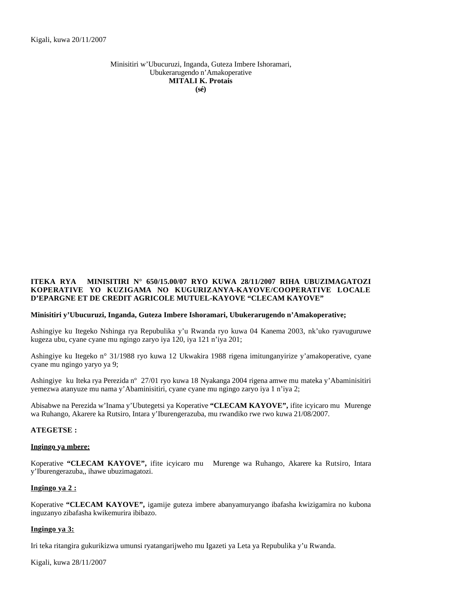Minisitiri w'Ubucuruzi, Inganda, Guteza Imbere Ishoramari, Ubukerarugendo n'Amakoperative **MITALI K. Protais (sé)**

## **ITEKA RYA MINISITIRI N° 650/15.00/07 RYO KUWA 28/11/2007 RIHA UBUZIMAGATOZI KOPERATIVE YO KUZIGAMA NO KUGURIZANYA-KAYOVE/COOPERATIVE LOCALE D'EPARGNE ET DE CREDIT AGRICOLE MUTUEL-KAYOVE "CLECAM KAYOVE"**

#### **Minisitiri y'Ubucuruzi, Inganda, Guteza Imbere Ishoramari, Ubukerarugendo n'Amakoperative;**

Ashingiye ku Itegeko Nshinga rya Repubulika y'u Rwanda ryo kuwa 04 Kanema 2003, nk'uko ryavuguruwe kugeza ubu, cyane cyane mu ngingo zaryo iya 120, iya 121 n'iya 201;

Ashingiye ku Itegeko n° 31/1988 ryo kuwa 12 Ukwakira 1988 rigena imitunganyirize y'amakoperative, cyane cyane mu ngingo yaryo ya 9;

Ashingiye ku Iteka rya Perezida nº 27/01 ryo kuwa 18 Nyakanga 2004 rigena amwe mu mateka y'Abaminisitiri yemezwa atanyuze mu nama y'Abaminisitiri, cyane cyane mu ngingo zaryo iya 1 n'iya 2;

Abisabwe na Perezida w'Inama y'Ubutegetsi ya Koperative **"CLECAM KAYOVE",** ifite icyicaro mu Murenge wa Ruhango, Akarere ka Rutsiro, Intara y'Iburengerazuba, mu rwandiko rwe rwo kuwa 21/08/2007.

## **ATEGETSE :**

#### **Ingingo ya mbere:**

Koperative **"CLECAM KAYOVE",** ifite icyicaro mu Murenge wa Ruhango, Akarere ka Rutsiro, Intara y'Iburengerazuba,, ihawe ubuzimagatozi.

## **Ingingo ya 2 :**

Koperative **"CLECAM KAYOVE",** igamije guteza imbere abanyamuryango ibafasha kwizigamira no kubona inguzanyo zibafasha kwikemurira ibibazo.

#### **Ingingo ya 3:**

Iri teka ritangira gukurikizwa umunsi ryatangarijweho mu Igazeti ya Leta ya Repubulika y'u Rwanda.

Kigali, kuwa 28/11/2007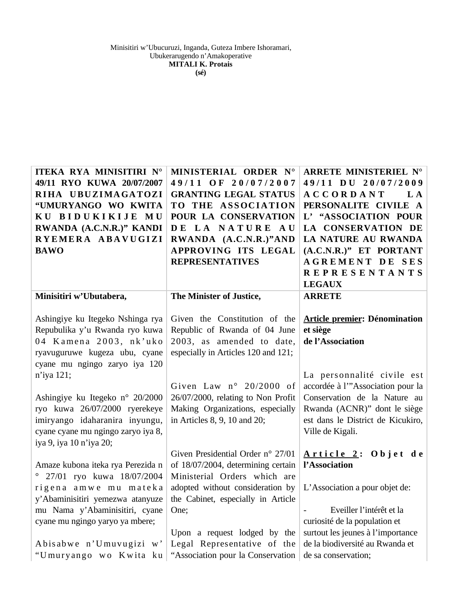| ITEKA RYA MINISITIRI N°<br>49/11 RYO KUWA 20/07/2007<br>RIHA UBUZIMAGATOZI<br>"UMURYANGO WO KWITA<br>KU BIDUKIKIJE MU<br>RWANDA (A.C.N.R.)" KANDI<br>RYEMERA ABAVUGIZI<br><b>BAWO</b>                       | MINISTERIAL ORDER N°<br>49/11 OF 20/07/2007<br><b>GRANTING LEGAL STATUS</b><br>TO THE ASSOCIATION<br>POUR LA CONSERVATION<br>DE LA NATURE AU<br>RWANDA (A.C.N.R.)"AND<br>APPROVING ITS LEGAL<br><b>REPRESENTATIVES</b> | ARRETE MINISTERIEL N°<br>49/11 DU 20/07/2009<br><b>ACCORDANT</b><br>L A<br>PERSONALITE CIVILE A<br>L' "ASSOCIATION POUR<br>LA CONSERVATION DE<br>LA NATURE AU RWANDA<br>(A.C.N.R.)" ET PORTANT<br><b>AGREMENT DE SES</b><br><b>REPRESENTANTS</b><br><b>LEGAUX</b> |
|-------------------------------------------------------------------------------------------------------------------------------------------------------------------------------------------------------------|------------------------------------------------------------------------------------------------------------------------------------------------------------------------------------------------------------------------|-------------------------------------------------------------------------------------------------------------------------------------------------------------------------------------------------------------------------------------------------------------------|
| Minisitiri w'Ubutabera,                                                                                                                                                                                     | The Minister of Justice,                                                                                                                                                                                               | <b>ARRETE</b>                                                                                                                                                                                                                                                     |
| Ashingiye ku Itegeko Nshinga rya<br>Repubulika y'u Rwanda ryo kuwa<br>04 Kamena 2003, nk'uko<br>ryavuguruwe kugeza ubu, cyane<br>cyane mu ngingo zaryo iya 120                                              | Given the Constitution of the<br>Republic of Rwanda of 04 June<br>2003, as amended to date,<br>especially in Articles 120 and 121;                                                                                     | <b>Article premier: Dénomination</b><br>et siège<br>de l'Association                                                                                                                                                                                              |
| $n'$ iya 121;<br>Ashingiye ku Itegeko n° 20/2000<br>ryo kuwa 26/07/2000 ryerekeye<br>imiryango idaharanira inyungu,<br>cyane cyane mu ngingo zaryo iya 8,<br>iya 9, iya 10 n'iya 20;                        | Given Law $n^{\circ}$ 20/2000 of<br>26/07/2000, relating to Non Profit<br>Making Organizations, especially<br>in Articles 8, 9, 10 and 20;                                                                             | La personnalité civile est<br>accordée à l'"Association pour la<br>Conservation de la Nature au<br>Rwanda (ACNR)" dont le siège<br>est dans le District de Kicukiro,<br>Ville de Kigali.                                                                          |
| Amaze kubona iteka rya Perezida n<br>$^{\circ}$ 27/01 ryo kuwa 18/07/2004<br>rigena amwe mu mateka<br>y'Abaminisitiri yemezwa atanyuze<br>mu Nama y'Abaminisitiri, cyane<br>cyane mu ngingo yaryo ya mbere; | Given Presidential Order $n^{\circ}$ 27/01<br>of 18/07/2004, determining certain<br>Ministerial Orders which are<br>adopted without consideration by<br>the Cabinet, especially in Article<br>One;                     | Article 2: Objet de<br>l'Association<br>L'Association a pour objet de:<br>Eveiller l'intérêt et la<br>curiosité de la population et                                                                                                                               |
| Abisabwe n'Umuvugizi w'<br>"Umuryango wo Kwita ku                                                                                                                                                           | Upon a request lodged by the<br>Legal Representative of the<br>"Association pour la Conservation                                                                                                                       | surtout les jeunes à l'importance<br>de la biodiversité au Rwanda et<br>de sa conservation;                                                                                                                                                                       |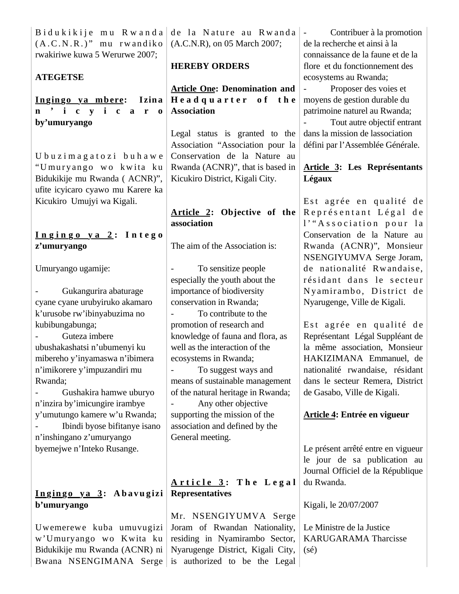$B$  i du k i k i j e m u R w a n d a  $(A.C.N.R.)$ " mu rwandiko rwakiriwe kuwa 5 Werurwe 2007;

## **ATEGETSE**

**Ingingo ya mbere: I zin a n ' i c y i c a r o by'umuryango** 

U b u z i m a g a t o z i b u h a w e "U muryango wo kwita ku Bidukikije mu Rwanda ( ACNR)", ufite icyicaro cyawo mu Karere ka Kicukiro Umujyi wa Kigali.

**I n g i n g o y a 2 : I n t e g o z'umuryango**

Umuryango ugamije:

- Gukangurira abaturage cyane cyane urubyiruko akamaro k'urusobe rw'ibinyabuzima no kubibungabunga;

- Guteza imbere ubushakashatsi n'ubumenyi ku mibereho y'inyamaswa n'ibimera n'imikorere y'impuzandiri mu Rwanda;

- Gushakira hamwe uburyo n'inzira by'imicungire irambye y'umutungo kamere w'u Rwanda; - Ibindi byose bifitanye isano n'inshingano z'umuryango byemejwe n'Inteko Rusange.

# **I n g in g o y a 3 : A b a v u g izi b'umuryango**

Uwemerewe kuba umuvugizi w'Umuryango wo Kwita ku Bidukikije mu Rwanda (ACNR) ni Bwana NSENGIMANA Serge

de la Nature au Rwanda (A.C.N.R), on 05 March 2007;

# **HEREBY ORDERS**

# **Article One: Denomination and Headquarter** of the **Association**

Legal status is granted to the Association "Association pour la Conservation de la Nature au Rwanda (ACNR)", that is based in Kicukiro District, Kigali City.

# **Article 2: Objective of the association**

The aim of the Association is:

To sensitize people especially the youth about the importance of biodiversity conservation in Rwanda;

- To contribute to the promotion of research and knowledge of fauna and flora, as well as the interaction of the ecosystems in Rwanda;

- To suggest ways and means of sustainable management of the natural heritage in Rwanda;

Any other objective supporting the mission of the association and defined by the General meeting.

# $\bf{Article}$   $\bf{3}:$  The Legal **Representatives**

Mr. NSENGIYUMVA Serge Joram of Rwandan Nationality, residing in Nyamirambo Sector, Nyarugenge District, Kigali City, is authorized to be the Legal

Contribuer à la promotion de la recherche et ainsi à la connaissance de la faune et de la flore et du fonctionnement des ecosystems au Rwanda;

Proposer des voies et moyens de gestion durable du patrimoine naturel au Rwanda;

Tout autre objectif entrant dans la mission de lassociation défini par l'Assemblée Générale.

# **Article 3: Les Représentants Légaux**

Est agrée en qualité de Représentant Légal de l'"Association pour la Conservation de la Nature au Rwanda (ACNR)", Monsieur NSENGIYUMVA Serge Joram, de nationalité Rwandaise, résidant dans le secteur Nyamirambo, District de Nyarugenge, Ville de Kigali.

Est agrée en qualité de Représentant Légal Suppléant de la même association, Monsieur HAKIZIMANA Emmanuel, de nationalité rwandaise, résidant dans le secteur Remera, District de Gasabo, Ville de Kigali.

# **Article 4: Entrée en vigueur**

Le présent arrêté entre en vigueur le jour de sa publication au Journal Officiel de la République du Rwanda.

Kigali, le 20/07/2007

Le Ministre de la Justice KARUGARAMA Tharcisse  $(s\acute{e})$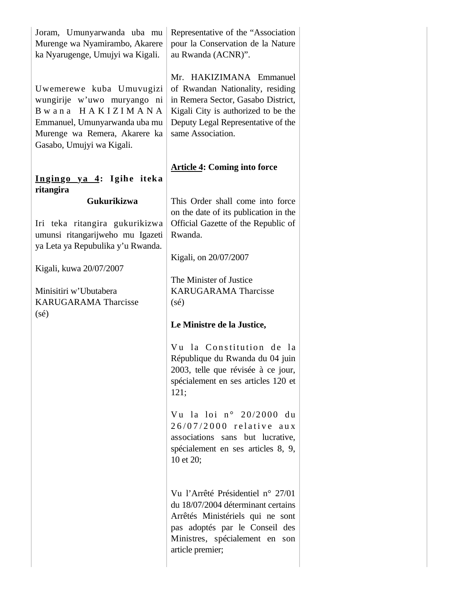| Joram, Umunyarwanda uba mu<br>Murenge wa Nyamirambo, Akarere<br>ka Nyarugenge, Umujyi wa Kigali.                                                                                                                             | Representative of the "Association"<br>pour la Conservation de la Nature<br>au Rwanda (ACNR)".                                                                                                                                                                                                                                                                                                                                                                                                                                                                                                                                                                                                                                                                         |  |
|------------------------------------------------------------------------------------------------------------------------------------------------------------------------------------------------------------------------------|------------------------------------------------------------------------------------------------------------------------------------------------------------------------------------------------------------------------------------------------------------------------------------------------------------------------------------------------------------------------------------------------------------------------------------------------------------------------------------------------------------------------------------------------------------------------------------------------------------------------------------------------------------------------------------------------------------------------------------------------------------------------|--|
| Uwemerewe kuba Umuvugizi<br>wungirije w'uwo muryango ni<br>Bwana HAKIZIMANA<br>Emmanuel, Umunyarwanda uba mu<br>Murenge wa Remera, Akarere ka<br>Gasabo, Umujyi wa Kigali.                                                   | Mr. HAKIZIMANA Emmanuel<br>of Rwandan Nationality, residing<br>in Remera Sector, Gasabo District,<br>Kigali City is authorized to be the<br>Deputy Legal Representative of the<br>same Association.                                                                                                                                                                                                                                                                                                                                                                                                                                                                                                                                                                    |  |
| Ingingo ya 4: Igihe iteka<br>ritangira                                                                                                                                                                                       | <b>Article 4: Coming into force</b>                                                                                                                                                                                                                                                                                                                                                                                                                                                                                                                                                                                                                                                                                                                                    |  |
| Gukurikizwa<br>Iri teka ritangira gukurikizwa<br>umunsi ritangarijweho mu Igazeti<br>ya Leta ya Repubulika y'u Rwanda.<br>Kigali, kuwa 20/07/2007<br>Minisitiri w'Ubutabera<br><b>KARUGARAMA Tharcisse</b><br>$(s\acute{e})$ | This Order shall come into force<br>on the date of its publication in the<br>Official Gazette of the Republic of<br>Rwanda.<br>Kigali, on 20/07/2007<br>The Minister of Justice<br><b>KARUGARAMA Tharcisse</b><br>$(s\acute{e})$<br>Le Ministre de la Justice,<br>Vu la Constitution de la<br>République du Rwanda du 04 juin<br>2003, telle que révisée à ce jour,<br>spécialement en ses articles 120 et<br>121;<br>Vu la loi nº 20/2000 du<br>26/07/2000 relative aux<br>associations sans but lucrative,<br>spécialement en ses articles 8, 9,<br>10 et 20;<br>Vu l'Arrêté Présidentiel n° 27/01<br>du 18/07/2004 déterminant certains<br>Arrêtés Ministériels qui ne sont<br>pas adoptés par le Conseil des<br>Ministres, spécialement en son<br>article premier; |  |
|                                                                                                                                                                                                                              |                                                                                                                                                                                                                                                                                                                                                                                                                                                                                                                                                                                                                                                                                                                                                                        |  |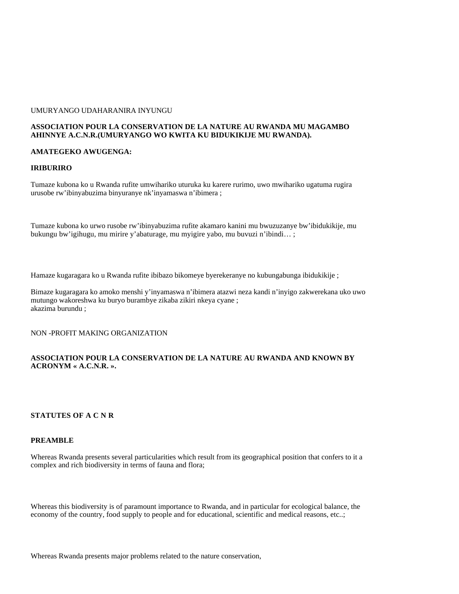#### UMURYANGO UDAHARANIRA INYUNGU

### **ASSOCIATION POUR LA CONSERVATION DE LA NATURE AU RWANDA MU MAGAMBO AHINNYE A.C.N.R.(UMURYANGO WO KWITA KU BIDUKIKIJE MU RWANDA).**

#### **AMATEGEKO AWUGENGA:**

#### **IRIBURIRO**

Tumaze kubona ko u Rwanda rufite umwihariko uturuka ku karere rurimo, uwo mwihariko ugatuma rugira urusobe rw'ibinyabuzima binyuranye nk'inyamaswa n'ibimera ;

Tumaze kubona ko urwo rusobe rw'ibinyabuzima rufite akamaro kanini mu bwuzuzanye bw'ibidukikije, mu bukungu bw'igihugu, mu mirire y'abaturage, mu myigire yabo, mu buvuzi n'ibindi… ;

Hamaze kugaragara ko u Rwanda rufite ibibazo bikomeye byerekeranye no kubungabunga ibidukikije ;

Bimaze kugaragara ko amoko menshi y'inyamaswa n'ibimera atazwi neza kandi n'inyigo zakwerekana uko uwo mutungo wakoreshwa ku buryo burambye zikaba zikiri nkeya cyane ; akazima burundu ;

NON -PROFIT MAKING ORGANIZATION

## **ASSOCIATION POUR LA CONSERVATION DE LA NATURE AU RWANDA AND KNOWN BY ACRONYM « A.C.N.R. ».**

## **STATUTES OF A C N R**

#### **PREAMBLE**

Whereas Rwanda presents several particularities which result from its geographical position that confers to it a complex and rich biodiversity in terms of fauna and flora;

Whereas this biodiversity is of paramount importance to Rwanda, and in particular for ecological balance, the economy of the country, food supply to people and for educational, scientific and medical reasons, etc..;

Whereas Rwanda presents major problems related to the nature conservation,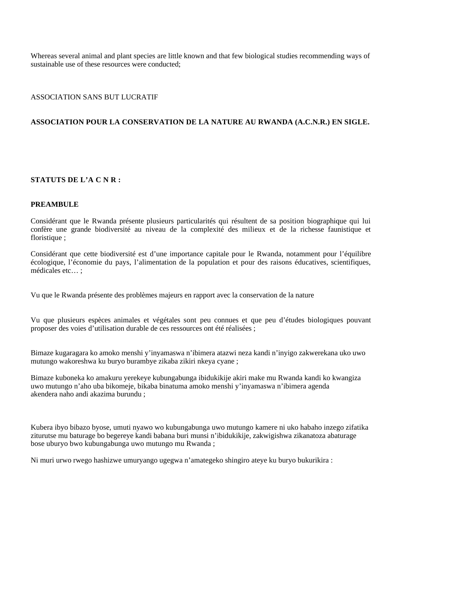Whereas several animal and plant species are little known and that few biological studies recommending ways of sustainable use of these resources were conducted;

#### ASSOCIATION SANS BUT LUCRATIF

## **ASSOCIATION POUR LA CONSERVATION DE LA NATURE AU RWANDA (A.C.N.R.) EN SIGLE.**

### **STATUTS DE L'A C N R :**

#### **PREAMBULE**

Considérant que le Rwanda présente plusieurs particularités qui résultent de sa position biographique qui lui confère une grande biodiversité au niveau de la complexité des milieux et de la richesse faunistique et floristique ;

Considérant que cette biodiversité est d'une importance capitale pour le Rwanda, notamment pour l'équilibre écologique, l'économie du pays, l'alimentation de la population et pour des raisons éducatives, scientifiques, médicales etc… ;

Vu que le Rwanda présente des problèmes majeurs en rapport avec la conservation de la nature

Vu que plusieurs espèces animales et végétales sont peu connues et que peu d'études biologiques pouvant proposer des voies d'utilisation durable de ces ressources ont été réalisées ;

Bimaze kugaragara ko amoko menshi y'inyamaswa n'ibimera atazwi neza kandi n'inyigo zakwerekana uko uwo mutungo wakoreshwa ku buryo burambye zikaba zikiri nkeya cyane ;

Bimaze kuboneka ko amakuru yerekeye kubungabunga ibidukikije akiri make mu Rwanda kandi ko kwangiza uwo mutungo n'aho uba bikomeje, bikaba binatuma amoko menshi y'inyamaswa n'ibimera agenda akendera naho andi akazima burundu ;

Kubera ibyo bibazo byose, umuti nyawo wo kubungabunga uwo mutungo kamere ni uko habaho inzego zifatika ziturutse mu baturage bo begereye kandi babana buri munsi n'ibidukikije, zakwigishwa zikanatoza abaturage bose uburyo bwo kubungabunga uwo mutungo mu Rwanda ;

Ni muri urwo rwego hashizwe umuryango ugegwa n'amategeko shingiro ateye ku buryo bukurikira :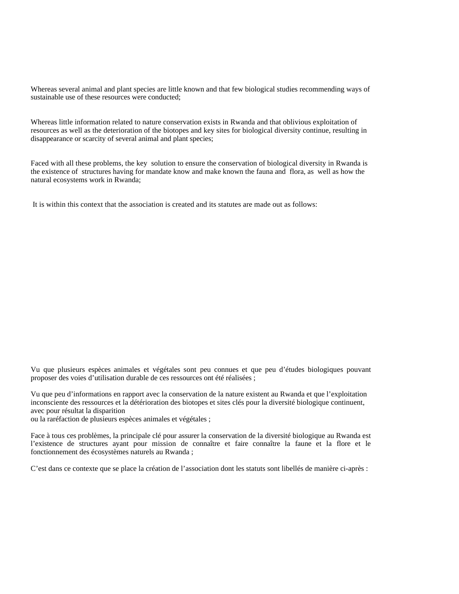Whereas several animal and plant species are little known and that few biological studies recommending ways of sustainable use of these resources were conducted;

Whereas little information related to nature conservation exists in Rwanda and that oblivious exploitation of resources as well as the deterioration of the biotopes and key sites for biological diversity continue, resulting in disappearance or scarcity of several animal and plant species;

Faced with all these problems, the key solution to ensure the conservation of biological diversity in Rwanda is the existence of structures having for mandate know and make known the fauna and flora, as well as how the natural ecosystems work in Rwanda;

It is within this context that the association is created and its statutes are made out as follows:

Vu que plusieurs espèces animales et végétales sont peu connues et que peu d'études biologiques pouvant proposer des voies d'utilisation durable de ces ressources ont été réalisées ;

Vu que peu d'informations en rapport avec la conservation de la nature existent au Rwanda et que l'exploitation inconsciente des ressources et la détérioration des biotopes et sites clés pour la diversité biologique continuent, avec pour résultat la disparition

ou la raréfaction de plusieurs espèces animales et végétales ;

Face à tous ces problèmes, la principale clé pour assurer la conservation de la diversité biologique au Rwanda est l'existence de structures ayant pour mission de connaître et faire connaître la faune et la flore et le fonctionnement des écosystèmes naturels au Rwanda ;

C'est dans ce contexte que se place la création de l'association dont les statuts sont libellés de manière ci-après :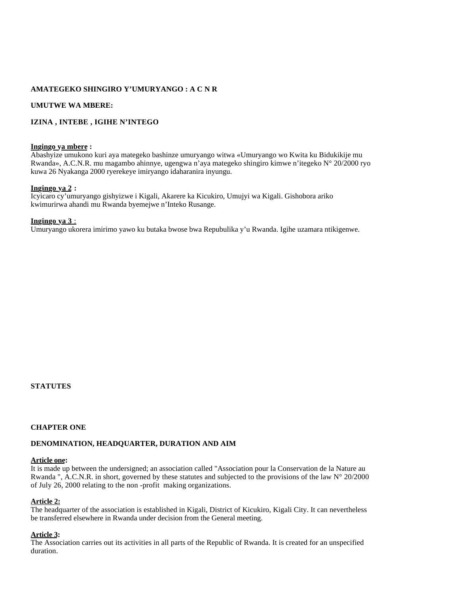## **AMATEGEKO SHINGIRO Y'UMURYANGO : A C N R**

## **UMUTWE WA MBERE:**

## **IZINA , INTEBE , IGIHE N'INTEGO**

#### **Ingingo ya mbere :**

Abashyize umukono kuri aya mategeko bashinze umuryango witwa «Umuryango wo Kwita ku Bidukikije mu Rwanda», A.C.N.R. mu magambo ahinnye, ugengwa n'aya mategeko shingiro kimwe n'itegeko N° 20/2000 ryo kuwa 26 Nyakanga 2000 ryerekeye imiryango idaharanira inyungu.

## **Ingingo ya 2 :**

Icyicaro cy'umuryango gishyizwe i Kigali, Akarere ka Kicukiro, Umujyi wa Kigali. Gishobora ariko kwimurirwa ahandi mu Rwanda byemejwe n'Inteko Rusange.

### **Ingingo ya 3** :

Umuryango ukorera imirimo yawo ku butaka bwose bwa Repubulika y'u Rwanda. Igihe uzamara ntikigenwe.

## **STATUTES**

## **CHAPTER ONE**

## **DENOMINATION, HEADQUARTER, DURATION AND AIM**

## **Article one:**

It is made up between the undersigned; an association called "Association pour la Conservation de la Nature au Rwanda ", A.C.N.R. in short, governed by these statutes and subjected to the provisions of the law N° 20/2000 of July 26, 2000 relating to the non -profit making organizations.

## **Article 2:**

The headquarter of the association is established in Kigali, District of Kicukiro, Kigali City. It can nevertheless be transferred elsewhere in Rwanda under decision from the General meeting.

## **Article 3:**

The Association carries out its activities in all parts of the Republic of Rwanda. It is created for an unspecified duration.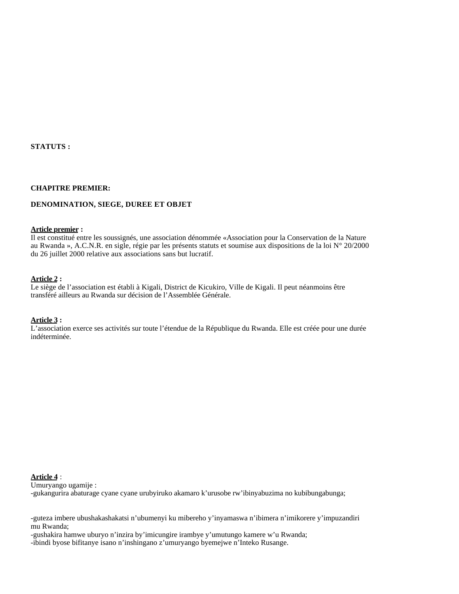**STATUTS :**

#### **CHAPITRE PREMIER:**

### **DENOMINATION, SIEGE, DUREE ET OBJET**

#### **Article premier :**

Il est constitué entre les soussignés, une association dénommée «Association pour la Conservation de la Nature au Rwanda », A.C.N.R. en sigle, régie par les présents statuts et soumise aux dispositions de la loi N° 20/2000 du 26 juillet 2000 relative aux associations sans but lucratif.

#### **Article 2 :**

Le siège de l'association est établi à Kigali, District de Kicukiro, Ville de Kigali. Il peut néanmoins être transféré ailleurs au Rwanda sur décision de l'Assemblée Générale.

#### **Article 3 :**

L'association exerce ses activités sur toute l'étendue de la République du Rwanda. Elle est créée pour une durée indéterminée.

## **Article 4** :

Umuryango ugamije : -gukangurira abaturage cyane cyane urubyiruko akamaro k'urusobe rw'ibinyabuzima no kubibungabunga;

-guteza imbere ubushakashakatsi n'ubumenyi ku mibereho y'inyamaswa n'ibimera n'imikorere y'impuzandiri mu Rwanda;

-gushakira hamwe uburyo n'inzira by'imicungire irambye y'umutungo kamere w'u Rwanda; -ibindi byose bifitanye isano n'inshingano z'umuryango byemejwe n'Inteko Rusange.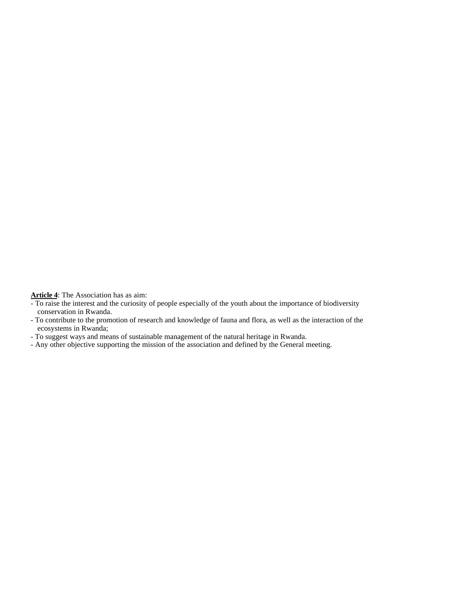**Article 4**: The Association has as aim:

- To raise the interest and the curiosity of people especially of the youth about the importance of biodiversity conservation in Rwanda.
- To contribute to the promotion of research and knowledge of fauna and flora, as well as the interaction of the ecosystems in Rwanda;
- To suggest ways and means of sustainable management of the natural heritage in Rwanda.
- Any other objective supporting the mission of the association and defined by the General meeting.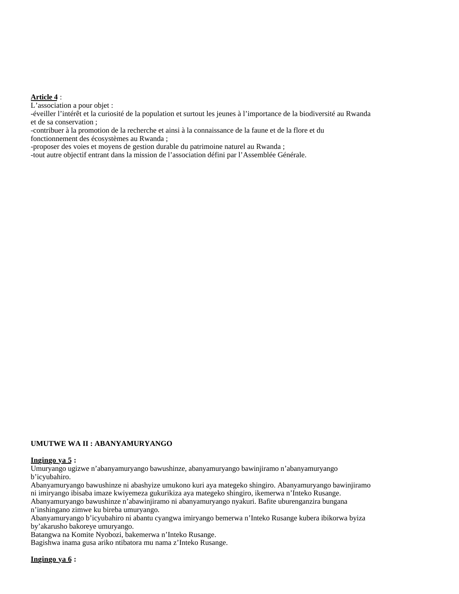#### **Article 4** :

L'association a pour objet :

-éveiller l'intérêt et la curiosité de la population et surtout les jeunes à l'importance de la biodiversité au Rwanda et de sa conservation ;

-contribuer à la promotion de la recherche et ainsi à la connaissance de la faune et de la flore et du fonctionnement des écosystèmes au Rwanda ;

-proposer des voies et moyens de gestion durable du patrimoine naturel au Rwanda ;

-tout autre objectif entrant dans la mission de l'association défini par l'Assemblée Générale.

#### **UMUTWE WA II : ABANYAMURYANGO**

#### **Ingingo ya 5 :**

Umuryango ugizwe n'abanyamuryango bawushinze, abanyamuryango bawinjiramo n'abanyamuryango b'icyubahiro.

Abanyamuryango bawushinze ni abashyize umukono kuri aya mategeko shingiro. Abanyamuryango bawinjiramo ni imiryango ibisaba imaze kwiyemeza gukurikiza aya mategeko shingiro, ikemerwa n'Inteko Rusange. Abanyamuryango bawushinze n'abawinjiramo ni abanyamuryango nyakuri. Bafite uburenganzira bungana n'inshingano zimwe ku bireba umuryango.

Abanyamuryango b'icyubahiro ni abantu cyangwa imiryango bemerwa n'Inteko Rusange kubera ibikorwa byiza by'akarusho bakoreye umuryango.

Batangwa na Komite Nyobozi, bakemerwa n'Inteko Rusange.

Bagishwa inama gusa ariko ntibatora mu nama z'Inteko Rusange.

### **Ingingo ya 6 :**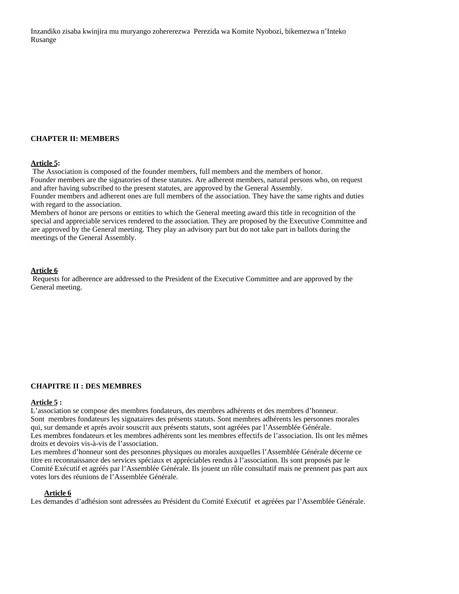Inzandiko zisaba kwinjira mu muryango zohererezwa Perezida wa Komite Nyobozi, bikemezwa n'Inteko Rusange

## **CHAPTER II: MEMBERS**

#### **Article 5:**

 The Association is composed of the founder members, full members and the members of honor. Founder members are the signatories of these statutes. Are adherent members, natural persons who, on request and after having subscribed to the present statutes, are approved by the General Assembly. Founder members and adherent ones are full members of the association. They have the same rights and duties with regard to the association.

Members of honor are persons or entities to which the General meeting award this title in recognition of the special and appreciable services rendered to the association. They are proposed by the Executive Committee and are approved by the General meeting. They play an advisory part but do not take part in ballots during the meetings of the General Assembly.

#### **Article 6**

 Requests for adherence are addressed to the President of the Executive Committee and are approved by the General meeting.

#### **CHAPITRE II : DES MEMBRES**

## **Article 5 :**

L'association se compose des membres fondateurs, des membres adhérents et des membres d'honneur. Sont membres fondateurs les signataires des présents statuts. Sont membres adhérents les personnes morales qui, sur demande et après avoir souscrit aux présents statuts, sont agréées par l'Assemblée Générale. Les membres fondateurs et les membres adhérents sont les membres effectifs de l'association. Ils ont les mêmes droits et devoirs vis-à-vis de l'association.

Les membres d'honneur sont des personnes physiques ou morales auxquelles l'Assemblée Générale décerne ce titre en reconnaissance des services spéciaux et appréciables rendus à l'association. Ils sont proposés par le Comité Exécutif et agréés par l'Assemblée Générale. Ils jouent un rôle consultatif mais ne prennent pas part aux votes lors des réunions de l'Assemblée Générale.

#### **Article 6**

Les demandes d'adhésion sont adressées au Président du Comité Exécutif et agréées par l'Assemblée Générale.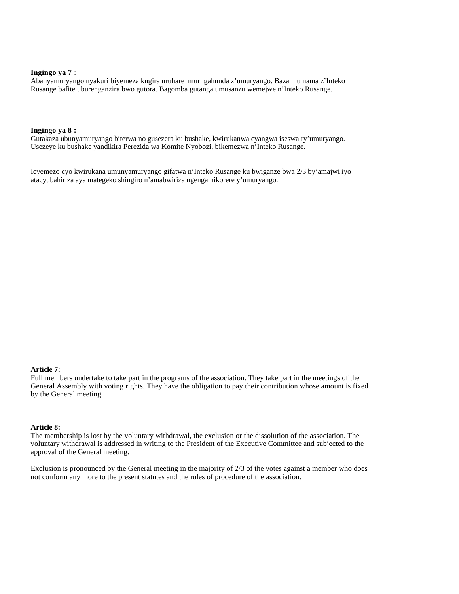## **Ingingo ya 7** :

Abanyamuryango nyakuri biyemeza kugira uruhare muri gahunda z'umuryango. Baza mu nama z'Inteko Rusange bafite uburenganzira bwo gutora. Bagomba gutanga umusanzu wemejwe n'Inteko Rusange.

#### **Ingingo ya 8 :**

Gutakaza ubunyamuryango biterwa no gusezera ku bushake, kwirukanwa cyangwa iseswa ry'umuryango. Usezeye ku bushake yandikira Perezida wa Komite Nyobozi, bikemezwa n'Inteko Rusange.

Icyemezo cyo kwirukana umunyamuryango gifatwa n'Inteko Rusange ku bwiganze bwa 2/3 by'amajwi iyo atacyubahiriza aya mategeko shingiro n'amabwiriza ngengamikorere y'umuryango.

#### **Article 7:**

Full members undertake to take part in the programs of the association. They take part in the meetings of the General Assembly with voting rights. They have the obligation to pay their contribution whose amount is fixed by the General meeting.

#### **Article 8:**

The membership is lost by the voluntary withdrawal, the exclusion or the dissolution of the association. The voluntary withdrawal is addressed in writing to the President of the Executive Committee and subjected to the approval of the General meeting.

Exclusion is pronounced by the General meeting in the majority of 2/3 of the votes against a member who does not conform any more to the present statutes and the rules of procedure of the association.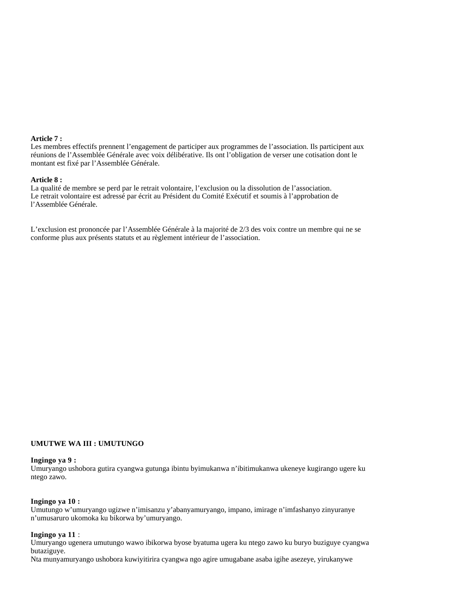#### **Article 7 :**

Les membres effectifs prennent l'engagement de participer aux programmes de l'association. Ils participent aux réunions de l'Assemblée Générale avec voix délibérative. Ils ont l'obligation de verser une cotisation dont le montant est fixé par l'Assemblée Générale.

#### **Article 8 :**

La qualité de membre se perd par le retrait volontaire, l'exclusion ou la dissolution de l'association. Le retrait volontaire est adressé par écrit au Président du Comité Exécutif et soumis à l'approbation de l'Assemblée Générale.

L'exclusion est prononcée par l'Assemblée Générale à la majorité de 2/3 des voix contre un membre qui ne se conforme plus aux présents statuts et au règlement intérieur de l'association.

#### **UMUTWE WA III : UMUTUNGO**

#### **Ingingo ya 9 :**

Umuryango ushobora gutira cyangwa gutunga ibintu byimukanwa n'ibitimukanwa ukeneye kugirango ugere ku ntego zawo.

#### **Ingingo ya 10 :**

Umutungo w'umuryango ugizwe n'imisanzu y'abanyamuryango, impano, imirage n'imfashanyo zinyuranye n'umusaruro ukomoka ku bikorwa by'umuryango.

#### **Ingingo ya 11** :

Umuryango ugenera umutungo wawo ibikorwa byose byatuma ugera ku ntego zawo ku buryo buziguye cyangwa butaziguye.

Nta munyamuryango ushobora kuwiyitirira cyangwa ngo agire umugabane asaba igihe asezeye, yirukanywe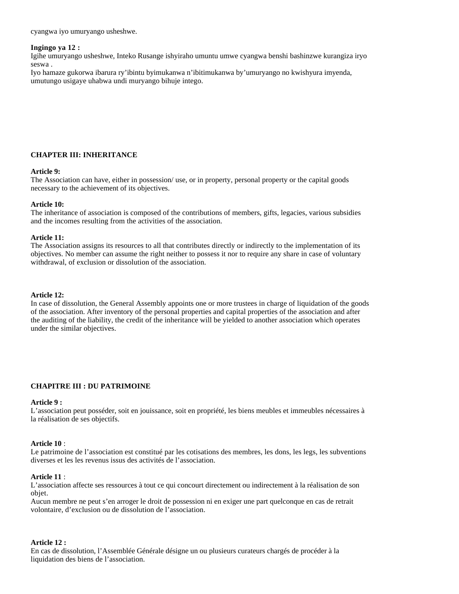cyangwa iyo umuryango usheshwe.

## **Ingingo ya 12 :**

Igihe umuryango usheshwe, Inteko Rusange ishyiraho umuntu umwe cyangwa benshi bashinzwe kurangiza iryo seswa .

Iyo hamaze gukorwa ibarura ry'ibintu byimukanwa n'ibitimukanwa by'umuryango no kwishyura imyenda, umutungo usigaye uhabwa undi muryango bihuje intego.

## **CHAPTER III: INHERITANCE**

#### **Article 9:**

The Association can have, either in possession/ use, or in property, personal property or the capital goods necessary to the achievement of its objectives.

### **Article 10:**

The inheritance of association is composed of the contributions of members, gifts, legacies, various subsidies and the incomes resulting from the activities of the association.

### **Article 11:**

The Association assigns its resources to all that contributes directly or indirectly to the implementation of its objectives. No member can assume the right neither to possess it nor to require any share in case of voluntary withdrawal, of exclusion or dissolution of the association.

## **Article 12:**

In case of dissolution, the General Assembly appoints one or more trustees in charge of liquidation of the goods of the association. After inventory of the personal properties and capital properties of the association and after the auditing of the liability, the credit of the inheritance will be yielded to another association which operates under the similar objectives.

## **CHAPITRE III : DU PATRIMOINE**

#### **Article 9 :**

L'association peut posséder, soit en jouissance, soit en propriété, les biens meubles et immeubles nécessaires à la réalisation de ses objectifs.

#### **Article 10** :

Le patrimoine de l'association est constitué par les cotisations des membres, les dons, les legs, les subventions diverses et les les revenus issus des activités de l'association.

#### **Article 11** :

L'association affecte ses ressources à tout ce qui concourt directement ou indirectement à la réalisation de son objet.

Aucun membre ne peut s'en arroger le droit de possession ni en exiger une part quelconque en cas de retrait volontaire, d'exclusion ou de dissolution de l'association.

#### **Article 12 :**

En cas de dissolution, l'Assemblée Générale désigne un ou plusieurs curateurs chargés de procéder à la liquidation des biens de l'association.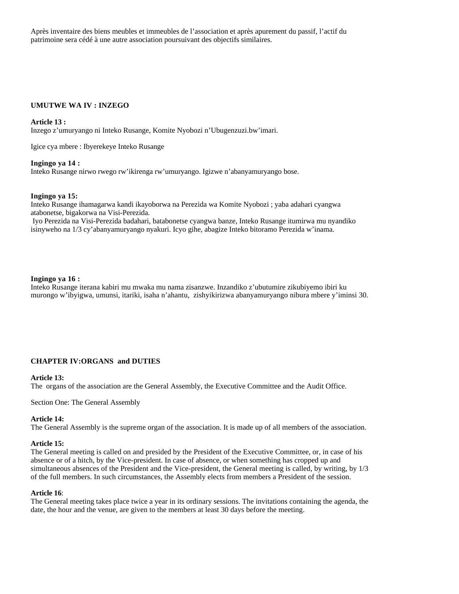Après inventaire des biens meubles et immeubles de l'association et après apurement du passif, l'actif du patrimoine sera cédé à une autre association poursuivant des objectifs similaires.

## **UMUTWE WA IV : INZEGO**

#### **Article 13 :**

Inzego z'umuryango ni Inteko Rusange, Komite Nyobozi n'Ubugenzuzi.bw'imari.

Igice cya mbere : Ibyerekeye Inteko Rusange

#### **Ingingo ya 14 :**

Inteko Rusange nirwo rwego rw'ikirenga rw'umuryango. Igizwe n'abanyamuryango bose.

#### **Ingingo ya 15:**

Inteko Rusange ihamagarwa kandi ikayoborwa na Perezida wa Komite Nyobozi ; yaba adahari cyangwa atabonetse, bigakorwa na Visi-Perezida. Iyo Perezida na Visi-Perezida badahari, batabonetse cyangwa banze, Inteko Rusange itumirwa mu nyandiko isinyweho na 1/3 cy'abanyamuryango nyakuri. Icyo gihe, abagize Inteko bitoramo Perezida w'inama.

#### **Ingingo ya 16 :**

Inteko Rusange iterana kabiri mu mwaka mu nama zisanzwe. Inzandiko z'ubutumire zikubiyemo ibiri ku murongo w'ibyigwa, umunsi, itariki, isaha n'ahantu, zishyikirizwa abanyamuryango nibura mbere y'iminsi 30.

#### **CHAPTER IV:ORGANS and DUTIES**

#### **Article 13:**

The organs of the association are the General Assembly, the Executive Committee and the Audit Office.

Section One: The General Assembly

#### **Article 14:**

The General Assembly is the supreme organ of the association. It is made up of all members of the association.

#### **Article 15:**

The General meeting is called on and presided by the President of the Executive Committee, or, in case of his absence or of a hitch, by the Vice-president. In case of absence, or when something has cropped up and simultaneous absences of the President and the Vice-president, the General meeting is called, by writing, by  $1/3$ of the full members. In such circumstances, the Assembly elects from members a President of the session.

#### **Article 16**:

The General meeting takes place twice a year in its ordinary sessions. The invitations containing the agenda, the date, the hour and the venue, are given to the members at least 30 days before the meeting.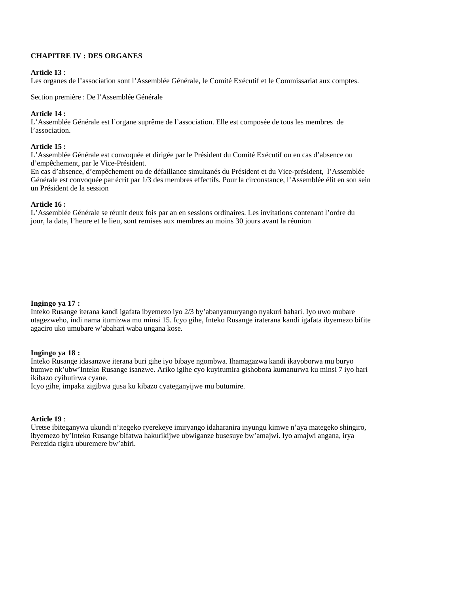## **CHAPITRE IV : DES ORGANES**

### **Article 13** :

Les organes de l'association sont l'Assemblée Générale, le Comité Exécutif et le Commissariat aux comptes.

Section première : De l'Assemblée Générale

### **Article 14 :**

L'Assemblée Générale est l'organe suprême de l'association. Elle est composée de tous les membres de l'association.

#### **Article 15 :**

L'Assemblée Générale est convoquée et dirigée par le Président du Comité Exécutif ou en cas d'absence ou d'empêchement, par le Vice-Président.

En cas d'absence, d'empêchement ou de défaillance simultanés du Président et du Vice-président, l'Assemblée Générale est convoquée par écrit par 1/3 des membres effectifs. Pour la circonstance, l'Assemblée élit en son sein un Président de la session

## **Article 16 :**

L'Assemblée Générale se réunit deux fois par an en sessions ordinaires. Les invitations contenant l'ordre du jour, la date, l'heure et le lieu, sont remises aux membres au moins 30 jours avant la réunion

## **Ingingo ya 17 :**

Inteko Rusange iterana kandi igafata ibyemezo iyo 2/3 by'abanyamuryango nyakuri bahari. Iyo uwo mubare utagezweho, indi nama itumizwa mu minsi 15. Icyo gihe, Inteko Rusange iraterana kandi igafata ibyemezo bifite agaciro uko umubare w'abahari waba ungana kose.

## **Ingingo ya 18 :**

Inteko Rusange idasanzwe iterana buri gihe iyo bibaye ngombwa. Ihamagazwa kandi ikayoborwa mu buryo bumwe nk'ubw'Inteko Rusange isanzwe. Ariko igihe cyo kuyitumira gishobora kumanurwa ku minsi 7 iyo hari ikibazo cyihutirwa cyane.

Icyo gihe, impaka zigibwa gusa ku kibazo cyateganyijwe mu butumire.

### **Article 19** :

Uretse ibiteganywa ukundi n'itegeko ryerekeye imiryango idaharanira inyungu kimwe n'aya mategeko shingiro, ibyemezo by'Inteko Rusange bifatwa hakurikijwe ubwiganze busesuye bw'amajwi. Iyo amajwi angana, irya Perezida rigira uburemere bw'abiri.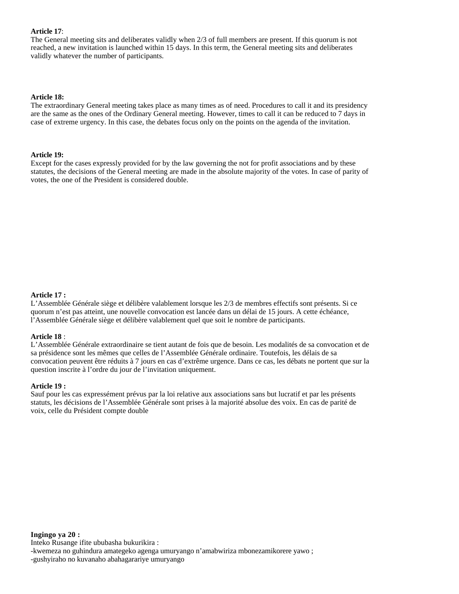#### **Article 17**:

The General meeting sits and deliberates validly when 2/3 of full members are present. If this quorum is not reached, a new invitation is launched within 15 days. In this term, the General meeting sits and deliberates validly whatever the number of participants.

### **Article 18:**

The extraordinary General meeting takes place as many times as of need. Procedures to call it and its presidency are the same as the ones of the Ordinary General meeting. However, times to call it can be reduced to 7 days in case of extreme urgency. In this case, the debates focus only on the points on the agenda of the invitation.

### **Article 19:**

Except for the cases expressly provided for by the law governing the not for profit associations and by these statutes, the decisions of the General meeting are made in the absolute majority of the votes. In case of parity of votes, the one of the President is considered double.

## **Article 17 :**

L'Assemblée Générale siège et délibère valablement lorsque les 2/3 de membres effectifs sont présents. Si ce quorum n'est pas atteint, une nouvelle convocation est lancée dans un délai de 15 jours. A cette échéance, l'Assemblée Générale siège et délibère valablement quel que soit le nombre de participants.

#### **Article 18** :

L'Assemblée Générale extraordinaire se tient autant de fois que de besoin. Les modalités de sa convocation et de sa présidence sont les mêmes que celles de l'Assemblée Générale ordinaire. Toutefois, les délais de sa convocation peuvent être réduits à 7 jours en cas d'extrême urgence. Dans ce cas, les débats ne portent que sur la question inscrite à l'ordre du jour de l'invitation uniquement.

#### **Article 19 :**

Sauf pour les cas expressément prévus par la loi relative aux associations sans but lucratif et par les présents statuts, les décisions de l'Assemblée Générale sont prises à la majorité absolue des voix. En cas de parité de voix, celle du Président compte double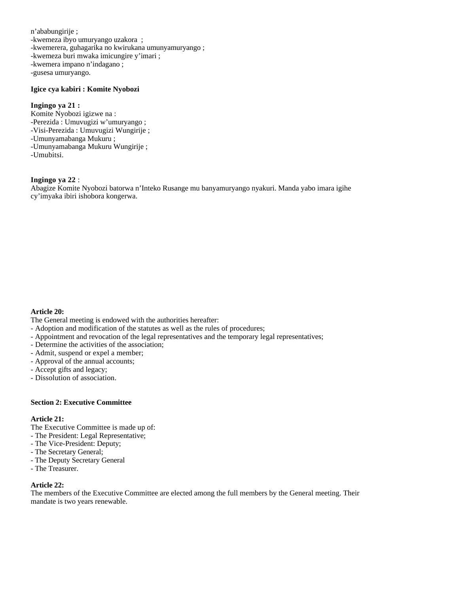n'ababungirije ; -kwemeza ibyo umuryango uzakora ; -kwemerera, guhagarika no kwirukana umunyamuryango ; -kwemeza buri mwaka imicungire y'imari ; -kwemera impano n'indagano ; -gusesa umuryango.

#### **Igice cya kabiri : Komite Nyobozi**

## **Ingingo ya 21 :**

Komite Nyobozi igizwe na : -Perezida : Umuvugizi w'umuryango ; -Visi-Perezida : Umuvugizi Wungirije ; -Umunyamabanga Mukuru ; -Umunyamabanga Mukuru Wungirije ; -Umubitsi.

## **Ingingo ya 22** :

Abagize Komite Nyobozi batorwa n'Inteko Rusange mu banyamuryango nyakuri. Manda yabo imara igihe cy'imyaka ibiri ishobora kongerwa.

## **Article 20:**

The General meeting is endowed with the authorities hereafter:

- Adoption and modification of the statutes as well as the rules of procedures;
- Appointment and revocation of the legal representatives and the temporary legal representatives;
- Determine the activities of the association;
- Admit, suspend or expel a member;
- Approval of the annual accounts;
- Accept gifts and legacy;
- Dissolution of association.

### **Section 2: Executive Committee**

### **Article 21:**

The Executive Committee is made up of:

- The President: Legal Representative;
- The Vice-President: Deputy;
- The Secretary General;
- The Deputy Secretary General
- The Treasurer.

#### **Article 22:**

The members of the Executive Committee are elected among the full members by the General meeting. Their mandate is two years renewable.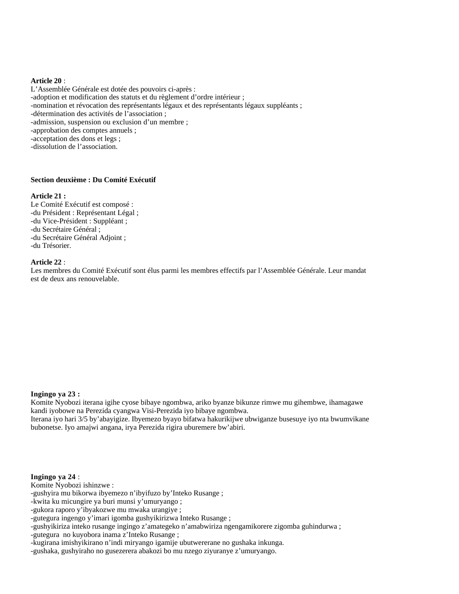#### **Article 20** :

L'Assemblée Générale est dotée des pouvoirs ci-après : -adoption et modification des statuts et du règlement d'ordre intérieur ; -nomination et révocation des représentants légaux et des représentants légaux suppléants ; -détermination des activités de l'association ; -admission, suspension ou exclusion d'un membre ; -approbation des comptes annuels ; -acceptation des dons et legs ; -dissolution de l'association.

#### **Section deuxième : Du Comité Exécutif**

#### **Article 21 :**

Le Comité Exécutif est composé : -du Président : Représentant Légal ; -du Vice-Président : Suppléant ; -du Secrétaire Général ; -du Secrétaire Général Adjoint ; -du Trésorier.

#### **Article 22** :

Les membres du Comité Exécutif sont élus parmi les membres effectifs par l'Assemblée Générale. Leur mandat est de deux ans renouvelable.

#### **Ingingo ya 23 :**

Komite Nyobozi iterana igihe cyose bibaye ngombwa, ariko byanze bikunze rimwe mu gihembwe, ihamagawe kandi iyobowe na Perezida cyangwa Visi-Perezida iyo bibaye ngombwa. Iterana iyo hari 3/5 by'abayigize. Ibyemezo byayo bifatwa hakurikijwe ubwiganze busesuye iyo nta bwumvikane bubonetse. Iyo amajwi angana, irya Perezida rigira uburemere bw'abiri.

### **Ingingo ya 24** :

Komite Nyobozi ishinzwe :

-gushyira mu bikorwa ibyemezo n'ibyifuzo by'Inteko Rusange ;

-kwita ku micungire ya buri munsi y'umuryango ;

-gukora raporo y'ibyakozwe mu mwaka urangiye ;

-gutegura ingengo y'imari igomba gushyikirizwa Inteko Rusange ;

-gushyikiriza inteko rusange ingingo z'amategeko n'amabwiriza ngengamikorere zigomba guhindurwa ;

-gutegura no kuyobora inama z'Inteko Rusange ;

-kugirana imishyikirano n'indi miryango igamije ubutwererane no gushaka inkunga.

-gushaka, gushyiraho no gusezerera abakozi bo mu nzego ziyuranye z'umuryango.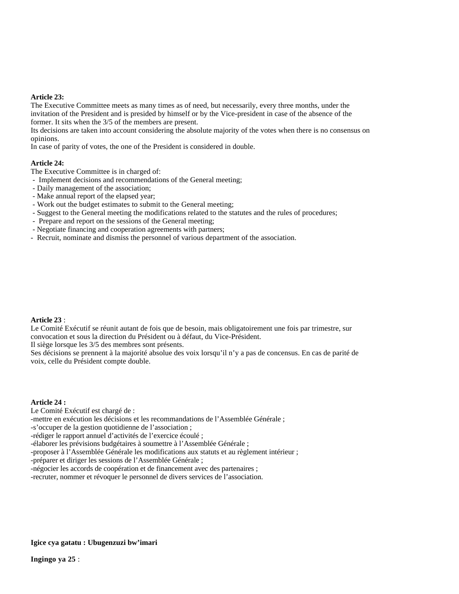### **Article 23:**

The Executive Committee meets as many times as of need, but necessarily, every three months, under the invitation of the President and is presided by himself or by the Vice-president in case of the absence of the former. It sits when the 3/5 of the members are present.

Its decisions are taken into account considering the absolute majority of the votes when there is no consensus on opinions.

In case of parity of votes, the one of the President is considered in double.

### **Article 24:**

The Executive Committee is in charged of:

- Implement decisions and recommendations of the General meeting;

- Daily management of the association;
- Make annual report of the elapsed year;
- Work out the budget estimates to submit to the General meeting;
- Suggest to the General meeting the modifications related to the statutes and the rules of procedures;
- Prepare and report on the sessions of the General meeting;
- Negotiate financing and cooperation agreements with partners;
- Recruit, nominate and dismiss the personnel of various department of the association.

#### **Article 23** :

Le Comité Exécutif se réunit autant de fois que de besoin, mais obligatoirement une fois par trimestre, sur convocation et sous la direction du Président ou à défaut, du Vice-Président.

Il siège lorsque les 3/5 des membres sont présents.

Ses décisions se prennent à la majorité absolue des voix lorsqu'il n'y a pas de concensus. En cas de parité de voix, celle du Président compte double.

#### **Article 24 :**

Le Comité Exécutif est chargé de :

-mettre en exécution les décisions et les recommandations de l'Assemblée Générale ;

-s'occuper de la gestion quotidienne de l'association ;

-rédiger le rapport annuel d'activités de l'exercice écoulé ;

-élaborer les prévisions budgétaires à soumettre à l'Assemblée Générale ;

-proposer à l'Assemblée Générale les modifications aux statuts et au règlement intérieur ;

-préparer et diriger les sessions de l'Assemblée Générale ;

-négocier les accords de coopération et de financement avec des partenaires ;

-recruter, nommer et révoquer le personnel de divers services de l'association.

#### **Igice cya gatatu : Ubugenzuzi bw'imari**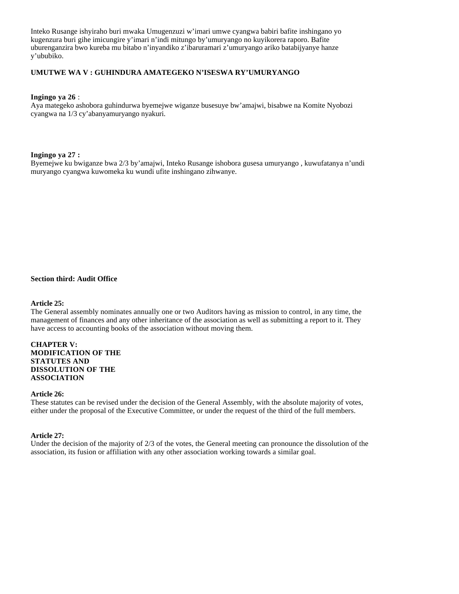Inteko Rusange ishyiraho buri mwaka Umugenzuzi w'imari umwe cyangwa babiri bafite inshingano yo kugenzura buri gihe imicungire y'imari n'indi mitungo by'umuryango no kuyikorera raporo. Bafite uburenganzira bwo kureba mu bitabo n'inyandiko z'ibaruramari z'umuryango ariko batabijyanye hanze y'ububiko.

### **UMUTWE WA V : GUHINDURA AMATEGEKO N'ISESWA RY'UMURYANGO**

#### **Ingingo ya 26** :

Aya mategeko ashobora guhindurwa byemejwe wiganze busesuye bw'amajwi, bisabwe na Komite Nyobozi cyangwa na 1/3 cy'abanyamuryango nyakuri.

### **Ingingo ya 27 :**

Byemejwe ku bwiganze bwa 2/3 by'amajwi, Inteko Rusange ishobora gusesa umuryango , kuwufatanya n'undi muryango cyangwa kuwomeka ku wundi ufite inshingano zihwanye.

#### **Section third: Audit Office**

#### **Article 25:**

The General assembly nominates annually one or two Auditors having as mission to control, in any time, the management of finances and any other inheritance of the association as well as submitting a report to it. They have access to accounting books of the association without moving them.

#### **CHAPTER V: MODIFICATION OF THE STATUTES AND DISSOLUTION OF THE ASSOCIATION**

#### **Article 26:**

These statutes can be revised under the decision of the General Assembly, with the absolute majority of votes, either under the proposal of the Executive Committee, or under the request of the third of the full members.

#### **Article 27:**

Under the decision of the majority of 2/3 of the votes, the General meeting can pronounce the dissolution of the association, its fusion or affiliation with any other association working towards a similar goal.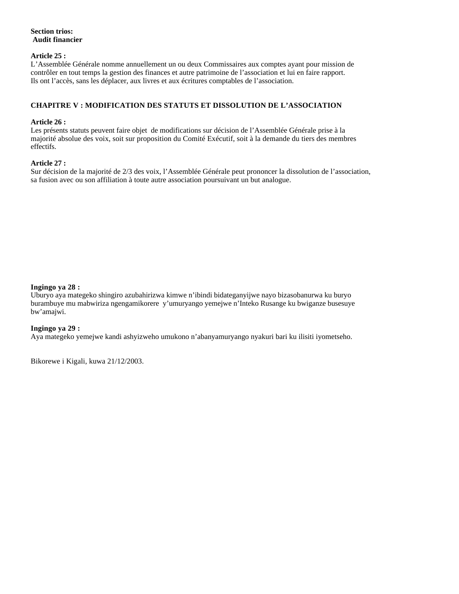### **Section trios: Audit financier**

### **Article 25 :**

L'Assemblée Générale nomme annuellement un ou deux Commissaires aux comptes ayant pour mission de contrôler en tout temps la gestion des finances et autre patrimoine de l'association et lui en faire rapport. Ils ont l'accès, sans les déplacer, aux livres et aux écritures comptables de l'association.

### **CHAPITRE V : MODIFICATION DES STATUTS ET DISSOLUTION DE L'ASSOCIATION**

### **Article 26 :**

Les présents statuts peuvent faire objet de modifications sur décision de l'Assemblée Générale prise à la majorité absolue des voix, soit sur proposition du Comité Exécutif, soit à la demande du tiers des membres effectifs.

### **Article 27 :**

Sur décision de la majorité de 2/3 des voix, l'Assemblée Générale peut prononcer la dissolution de l'association, sa fusion avec ou son affiliation à toute autre association poursuivant un but analogue.

### **Ingingo ya 28 :**

Uburyo aya mategeko shingiro azubahirizwa kimwe n'ibindi bidateganyijwe nayo bizasobanurwa ku buryo burambuye mu mabwiriza ngengamikorere y'umuryango yemejwe n'Inteko Rusange ku bwiganze busesuye bw'amajwi.

### **Ingingo ya 29 :**

Aya mategeko yemejwe kandi ashyizweho umukono n'abanyamuryango nyakuri bari ku ilisiti iyometseho.

Bikorewe i Kigali, kuwa 21/12/2003.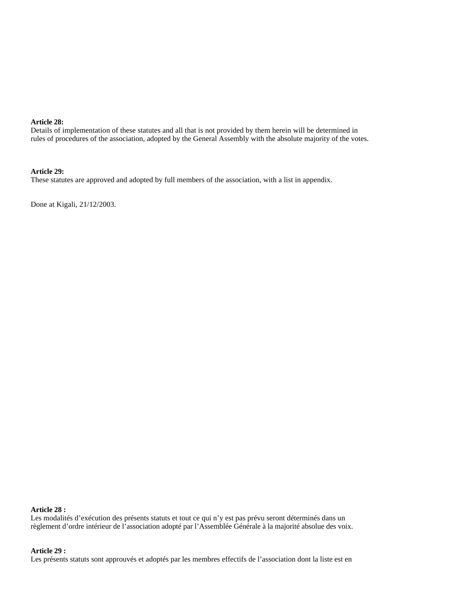### **Article 28:**

Details of implementation of these statutes and all that is not provided by them herein will be determined in rules of procedures of the association, adopted by the General Assembly with the absolute majority of the votes.

#### **Article 29:**

These statutes are approved and adopted by full members of the association, with a list in appendix.

Done at Kigali, 21/12/2003.

#### **Article 28 :**

Les modalités d'exécution des présents statuts et tout ce qui n'y est pas prévu seront déterminés dans un règlement d'ordre intérieur de l'association adopté par l'Assemblée Générale à la majorité absolue des voix.

### **Article 29 :**

Les présents statuts sont approuvés et adoptés par les membres effectifs de l'association dont la liste est en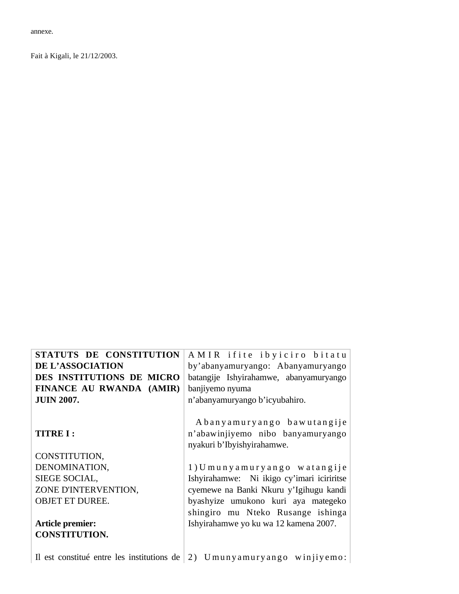annexe.

Fait à Kigali, le 21/12/2003.

| STATUTS DE CONSTITUTION   | AMIR ifite ibyiciro bitatu                                                                    |
|---------------------------|-----------------------------------------------------------------------------------------------|
| DE L'ASSOCIATION          | by'abanyamuryango: Abanyamuryango                                                             |
| DES INSTITUTIONS DE MICRO | batangije Ishyirahamwe, abanyamuryango                                                        |
| FINANCE AU RWANDA (AMIR)  | banjiyemo nyuma                                                                               |
| <b>JUIN 2007.</b>         | n'abanyamuryango b'icyubahiro.                                                                |
| <b>TITRE I:</b>           | Abanyamuryango bawutangije<br>n'abawinjiyemo nibo banyamuryango<br>nyakuri b'Ibyishyirahamwe. |
| CONSTITUTION,             |                                                                                               |
| DENOMINATION,             | 1) Umunyamuryango watangije                                                                   |
| SIEGE SOCIAL,             | Ishyirahamwe: Ni ikigo cy'imari iciriritse                                                    |
| ZONE D'INTERVENTION,      | cyemewe na Banki Nkuru y'Igihugu kandi                                                        |
| <b>OBJET ET DUREE.</b>    | byashyize umukono kuri aya mategeko                                                           |
|                           | shingiro mu Nteko Rusange ishinga                                                             |
| Article premier:          | Ishyirahamwe yo ku wa 12 kamena 2007.                                                         |
| <b>CONSTITUTION.</b>      |                                                                                               |
|                           | Il est constitué entre les institutions de $(2)$ Umunyamuryango winjiyemo:                    |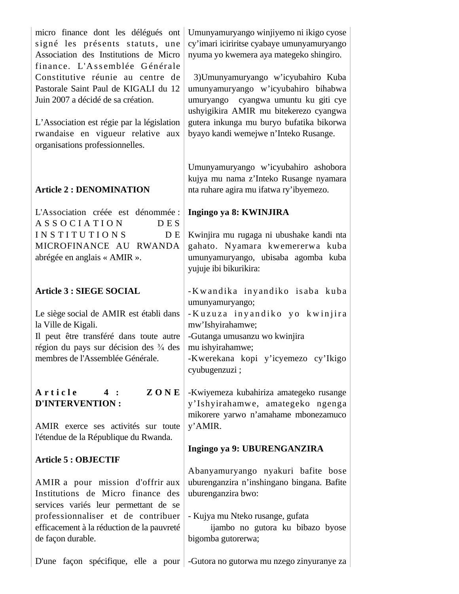| micro finance dont les délégués ont<br>signé les présents statuts, une<br>Association des Institutions de Micro<br>finance. L'Assemblée Générale<br>Constitutive réunie au centre de<br>Pastorale Saint Paul de KIGALI du 12<br>Juin 2007 a décidé de sa création.<br>L'Association est régie par la législation<br>rwandaise en vigueur relative aux<br>organisations professionnelles. | Umunyamuryango winjiyemo ni ikigo cyose<br>cy'imari iciriritse cyabaye umunyamuryango<br>nyuma yo kwemera aya mategeko shingiro.<br>3) Umunyamuryango w'icyubahiro Kuba<br>umunyamuryango w'icyubahiro bihabwa<br>umuryango cyangwa umuntu ku giti cye<br>ushyigikira AMIR mu bitekerezo cyangwa<br>gutera inkunga mu buryo bufatika bikorwa<br>byayo kandi wemejwe n'Inteko Rusange. |
|------------------------------------------------------------------------------------------------------------------------------------------------------------------------------------------------------------------------------------------------------------------------------------------------------------------------------------------------------------------------------------------|---------------------------------------------------------------------------------------------------------------------------------------------------------------------------------------------------------------------------------------------------------------------------------------------------------------------------------------------------------------------------------------|
| <b>Article 2 : DENOMINATION</b>                                                                                                                                                                                                                                                                                                                                                          | Umunyamuryango w'icyubahiro ashobora<br>kujya mu nama z'Inteko Rusange nyamara<br>nta ruhare agira mu ifatwa ry'ibyemezo.                                                                                                                                                                                                                                                             |
| L'Association créée est dénommée :<br><b>ASSOCIATION</b><br><b>DES</b>                                                                                                                                                                                                                                                                                                                   | Ingingo ya 8: KWINJIRA                                                                                                                                                                                                                                                                                                                                                                |
| <b>INSTITUTIONS</b><br>D E<br>MICROFINANCE AU RWANDA<br>abrégée en anglais « AMIR ».                                                                                                                                                                                                                                                                                                     | Kwinjira mu rugaga ni ubushake kandi nta<br>gahato. Nyamara kwemererwa kuba<br>umunyamuryango, ubisaba agomba kuba<br>yujuje ibi bikurikira:                                                                                                                                                                                                                                          |
| <b>Article 3 : SIEGE SOCIAL</b>                                                                                                                                                                                                                                                                                                                                                          | -Kwandika inyandiko isaba kuba                                                                                                                                                                                                                                                                                                                                                        |
| Le siège social de AMIR est établi dans<br>la Ville de Kigali.<br>Il peut être transféré dans toute autre<br>région du pays sur décision des 3/4 des<br>membres de l'Assemblée Générale.                                                                                                                                                                                                 | umunyamuryango;<br>-Kuzuza inyandiko yo kwinjira<br>mw'Ishyirahamwe;<br>-Gutanga umusanzu wo kwinjira<br>mu ishyirahamwe;<br>Kwerekana kopi y'icyemezo cy'Ikigo<br>cyubugenzuzi;                                                                                                                                                                                                      |
| ZONE<br>Article<br>4:<br><b>D'INTERVENTION:</b><br>AMIR exerce ses activités sur toute                                                                                                                                                                                                                                                                                                   | -Kwiyemeza kubahiriza amategeko rusange<br>y'Ishyirahamwe, amategeko ngenga<br>mikorere yarwo n'amahame mbonezamuco<br>y'AMIR.                                                                                                                                                                                                                                                        |
| l'étendue de la République du Rwanda.                                                                                                                                                                                                                                                                                                                                                    | Ingingo ya 9: UBURENGANZIRA                                                                                                                                                                                                                                                                                                                                                           |
| <b>Article 5: OBJECTIF</b><br>AMIR a pour mission d'offrir aux<br>Institutions de Micro finance des                                                                                                                                                                                                                                                                                      | Abanyamuryango nyakuri bafite bose<br>uburenganzira n'inshingano bingana. Bafite<br>uburenganzira bwo:                                                                                                                                                                                                                                                                                |
| services variés leur permettant de se<br>professionnaliser et de contribuer<br>efficacement à la réduction de la pauvreté<br>de façon durable.                                                                                                                                                                                                                                           | - Kujya mu Nteko rusange, gufata<br>ijambo no gutora ku bibazo byose<br>bigomba gutorerwa;                                                                                                                                                                                                                                                                                            |
|                                                                                                                                                                                                                                                                                                                                                                                          | D'une façon spécifique, elle a pour -Gutora no gutorwa mu nzego zinyuranye za                                                                                                                                                                                                                                                                                                         |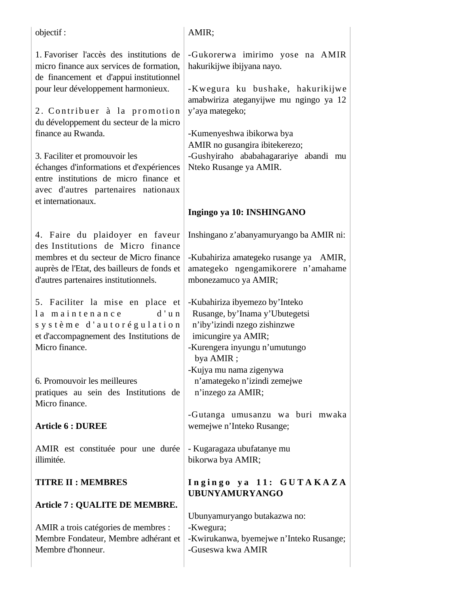| objectif :                                                                                                                                                                                                                                                                                                                                                                                                                                                    | AMIR;                                                                                                                                                                                                                                                                                            |
|---------------------------------------------------------------------------------------------------------------------------------------------------------------------------------------------------------------------------------------------------------------------------------------------------------------------------------------------------------------------------------------------------------------------------------------------------------------|--------------------------------------------------------------------------------------------------------------------------------------------------------------------------------------------------------------------------------------------------------------------------------------------------|
| 1. Favoriser l'accès des institutions de<br>micro finance aux services de formation,<br>de financement et d'appui institutionnel<br>pour leur développement harmonieux.<br>2. Contribuer à la promotion<br>du développement du secteur de la micro<br>finance au Rwanda.<br>3. Faciliter et promouvoir les<br>échanges d'informations et d'expériences<br>entre institutions de micro finance et<br>avec d'autres partenaires nationaux<br>et internationaux. | -Gukorerwa imirimo yose na AMIR<br>hakurikijwe ibijyana nayo.<br>-Kwegura ku bushake, hakurikijwe<br>amabwiriza ateganyijwe mu ngingo ya 12<br>y'aya mategeko;<br>-Kumenyeshwa ibikorwa bya<br>AMIR no gusangira ibitekerezo;<br>-Gushyiraho ababahagarariye abandi mu<br>Nteko Rusange ya AMIR. |
|                                                                                                                                                                                                                                                                                                                                                                                                                                                               | Ingingo ya 10: INSHINGANO                                                                                                                                                                                                                                                                        |
| 4. Faire du plaidoyer en faveur<br>des Institutions de Micro finance<br>membres et du secteur de Micro finance<br>auprès de l'Etat, des bailleurs de fonds et<br>d'autres partenaires institutionnels.                                                                                                                                                                                                                                                        | Inshingano z'abanyamuryango ba AMIR ni:<br>-Kubahiriza amategeko rusange ya AMIR,<br>amategeko ngengamikorere n'amahame<br>mbonezamuco ya AMIR;                                                                                                                                                  |
| 5. Faciliter la mise en place et<br>la maintenance<br>$d'$ un<br>système d'autorégulation<br>et d'accompagnement des Institutions de<br>Micro finance.                                                                                                                                                                                                                                                                                                        | -Kubahiriza ibyemezo by'Inteko<br>Rusange, by'Inama y'Ubutegetsi<br>n'iby'izindi nzego zishinzwe<br>imicungire ya AMIR;<br>-Kurengera inyungu n'umutungo<br>bya AMIR;                                                                                                                            |
| 6. Promouvoir les meilleures<br>pratiques au sein des Institutions de<br>Micro finance.                                                                                                                                                                                                                                                                                                                                                                       | -Kujya mu nama zigenywa<br>n'amategeko n'izindi zemejwe<br>n'inzego za AMIR;                                                                                                                                                                                                                     |
| <b>Article 6 : DUREE</b>                                                                                                                                                                                                                                                                                                                                                                                                                                      | -Gutanga umusanzu wa buri mwaka<br>wemejwe n'Inteko Rusange;                                                                                                                                                                                                                                     |
| AMIR est constituée pour une durée<br>illimitée.                                                                                                                                                                                                                                                                                                                                                                                                              | - Kugaragaza ubufatanye mu<br>bikorwa bya AMIR;                                                                                                                                                                                                                                                  |
| <b>TITRE II: MEMBRES</b><br>Article 7 : QUALITE DE MEMBRE.                                                                                                                                                                                                                                                                                                                                                                                                    | Ingingo ya 11: GUTAKAZA<br><b>UBUNYAMURYANGO</b>                                                                                                                                                                                                                                                 |
| AMIR a trois catégories de membres :<br>Membre Fondateur, Membre adhérant et<br>Membre d'honneur.                                                                                                                                                                                                                                                                                                                                                             | Ubunyamuryango butakazwa no:<br>-Kwegura;<br>-Kwirukanwa, byemejwe n'Inteko Rusange;<br>-Guseswa kwa AMIR                                                                                                                                                                                        |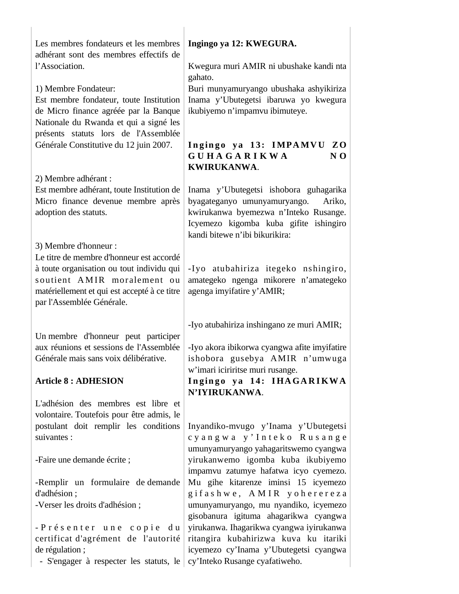| Les membres fondateurs et les membres<br>adhérant sont des membres effectifs de    | Ingingo ya 12: KWEGURA.                                                           |
|------------------------------------------------------------------------------------|-----------------------------------------------------------------------------------|
| l'Association.                                                                     | Kwegura muri AMIR ni ubushake kandi nta<br>gahato.                                |
| 1) Membre Fondateur:                                                               | Buri munyamuryango ubushaka ashyikiriza                                           |
| Est membre fondateur, toute Institution                                            | Inama y'Ubutegetsi ibaruwa yo kwegura                                             |
| de Micro finance agréée par la Banque<br>Nationale du Rwanda et qui a signé les    | ikubiyemo n'impamvu ibimuteye.                                                    |
| présents statuts lors de l'Assemblée                                               |                                                                                   |
| Générale Constitutive du 12 juin 2007.                                             | Ingingo ya 13: IMPAMVU ZO<br><b>GUHAGARIKWA</b><br>N <sub>0</sub><br>KWIRUKANWA.  |
| 2) Membre adhérant :                                                               |                                                                                   |
| Est membre adhérant, toute Institution de                                          | Inama y'Ubutegetsi ishobora guhagarika                                            |
| Micro finance devenue membre après<br>adoption des statuts.                        | byagateganyo umunyamuryango.<br>Ariko,<br>kwirukanwa byemezwa n'Inteko Rusange.   |
|                                                                                    | Icyemezo kigomba kuba gifite ishingiro<br>kandi bitewe n'ibi bikurikira:          |
| 3) Membre d'honneur :                                                              |                                                                                   |
| Le titre de membre d'honneur est accordé                                           |                                                                                   |
| à toute organisation ou tout individu qui<br>soutient AMIR moralement ou           | -Iyo atubahiriza itegeko nshingiro,<br>amategeko ngenga mikorere n'amategeko      |
| matériellement et qui est accepté à ce titre                                       | agenga imyifatire y'AMIR;                                                         |
| par l'Assemblée Générale.                                                          |                                                                                   |
|                                                                                    | -Iyo atubahiriza inshingano ze muri AMIR;                                         |
| Un membre d'honneur peut participer                                                |                                                                                   |
| aux réunions et sessions de l'Assemblée                                            | -Iyo akora ibikorwa cyangwa afite imyifatire                                      |
| Générale mais sans voix délibérative.                                              | ishobora gusebya AMIR n'umwuga<br>w'imari iciriritse muri rusange.                |
| <b>Article 8: ADHESION</b>                                                         | Ingingo ya 14: IHAGARIKWA                                                         |
|                                                                                    | N'IYIRUKANWA.                                                                     |
| L'adhésion des membres est libre et                                                |                                                                                   |
| volontaire. Toutefois pour être admis, le<br>postulant doit remplir les conditions | Inyandiko-mvugo y'Inama y'Ubutegetsi                                              |
| suivantes :                                                                        | cyangwa y'Inteko Rusange                                                          |
|                                                                                    | umunyamuryango yahagaritswemo cyangwa                                             |
| -Faire une demande écrite ;                                                        | yirukanwemo igomba kuba ikubiyemo                                                 |
| -Remplir un formulaire de demande                                                  | impamvu zatumye hafatwa icyo cyemezo.<br>Mu gihe kitarenze iminsi 15 icyemezo     |
| d'adhésion;                                                                        | gifashwe, AMIR yoherereza                                                         |
| -Verser les droits d'adhésion;                                                     | umunyamuryango, mu nyandiko, icyemezo                                             |
|                                                                                    | gisobanura igituma ahagarikwa cyangwa                                             |
| -Présenter une copie<br>d u<br>certificat d'agrément de l'autorité                 | yirukanwa. Ihagarikwa cyangwa iyirukanwa<br>ritangira kubahirizwa kuva ku itariki |
| de régulation;                                                                     | icyemezo cy'Inama y'Ubutegetsi cyangwa                                            |
| - S'engager à respecter les statuts, le                                            | cy'Inteko Rusange cyafatiweho.                                                    |
|                                                                                    |                                                                                   |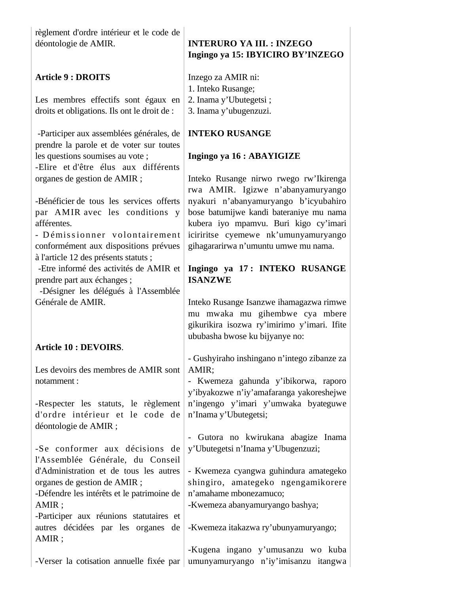règlement d'ordre intérieur et le code de déontologie de AMIR.

## **Article 9 : DROITS**

Les membres effectifs sont égaux en droits et obligations. Ils ont le droit de :

 -Participer aux assemblées générales, de prendre la parole et de voter sur toutes les questions soumises au vote ; -Elire et d'être élus aux différents organes de gestion de AMIR ;

-Bénéficier de tous les services offerts par AMIR avec les conditions y afférentes.

- Démissionner volontairement conformément aux dispositions prévues à l'article 12 des présents statuts ;

 -Etre informé des activités de AMIR et prendre part aux échanges ;

 -Désigner les délégués à l'Assemblée Générale de AMIR.

## **Article 10 : DEVOIRS**.

Les devoirs des membres de AMIR sont notamment :

-Respecter les statuts, le règlement d'ordre intérieur et le code de déontologie de AMIR ;

-Se conformer aux décisions de l'Assemblée Générale, du Conseil d'Administration et de tous les autres organes de gestion de AMIR ;

-Défendre les intérêts et le patrimoine de AMIR ;

-Participer aux réunions statutaires et autres décidées par les organes de AMIR ;

-Verser la cotisation annuelle fixée par umunyamuryango n'iy'imisanzu itangwa

# **INTERURO YA III. : INZEGO Ingingo ya 15: IBYICIRO BY'INZEGO**

Inzego za AMIR ni: 1. Inteko Rusange; 2. Inama y'Ubutegetsi ; 3. Inama y'ubugenzuzi.

## **INTEKO RUSANGE**

### **Ingingo ya 16 : ABAYIGIZE**

Inteko Rusange nirwo rwego rw'Ikirenga rwa AMIR. Igizwe n'abanyamuryango nyakuri n'abanyamuryango b'icyubahiro bose batumijwe kandi bateraniye mu nama kubera iyo mpamvu. Buri kigo cy'imari iciriritse cyemewe nk'umunyamuryango gihagararirwa n'umuntu umwe mu nama.

## **Ingingo ya 17 : INTEKO RUSANGE ISANZWE**

Inteko Rusange Isanzwe ihamagazwa rimwe mu mwaka mu gihembwe cya mbere gikurikira isozwa ry'imirimo y'imari. Ifite ububasha bwose ku bijyanye no:

- Gushyiraho inshingano n'intego zibanze za AMIR;

- Kwemeza gahunda y'ibikorwa, raporo y'ibyakozwe n'iy'amafaranga yakoreshejwe n'ingengo y'imari y'umwaka byateguwe n'Inama y'Ubutegetsi;

- Gutora no kwirukana abagize Inama y'Ubutegetsi n'Inama y'Ubugenzuzi;

- Kwemeza cyangwa guhindura amategeko shingiro, amategeko ngengamikorere n'amahame mbonezamuco;

-Kwemeza abanyamuryango bashya;

-Kwemeza itakazwa ry'ubunyamuryango;

-Kugena ingano y'umusanzu wo kuba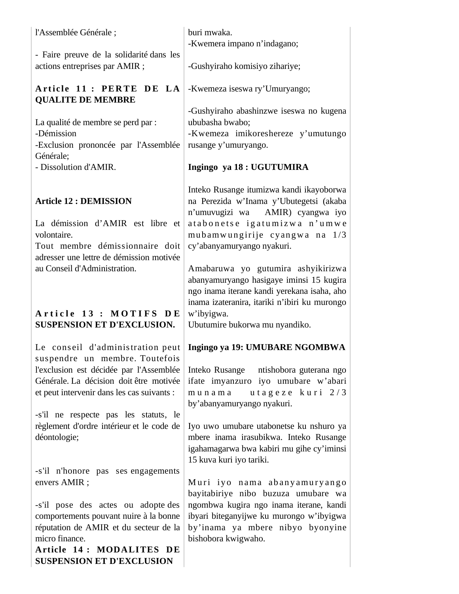| l'Assemblée Générale;                                                                                                                                                                                                                                                                                        | buri mwaka.<br>-Kwemera impano n'indagano;                                                                                                                                                                                                                                                                                                              |
|--------------------------------------------------------------------------------------------------------------------------------------------------------------------------------------------------------------------------------------------------------------------------------------------------------------|---------------------------------------------------------------------------------------------------------------------------------------------------------------------------------------------------------------------------------------------------------------------------------------------------------------------------------------------------------|
| - Faire preuve de la solidarité dans les<br>actions entreprises par AMIR ;                                                                                                                                                                                                                                   | -Gushyiraho komisiyo zihariye;                                                                                                                                                                                                                                                                                                                          |
| Article 11 : PERTE DE LA<br><b>QUALITE DE MEMBRE</b>                                                                                                                                                                                                                                                         | -Kwemeza iseswa ry'Umuryango;                                                                                                                                                                                                                                                                                                                           |
| La qualité de membre se perd par :<br>-Démission<br>-Exclusion prononcée par l'Assemblée<br>Générale;                                                                                                                                                                                                        | -Gushyiraho abashinzwe iseswa no kugena<br>ububasha bwabo;<br>-Kwemeza imikoreshereze y'umutungo<br>rusange y'umuryango.                                                                                                                                                                                                                                |
| - Dissolution d'AMIR.                                                                                                                                                                                                                                                                                        | Ingingo ya 18: UGUTUMIRA                                                                                                                                                                                                                                                                                                                                |
| <b>Article 12 : DEMISSION</b><br>La démission d'AMIR est libre et<br>volontaire.<br>Tout membre démissionnaire doit<br>adresser une lettre de démission motivée<br>au Conseil d'Administration.                                                                                                              | Inteko Rusange itumizwa kandi ikayoborwa<br>na Perezida w'Inama y'Ubutegetsi (akaba<br>n'umuvugizi wa AMIR) cyangwa iyo<br>atabonetse igatumizwa n'umwe<br>mubamwungirije cyangwa na 1/3<br>cy'abanyamuryango nyakuri.<br>Amabaruwa yo gutumira ashyikirizwa<br>abanyamuryango hasigaye iminsi 15 kugira<br>ngo inama iterane kandi yerekana isaha, aho |
| Article 13 : MOTIFS DE<br><b>SUSPENSION ET D'EXCLUSION.</b>                                                                                                                                                                                                                                                  | inama izateranira, itariki n'ibiri ku murongo<br>w'ibyigwa.<br>Ubutumire bukorwa mu nyandiko.                                                                                                                                                                                                                                                           |
| Le conseil d'administration peut<br>suspendre un membre. Toutefois<br>l'exclusion est décidée par l'Assemblée<br>Générale. La décision doit être motivée<br>et peut intervenir dans les cas suivants :<br>-s'il ne respecte pas les statuts, le<br>règlement d'ordre intérieur et le code de<br>déontologie; | Ingingo ya 19: UMUBARE NGOMBWA<br>Inteko Rusange ntishobora guterana ngo<br>ifate imyanzuro iyo umubare w'abari<br>utageze kuri 2/3<br>munama<br>by'abanyamuryango nyakuri.<br>Iyo uwo umubare utabonetse ku nshuro ya<br>mbere inama irasubikwa. Inteko Rusange<br>igahamagarwa bwa kabiri mu gihe cy'iminsi<br>15 kuva kuri iyo tariki.               |
| -s'il n'honore pas ses engagements<br>envers AMIR ;<br>-s'il pose des actes ou adopte des<br>comportements pouvant nuire à la bonne<br>réputation de AMIR et du secteur de la<br>micro finance.<br>Article 14: MODALITES DE<br><b>SUSPENSION ET D'EXCLUSION</b>                                              | Muri iyo nama abanyamuryango<br>bayitabiriye nibo buzuza umubare wa<br>ngombwa kugira ngo inama iterane, kandi<br>ibyari biteganyijwe ku murongo w'ibyigwa<br>by'inama ya mbere nibyo byonyine<br>bishobora kwigwaho.                                                                                                                                   |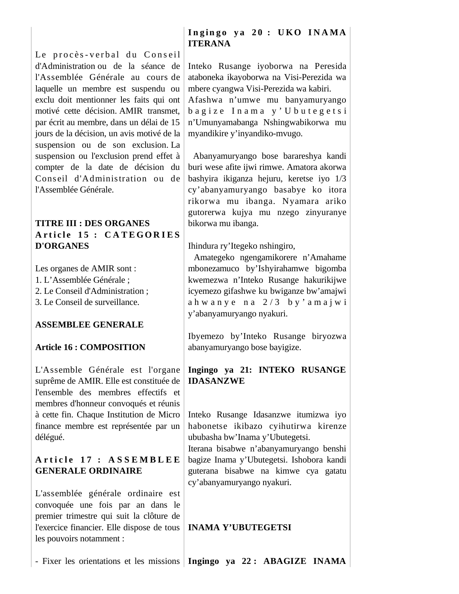Le procès-verbal du Conseil d'Administration ou de la séance de l'Assemblée Générale au cours de laquelle un membre est suspendu ou exclu doit mentionner les faits qui ont motivé cette décision. AMIR transmet, par écrit au membre, dans un délai de 15 jours de la décision, un avis motivé de la suspension ou de son exclusion. La suspension ou l'exclusion prend effet à compter de la date de décision du Conseil d'Administration ou de l'Assemblée Générale.

# **TITRE III : DES ORGANES** Article 15 : CATEGORIES **D'ORGANES**

Les organes de AMIR sont :

1. L'Assemblée Générale ;

2. Le Conseil d'Administration ;

3. Le Conseil de surveillance.

## **ASSEMBLEE GENERALE**

## **Article 16 : COMPOSITION**

L'Assemble Générale est l'organe suprême de AMIR. Elle est constituée de l'ensemble des membres effectifs et membres d'honneur convoqués et réunis à cette fin. Chaque Institution de Micro finance membre est représentée par un délégué.

## Article 17 : ASSEMBLEE **GENERALE ORDINAIRE**

L'assemblée générale ordinaire est convoquée une fois par an dans le premier trimestre qui suit la clôture de l'exercice financier. Elle dispose de tous les pouvoirs notamment :

# Ingingo ya 20 : UKO INAMA **ITERANA**

Inteko Rusange iyoborwa na Peresida ataboneka ikayoborwa na Visi-Perezida wa mbere cyangwa Visi-Perezida wa kabiri.

Afashwa n'umwe mu banyamuryango b a g i z e I n a m a y ' U b u t e g e t s i n'Umunyamabanga Nshingwabikorwa mu myandikire y'inyandiko-mvugo.

 Abanyamuryango bose barareshya kandi buri wese afite ijwi rimwe. Amatora akorwa bashyira ikiganza hejuru, keretse iyo 1/3 cy'abanyamuryango basabye ko itora rikorwa mu ibanga. Nyamara ariko gutorerwa kujya mu nzego zinyuranye bikorwa mu ibanga.

Ihindura ry'Itegeko nshingiro,

 Amategeko ngengamikorere n'Amahame mbonezamuco by'Ishyirahamwe bigomba kwemezwa n'Inteko Rusange hakurikijwe icyemezo gifashwe ku bwiganze bw'amajwi ah w any e n a  $2/3$  by ' a m a j w i y'abanyamuryango nyakuri.

Ibyemezo by'Inteko Rusange biryozwa abanyamuryango bose bayigize.

**Ingingo ya 21: INTEKO RUSANGE IDASANZWE**

Inteko Rusange Idasanzwe itumizwa iyo habonetse ikibazo cyihutirwa kirenze ububasha bw'Inama y'Ubutegetsi.

Iterana bisabwe n'abanyamuryango benshi bagize Inama y'Ubutegetsi. Ishobora kandi guterana bisabwe na kimwe cya gatatu cy'abanyamuryango nyakuri.

## **INAMA Y'UBUTEGETSI**

- Fixer les orientations et les missions **Ingingo ya 22 : ABAGIZE INAMA**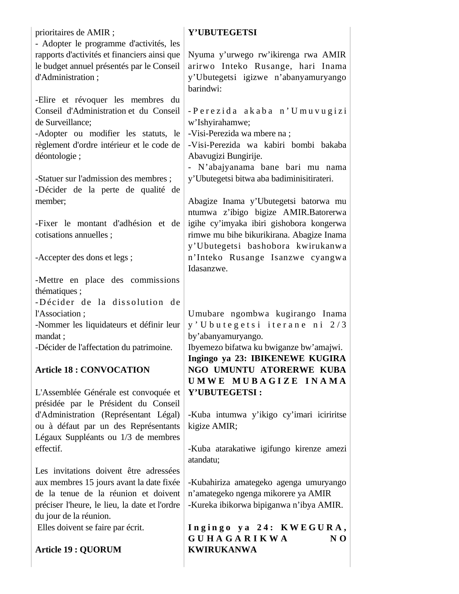| prioritaires de AMIR;                                                                                                                                                                                                                                                                                                                                           | Y'UBUTEGETSI                                                                                                                                                                                                                                                                                                                                                                                               |
|-----------------------------------------------------------------------------------------------------------------------------------------------------------------------------------------------------------------------------------------------------------------------------------------------------------------------------------------------------------------|------------------------------------------------------------------------------------------------------------------------------------------------------------------------------------------------------------------------------------------------------------------------------------------------------------------------------------------------------------------------------------------------------------|
| - Adopter le programme d'activités, les<br>rapports d'activités et financiers ainsi que<br>le budget annuel présentés par le Conseil<br>d'Administration;                                                                                                                                                                                                       | Nyuma y'urwego rw'ikirenga rwa AMIR<br>arirwo Inteko Rusange, hari Inama<br>y'Ubutegetsi igizwe n'abanyamuryango<br>barindwi:                                                                                                                                                                                                                                                                              |
| -Elire et révoquer les membres du<br>Conseil d'Administration et du Conseil<br>de Surveillance;<br>-Adopter ou modifier les statuts, le<br>règlement d'ordre intérieur et le code de<br>déontologie;<br>-Statuer sur l'admission des membres ;<br>-Décider de la perte de qualité de<br>member;<br>-Fixer le montant d'adhésion et de<br>cotisations annuelles; | -Perezida akaba n'Umuvugizi<br>w'Ishyirahamwe;<br>-Visi-Perezida wa mbere na;<br>-Visi-Perezida wa kabiri bombi bakaba<br>Abavugizi Bungirije.<br>- N'abajyanama bane bari mu nama<br>y'Ubutegetsi bitwa aba badiminisitirateri.<br>Abagize Inama y'Ubutegetsi batorwa mu<br>ntumwa z'ibigo bigize AMIR.Batorerwa<br>igihe cy'imyaka ibiri gishobora kongerwa<br>rimwe mu bihe bikurikirana. Abagize Inama |
| -Accepter des dons et legs;                                                                                                                                                                                                                                                                                                                                     | y'Ubutegetsi bashobora kwirukanwa<br>n'Inteko Rusange Isanzwe cyangwa                                                                                                                                                                                                                                                                                                                                      |
|                                                                                                                                                                                                                                                                                                                                                                 | Idasanzwe.                                                                                                                                                                                                                                                                                                                                                                                                 |
| -Mettre en place des commissions<br>thématiques;                                                                                                                                                                                                                                                                                                                |                                                                                                                                                                                                                                                                                                                                                                                                            |
| -Décider de la dissolution de                                                                                                                                                                                                                                                                                                                                   |                                                                                                                                                                                                                                                                                                                                                                                                            |
| l'Association;                                                                                                                                                                                                                                                                                                                                                  | Umubare ngombwa kugirango Inama                                                                                                                                                                                                                                                                                                                                                                            |
| -Nommer les liquidateurs et définir leur<br>mandat ;                                                                                                                                                                                                                                                                                                            | y'Ubutegetsi iterane ni 2/3<br>by'abanyamuryango.                                                                                                                                                                                                                                                                                                                                                          |
| -Décider de l'affectation du patrimoine.                                                                                                                                                                                                                                                                                                                        | Ibyemezo bifatwa ku bwiganze bw'amajwi.<br>Ingingo ya 23: IBIKENEWE KUGIRA                                                                                                                                                                                                                                                                                                                                 |
| <b>Article 18: CONVOCATION</b>                                                                                                                                                                                                                                                                                                                                  | NGO UMUNTU ATORERWE KUBA<br>UMWE MUBAGIZE INAMA                                                                                                                                                                                                                                                                                                                                                            |
| L'Assemblée Générale est convoquée et                                                                                                                                                                                                                                                                                                                           | Y'UBUTEGETSI:                                                                                                                                                                                                                                                                                                                                                                                              |
| présidée par le Président du Conseil                                                                                                                                                                                                                                                                                                                            |                                                                                                                                                                                                                                                                                                                                                                                                            |
| d'Administration (Représentant Légal)                                                                                                                                                                                                                                                                                                                           | -Kuba intumwa y'ikigo cy'imari iciriritse                                                                                                                                                                                                                                                                                                                                                                  |
| ou à défaut par un des Représentants<br>Légaux Suppléants ou 1/3 de membres                                                                                                                                                                                                                                                                                     | kigize AMIR;                                                                                                                                                                                                                                                                                                                                                                                               |
| effectif.                                                                                                                                                                                                                                                                                                                                                       | -Kuba atarakatiwe igifungo kirenze amezi<br>atandatu;                                                                                                                                                                                                                                                                                                                                                      |
| Les invitations doivent être adressées                                                                                                                                                                                                                                                                                                                          |                                                                                                                                                                                                                                                                                                                                                                                                            |
| aux membres 15 jours avant la date fixée<br>de la tenue de la réunion et doivent<br>préciser l'heure, le lieu, la date et l'ordre<br>du jour de la réunion.                                                                                                                                                                                                     | -Kubahiriza amategeko agenga umuryango<br>n'amategeko ngenga mikorere ya AMIR<br>-Kureka ibikorwa bipiganwa n'ibya AMIR.                                                                                                                                                                                                                                                                                   |
| Elles doivent se faire par écrit.                                                                                                                                                                                                                                                                                                                               | Ingingo ya 24: KWEGURA,<br><b>GUHAGARIKWA</b><br>N <sub>0</sub>                                                                                                                                                                                                                                                                                                                                            |
| <b>Article 19 : QUORUM</b>                                                                                                                                                                                                                                                                                                                                      | <b>KWIRUKANWA</b>                                                                                                                                                                                                                                                                                                                                                                                          |
|                                                                                                                                                                                                                                                                                                                                                                 |                                                                                                                                                                                                                                                                                                                                                                                                            |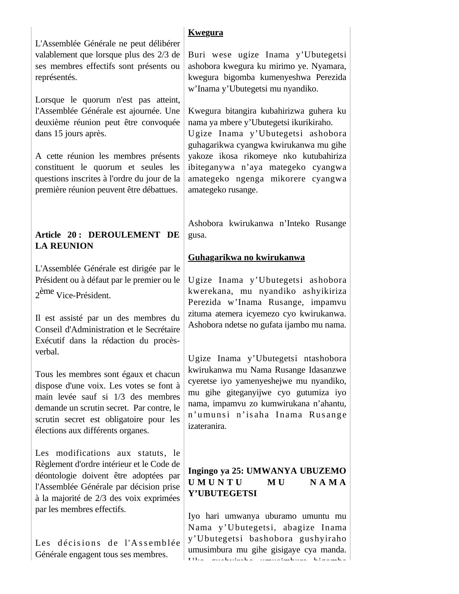L'Assemblée Générale ne peut délibérer valablement que lorsque plus des 2/3 de ses membres effectifs sont présents ou représentés.

Lorsque le quorum n'est pas atteint, l'Assemblée Générale est ajournée. Une deuxième réunion peut être convoquée dans 15 jours après.

A cette réunion les membres présents constituent le quorum et seules les questions inscrites à l'ordre du jour de la première réunion peuvent être débattues.

## **Article 20 : DEROULEMENT DE LA REUNION**

L'Assemblée Générale est dirigée par le Président ou à défaut par le premier ou le 2ème Vice-Président.

Il est assisté par un des membres du Conseil d'Administration et le Secrétaire Exécutif dans la rédaction du procèsverbal.

Tous les membres sont égaux et chacun dispose d'une voix. Les votes se font à main levée sauf si 1/3 des membres demande un scrutin secret. Par contre, le scrutin secret est obligatoire pour les élections aux différents organes.

Les modifications aux statuts, le Règlement d'ordre intérieur et le Code de déontologie doivent être adoptées par l'Assemblée Générale par décision prise à la majorité de 2/3 des voix exprimées par les membres effectifs.

Les décisions de l'Assemblée Générale engagent tous ses membres.

# **Kwegura**

Buri wese ugize Inama y'Ubutegetsi ashobora kwegura ku mirimo ye. Nyamara, kwegura bigomba kumenyeshwa Perezida w'Inama y'Ubutegetsi mu nyandiko.

Kwegura bitangira kubahirizwa guhera ku nama ya mbere y'Ubutegetsi ikurikiraho.

Ugize Inama y'Ubutegetsi ashobora guhagarikwa cyangwa kwirukanwa mu gihe yakoze ikosa rikomeye nko kutubahiriza ibiteganywa n'aya mategeko cyangwa amategeko ngenga mikorere cyangwa amategeko rusange.

Ashobora kwirukanwa n'Inteko Rusange gusa.

# **Guhagarikwa no kwirukanwa**

Ugize Inama y'Ubutegetsi ashobora kwerekana, mu nyandiko ashyikiriza Perezida w'Inama Rusange, impamvu zituma atemera icyemezo cyo kwirukanwa. Ashobora ndetse no gufata ijambo mu nama.

Ugize Inama y'Ubutegetsi ntashobora kwirukanwa mu Nama Rusange Idasanzwe cyeretse iyo yamenyeshejwe mu nyandiko, mu gihe giteganyijwe cyo gutumiza iyo nama, impamvu zo kumwirukana n'ahantu, n'umunsi n'isaha Inama Rusange izateranira.

# **Ingingo ya 25: UMWANYA UBUZEMO U M U N T U M U N A M A Y'UBUTEGETSI**

Iyo hari umwanya uburamo umuntu mu Nama y'Ubutegetsi, abagize Inama y'Ubutegetsi bashobora gushyiraho umusimbura mu gihe gisigaye cya manda. Uko gushyiraho umusimbura bigomba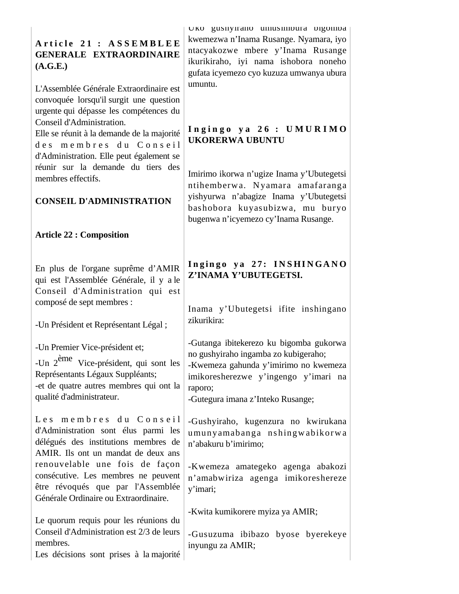**A r t i c l e 2 1 : A S S E M B L E E GENERALE EXTRAORDINAIRE (A.G.E.)** 

L'Assemblée Générale Extraordinaire est convoquée lorsqu'il surgit une question urgente qui dépasse les compétences du Conseil d'Administration.

Elle se réunit à la demande de la majorité des membres du Conseil d'Administration. Elle peut également se réunir sur la demande du tiers des membres effectifs.

## **CONSEIL D'ADMINISTRATION**

## **Article 22 : Composition**

En plus de l'organe suprême d'AMIR qui est l'Assemblée Générale, il y a le Conseil d'Administration qui est composé de sept membres :

-Un Président et Représentant Légal ;

-Un Premier Vice-président et;

-Un 2ème Vice-président, qui sont les Représentants Légaux Suppléants;

-et de quatre autres membres qui ont la qualité d'administrateur.

Les membres du Conseil d'Administration sont élus parmi les délégués des institutions membres de AMIR. Ils ont un mandat de deux ans renouvelable une fois de façon consécutive. Les membres ne peuvent être révoqués que par l'Assemblée Générale Ordinaire ou Extraordinaire.

Le quorum requis pour les réunions du Conseil d'Administration est 2/3 de leurs membres.

Les décisions sont prises à la majorité

Uko gushyiraho umusimbura bigomba kwemezwa n'Inama Rusange. Nyamara, iyo ntacyakozwe mbere y'Inama Rusange ikurikiraho, iyi nama ishobora noneho gufata icyemezo cyo kuzuza umwanya ubura umuntu.

## **I n g i n g o y a 2 6 : U M U R I M O UKORERWA UBUNTU**

Imirimo ikorwa n'ugize Inama y'Ubutegetsi ntihemberwa. Nyamara amafaranga yishyurwa n'abagize Inama y'Ubutegetsi bashobora kuyasubizwa, mu buryo bugenwa n'icyemezo cy'Inama Rusange.

# Ingingo ya 27: INSHINGANO **Z'INAMA Y'UBUTEGETSI.**

Inama y'Ubutegetsi ifite inshingano zikurikira:

-Gutanga ibitekerezo ku bigomba gukorwa no gushyiraho ingamba zo kubigeraho;

-Kwemeza gahunda y'imirimo no kwemeza imikoresherezwe y'ingengo y'imari na raporo;

-Gutegura imana z'Inteko Rusange;

-Gushyiraho, kugenzura no kwirukana umunyamabanga ns hingw abikorw a n'abakuru b'imirimo;

-Kwemeza amategeko agenga abakozi n'amabwiriza agenga imikoreshereze y'imari;

-Kwita kumikorere myiza ya AMIR;

-Gusuzuma ibibazo byose byerekeye inyungu za AMIR;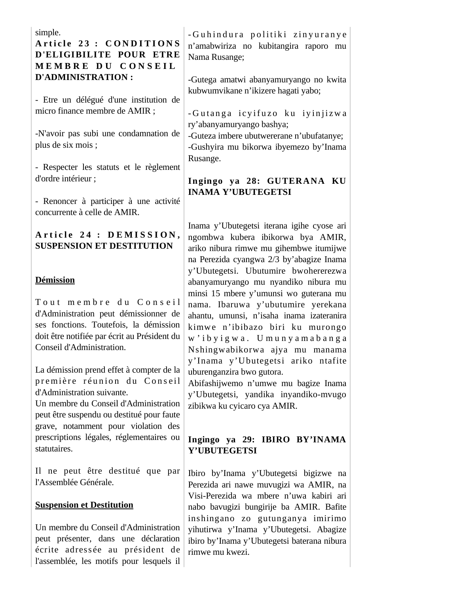simple.

# Article 23 : CONDITIONS **D'ELIGIBILITE POUR ETRE M E M B R E D U C O N S E I L D'ADMINISTRATION :**

- Etre un délégué d'une institution de micro finance membre de AMIR ;

-N'avoir pas subi une condamnation de plus de six mois ;

- Respecter les statuts et le règlement d'ordre intérieur ;

- Renoncer à participer à une activité concurrente à celle de AMIR.

## Article 24 : DEMISSION, **SUSPENSION ET DESTITUTION**

## **Démission**

Tout membre du Conseil d'Administration peut démissionner de ses fonctions. Toutefois, la démission doit être notifiée par écrit au Président du Conseil d'Administration.

La démission prend effet à compter de la première réunion du Conseil d'Administration suivante.

Un membre du Conseil d'Administration peut être suspendu ou destitué pour faute grave, notamment pour violation des prescriptions légales, réglementaires ou statutaires.

Il ne peut être destitué que par l'Assemblée Générale.

## **Suspension et Destitution**

Un membre du Conseil d'Administration peut présenter, dans une déclaration écrite adressée au président de l'assemblée, les motifs pour lesquels il - Guhindura politiki zinyuranye n'amabwiriza no kubitangira raporo mu Nama Rusange;

-Gutega amatwi abanyamuryango no kwita kubwumvikane n'ikizere hagati yabo;

- Gutanga icyifuzo ku iyinjizwa ry'abanyamuryango bashya;

-Guteza imbere ubutwererane n'ubufatanye; -Gushyira mu bikorwa ibyemezo by'Inama Rusange.

# **Ingingo ya 28: GUTERANA KU INAMA Y'UBUTEGETSI**

Inama y'Ubutegetsi iterana igihe cyose ari ngombwa kubera ibikorwa bya AMIR, ariko nibura rimwe mu gihembwe itumijwe na Perezida cyangwa 2/3 by'abagize Inama y'Ubutegetsi. Ubutumire bwohererezwa abanyamuryango mu nyandiko nibura mu minsi 15 mbere y'umunsi wo guterana mu nama. Ibaruwa y'ubutumire yerekana ahantu, umunsi, n'isaha inama izateranira kimwe n'ibibazo biri ku murongo w ' i b y i g w a . U m u n y a m a b a n g a Nshingwabikorwa ajya mu manama y'Inama y'Ubutegetsi ariko ntafite uburenganzira bwo gutora.

Abifashijwemo n'umwe mu bagize Inama y'Ubutegetsi, yandika inyandiko-mvugo zibikwa ku cyicaro cya AMIR.

## **Ingingo ya 29: IBIRO BY'INAMA Y'UBUTEGETSI**

Ibiro by'Inama y'Ubutegetsi bigizwe na Perezida ari nawe muvugizi wa AMIR, na Visi-Perezida wa mbere n'uwa kabiri ari nabo bavugizi bungirije ba AMIR. Bafite inshingano zo gutunganya imirimo yihutirwa y'Inama y'Ubutegetsi. Abagize ibiro by'Inama y'Ubutegetsi baterana nibura rimwe mu kwezi.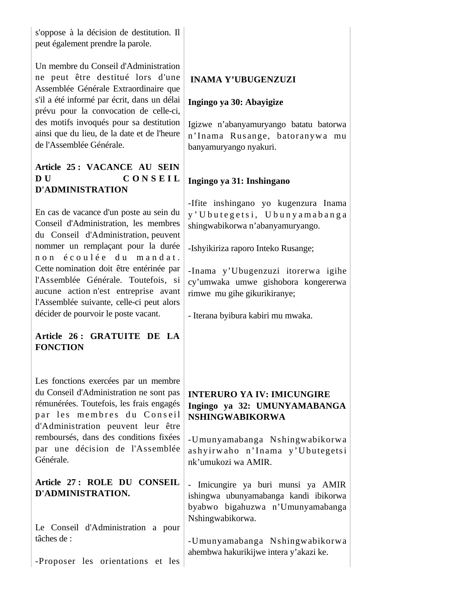s'oppose à la décision de destitution. Il peut également prendre la parole.

Un membre du Conseil d'Administration ne peut être destitué lors d'une Assemblée Générale Extraordinaire que s'il a été informé par écrit, dans un délai prévu pour la convocation de celle-ci, des motifs invoqués pour sa destitution ainsi que du lieu, de la date et de l'heure de l'Assemblée Générale.

# **Article 25 : VACANCE AU SEIN D U C O N S E I L D'ADMINISTRATION**

En cas de vacance d'un poste au sein du Conseil d'Administration, les membres du Conseil d'Administration, peuvent nommer un remplaçant pour la durée n o n é coulée du mandat. Cette nomination doit être entérinée par l'Assemblée Générale. Toutefois, si aucune action n'est entreprise avant l'Assemblée suivante, celle-ci peut alors décider de pourvoir le poste vacant.

## **Article 26 : GRATUITE DE LA FONCTION**

Les fonctions exercées par un membre du Conseil d'Administration ne sont pas rémunérées. Toutefois, les frais engagés par les membres du Conseil d'Administration peuvent leur être remboursés, dans des conditions fixées par une décision de l'Assemblée Générale.

## **Article 27 : ROLE DU CONSEIL D'ADMINISTRATION.**

Le Conseil d'Administration a pour tâches de :

-Proposer les orientations et les

# **INAMA Y'UBUGENZUZI**

## **Ingingo ya 30: Abayigize**

Igizwe n'abanyamuryango batatu batorwa n'Inama Rus ange, batoranyw a mu banyamuryango nyakuri.

# **Ingingo ya 31: Inshingano**

-Ifite inshingano yo kugenzura Inama y' U bu t e g e t s i, U bu n y a m a b a n g a shingwabikorwa n'abanyamuryango.

-Ishyikiriza raporo Inteko Rusange;

-Inama y'Ubugenzuzi itorerwa igihe cy'umwaka umwe gishobora kongererwa rimwe mu gihe gikurikiranye;

- Iterana byibura kabiri mu mwaka.

# **INTERURO YA IV: IMICUNGIRE Ingingo ya 32: UMUNYAMABANGA NSHINGWABIKORWA**

-Umunyamabanga Nshingwabikorwa as hyirw aho n'Inama y'U butegets i nk'umukozi wa AMIR.

- Imicungire ya buri munsi ya AMIR ishingwa ubunyamabanga kandi ibikorwa byabwo bigahuzwa n'Umunyamabanga Nshingwabikorwa.

-Umunyamabanga Nshingwabikorwa ahembwa hakurikijwe intera y'akazi ke.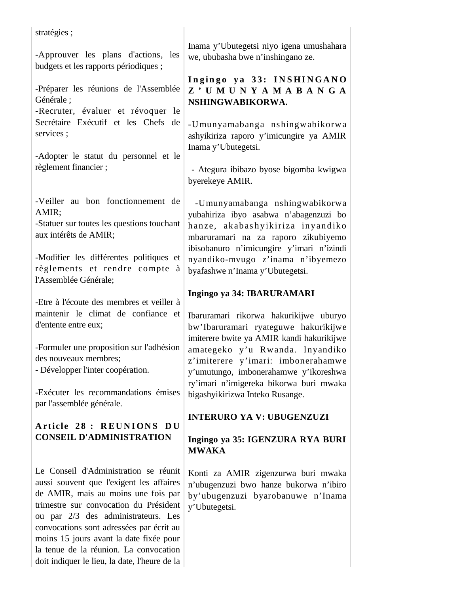stratégies ;

-Approuver les plans d'actions, les budgets et les rapports périodiques ;

-Préparer les réunions de l'Assemblée Générale ;

-Recruter, évaluer et révoquer le Secrétaire Exécutif et les Chefs de services ;

-Adopter le statut du personnel et le règlement financier ;

-Veiller au bon fonctionnement de AMIR;

-Statuer sur toutes les questions touchant aux intérêts de AMIR;

-Modifier les différentes politiques et règlements et rendre compte à l'Assemblée Générale;

-Etre à l'écoute des membres et veiller à maintenir le climat de confiance et d'entente entre eux;

-Formuler une proposition sur l'adhésion des nouveaux membres;

- Développer l'inter coopération.

-Exécuter les recommandations émises par l'assemblée générale.

# Article 28 : REUNIONS DU **CONSEIL D'ADMINISTRATION**

Le Conseil d'Administration se réunit aussi souvent que l'exigent les affaires de AMIR, mais au moins une fois par trimestre sur convocation du Président ou par 2/3 des administrateurs. Les convocations sont adressées par écrit au moins 15 jours avant la date fixée pour la tenue de la réunion. La convocation doit indiquer le lieu, la date, l'heure de la

Inama y'Ubutegetsi niyo igena umushahara we, ububasha bwe n'inshingano ze.

## Ingingo ya 33: INSHINGANO **Z ' U M U N Y A M A B A N G A NSHINGWABIKORWA.**

-Umunyamabanga nshingwabikorwa ashyikiriza raporo y'imicungire ya AMIR Inama y'Ubutegetsi.

 - Ategura ibibazo byose bigomba kwigwa byerekeye AMIR.

 -Umunyamabanga nshingwabikorwa yubahiriza ibyo asabwa n'abagenzuzi bo hanze, akabashyikiriza inyandiko mbaruramari na za raporo zikubiyemo ibisobanuro n'imicungire y'imari n'izindi nyandiko-mvugo z'inama n'ibyemezo byafashwe n'Inama y'Ubutegetsi.

# **Ingingo ya 34: IBARURAMARI**

Ibaruramari rikorwa hakurikijwe uburyo bw'Ibaruramari ryateguwe hakurikijwe imiterere bwite ya AMIR kandi hakurikijwe amategeko y'u Rwanda. Inyandiko z'imiterere y'imari: imbonerahamwe y'umutungo, imbonerahamwe y'ikoreshwa ry'imari n'imigereka bikorwa buri mwaka bigashyikirizwa Inteko Rusange.

# **INTERURO YA V: UBUGENZUZI**

## **Ingingo ya 35: IGENZURA RYA BURI MWAKA**

Konti za AMIR zigenzurwa buri mwaka n'ubugenzuzi bwo hanze bukorwa n'ibiro by'ubugenzuzi byarobanuwe n'Inama y'Ubutegetsi.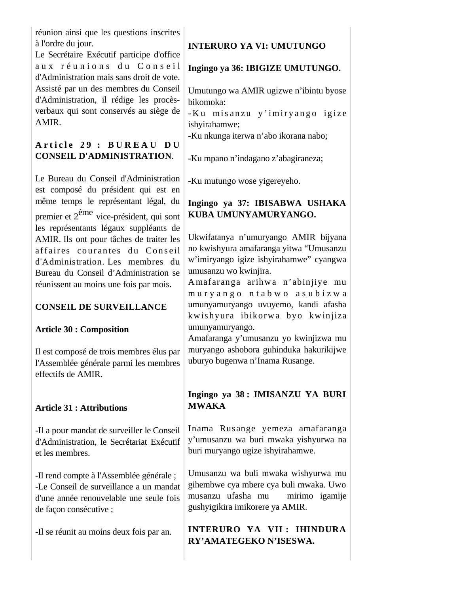réunion ainsi que les questions inscrites à l'ordre du jour.

Le Secrétaire Exécutif participe d'office aux réunions du Conseil d'Administration mais sans droit de vote. Assisté par un des membres du Conseil d'Administration, il rédige les procèsverbaux qui sont conservés au siège de AMIR.

# **A r t i c l e 2 9 : B U R E A U D U CONSEIL D'ADMINISTRATION**.

Le Bureau du Conseil d'Administration est composé du président qui est en même temps le représentant légal, du premier et 2ème vice-président, qui sont les représentants légaux suppléants de AMIR. Ils ont pour tâches de traiter les affaires courantes du Conseil d'Administration. Les membres du Bureau du Conseil d'Administration se réunissent au moins une fois par mois.

# **CONSEIL DE SURVEILLANCE**

## **Article 30 : Composition**

Il est composé de trois membres élus par l'Assemblée générale parmi les membres effectifs de AMIR.

## **Article 31 : Attributions**

-Il a pour mandat de surveiller le Conseil d'Administration, le Secrétariat Exécutif et les membres.

-Il rend compte à l'Assemblée générale ; -Le Conseil de surveillance a un mandat d'une année renouvelable une seule fois de façon consécutive ;

-Il se réunit au moins deux fois par an.

# **INTERURO YA VI: UMUTUNGO**

## **Ingingo ya 36: IBIGIZE UMUTUNGO.**

Umutungo wa AMIR ugizwe n'ibintu byose bikomoka:

- Ku misanzu y' imiryango igize ishyirahamwe;

-Ku nkunga iterwa n'abo ikorana nabo;

-Ku mpano n'indagano z'abagiraneza;

-Ku mutungo wose yigereyeho.

# **Ingingo ya 37: IBISABWA USHAKA KUBA UMUNYAMURYANGO.**

Ukwifatanya n'umuryango AMIR bijyana no kwishyura amafaranga yitwa "Umusanzu w'imiryango igize ishyirahamwe" cyangwa umusanzu wo kwinjira.

Amafaranga arihwa n'abinjiye mu m u r y a n g o n t a b w o a s u b i z w a umunyamuryango uvuyemo, kandi afasha kwishyura ibikorwa byo kwinjiza umunyamuryango.

Amafaranga y'umusanzu yo kwinjizwa mu muryango ashobora guhinduka hakurikijwe uburyo bugenwa n'Inama Rusange.

# **Ingingo ya 38 : IMISANZU YA BURI MWAKA**

Inama Rusange yemeza amafaranga y'umusanzu wa buri mwaka yishyurwa na buri muryango ugize ishyirahamwe.

Umusanzu wa buli mwaka wishyurwa mu gihembwe cya mbere cya buli mwaka. Uwo musanzu ufasha mu mirimo igamije gushyigikira imikorere ya AMIR.

**INTERURO YA VII : IHINDURA RY'AMATEGEKO N'ISESWA.**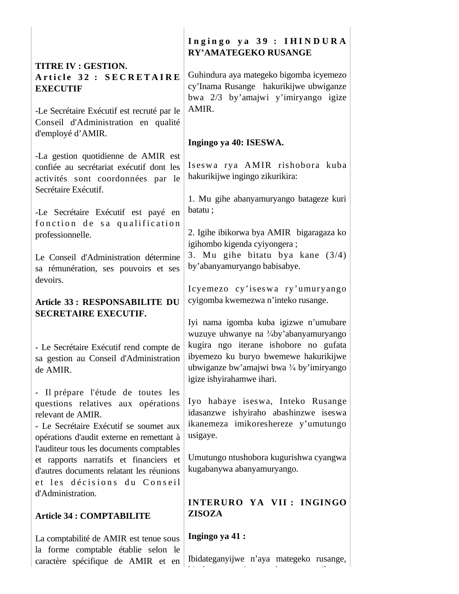| <b>TITRE IV : GESTION.</b> |  |  |                         |
|----------------------------|--|--|-------------------------|
|                            |  |  | Article 32 : SECRETAIRE |
| <b>EXECUTIF</b>            |  |  |                         |

-Le Secrétaire Exécutif est recruté par le Conseil d'Administration en qualité d'employé d'AMIR.

-La gestion quotidienne de AMIR est confiée au secrétariat exécutif dont les activités sont coordonnées par le Secrétaire Exécutif.

-Le Secrétaire Exécutif est payé en fonction de sa qualification professionnelle.

Le Conseil d'Administration détermine sa rémunération, ses pouvoirs et ses devoirs.

## **Article 33 : RESPONSABILITE DU SECRETAIRE EXECUTIF.**

- Le Secrétaire Exécutif rend compte de sa gestion au Conseil d'Administration de AMIR.

- Il prépare l'étude de toutes les questions relatives aux opérations relevant de AMIR.

- Le Secrétaire Exécutif se soumet aux opérations d'audit externe en remettant à l'auditeur tous les documents comptables et rapports narratifs et financiers et d'autres documents relatant les réunions et les décisions du Conseil d'Administration.

## **Article 34 : COMPTABILITE**

La comptabilité de AMIR est tenue sous la forme comptable établie selon le caractère spécifique de AMIR et en

## Ingingo ya 39 : IHINDURA **RY'AMATEGEKO RUSANGE**

Guhindura aya mategeko bigomba icyemezo cy'Inama Rusange hakurikijwe ubwiganze bwa 2/3 by'amajwi y'imiryango igize AMIR.

## **Ingingo ya 40: ISESWA.**

Iseswa rya AMIR rishobora kuba hakurikijwe ingingo zikurikira:

1. Mu gihe abanyamuryango batageze kuri batatu ;

2. Igihe ibikorwa bya AMIR bigaragaza ko igihombo kigenda cyiyongera ;

3. Mu gihe bitatu bya kane (3/4) by'abanyamuryango babisabye.

Icyemezo cy'is es wa ry'umuryango cyigomba kwemezwa n'inteko rusange.

Iyi nama igomba kuba igizwe n'umubare wuzuye uhwanye na <sup>3</sup>/aby'abanyamuryango kugira ngo iterane ishobore no gufata ibyemezo ku buryo bwemewe hakurikijwe ubwiganze bw'amajwi bwa  $\frac{3}{4}$  by'imiryango igize ishyirahamwe ihari.

Iyo habaye iseswa, Inteko Rusange idasanzwe ishyiraho abashinzwe iseswa ikanemeza imikoreshereze y'umutungo usigaye.

Umutungo ntushobora kugurishwa cyangwa kugabanywa abanyamuryango.

# **INTERURO YA VII : INGINGO ZISOZA**

**Ingingo ya 41 :**

Ibidateganyijwe n'aya mategeko rusange,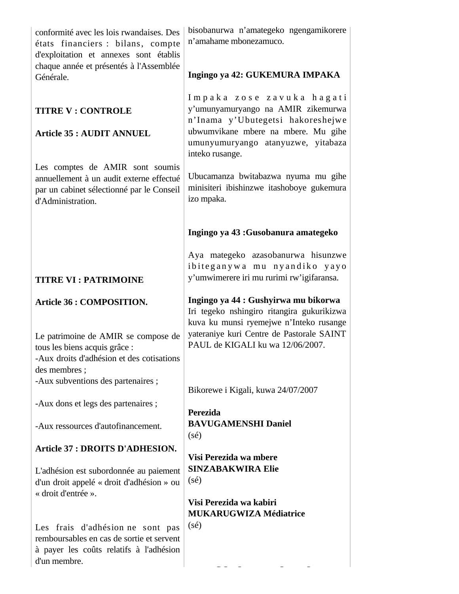| conformité avec les lois rwandaises. Des<br>états financiers : bilans, compte<br>d'exploitation et annexes sont établis<br>chaque année et présentés à l'Assemblée    | bisobanurwa n'amategeko ngengamikorere<br>n'amahame mbonezamuco.                                                                                                                                               |
|-----------------------------------------------------------------------------------------------------------------------------------------------------------------------|----------------------------------------------------------------------------------------------------------------------------------------------------------------------------------------------------------------|
| Générale.                                                                                                                                                             | Ingingo ya 42: GUKEMURA IMPAKA                                                                                                                                                                                 |
| <b>TITRE V : CONTROLE</b><br><b>Article 35 : AUDIT ANNUEL</b>                                                                                                         | Impaka zose zavuka hagati<br>y'umunyamuryango na AMIR zikemurwa<br>n'Inama y'Ubutegetsi hakoreshejwe<br>ubwumvikane mbere na mbere. Mu gihe<br>umunyumuryango atanyuzwe, yitabaza<br>inteko rusange.           |
| Les comptes de AMIR sont soumis<br>annuellement à un audit externe effectué<br>par un cabinet sélectionné par le Conseil<br>d'Administration.                         | Ubucamanza bwitabazwa nyuma mu gihe<br>minisiteri ibishinzwe itashoboye gukemura<br>izo mpaka.                                                                                                                 |
|                                                                                                                                                                       | Ingingo ya 43 : Gusobanura amategeko                                                                                                                                                                           |
| <b>TITRE VI: PATRIMOINE</b>                                                                                                                                           | Aya mategeko azasobanurwa hisunzwe<br>ibiteganywa mu nyandiko yayo<br>y'umwimerere iri mu rurimi rw'igifaransa.                                                                                                |
| <b>Article 36 : COMPOSITION.</b><br>Le patrimoine de AMIR se compose de<br>tous les biens acquis grâce :<br>-Aux droits d'adhésion et des cotisations<br>des membres; | Ingingo ya 44 : Gushyirwa mu bikorwa<br>Iri tegeko nshingiro ritangira gukurikizwa<br>kuva ku munsi ryemejwe n'Inteko rusange<br>yateraniye kuri Centre de Pastorale SAINT<br>PAUL de KIGALI ku wa 12/06/2007. |
| -Aux subventions des partenaires;                                                                                                                                     | Bikorewe i Kigali, kuwa 24/07/2007                                                                                                                                                                             |
| -Aux dons et legs des partenaires;                                                                                                                                    | <b>Perezida</b>                                                                                                                                                                                                |
| -Aux ressources d'autofinancement.                                                                                                                                    | <b>BAVUGAMENSHI Daniel</b><br>$(s\acute{e})$                                                                                                                                                                   |
| Article 37 : DROITS D'ADHESION.                                                                                                                                       |                                                                                                                                                                                                                |
| L'adhésion est subordonnée au paiement<br>d'un droit appelé « droit d'adhésion » ou<br>« droit d'entrée ».                                                            | Visi Perezida wa mbere<br><b>SINZABAKWIRA Elie</b><br>$(s\acute{e})$<br>Visi Perezida wa kabiri                                                                                                                |
|                                                                                                                                                                       | <b>MUKARUGWIZA Médiatrice</b>                                                                                                                                                                                  |
| Les frais d'adhésion ne sont pas<br>remboursables en cas de sortie et servent<br>à payer les coûts relatifs à l'adhésion<br>d'un membre.                              | $(s\acute{e})$                                                                                                                                                                                                 |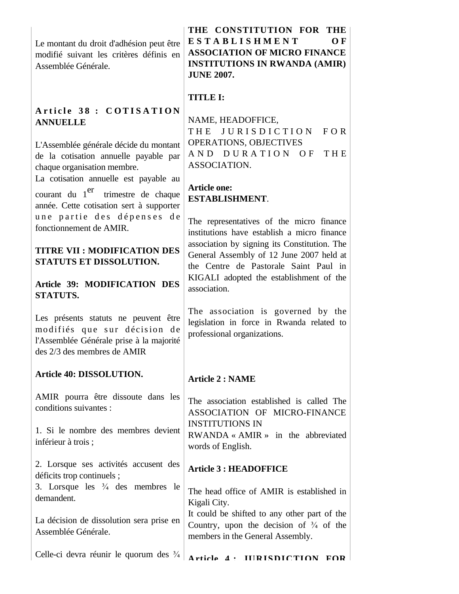Le montant du droit d'adhésion peut être modifié suivant les critères définis en Assemblée Générale.

# Article 38 : COTISATION **ANNUELLE**

L'Assemblée générale décide du montant de la cotisation annuelle payable par chaque organisation membre.

La cotisation annuelle est payable au courant du 1<sup>er</sup> trimestre de chaque année. Cette cotisation sert à supporter une partie des dépenses de fonctionnement de AMIR.

## **TITRE VII : MODIFICATION DES STATUTS ET DISSOLUTION.**

## **Article 39: MODIFICATION DES STATUTS.**

Les présents statuts ne peuvent être modifiés que sur décision de l'Assemblée Générale prise à la majorité des 2/3 des membres de AMIR

## **Article 40: DISSOLUTION.**

AMIR pourra être dissoute dans les conditions suivantes :

1. Si le nombre des membres devient inférieur à trois ;

2. Lorsque ses activités accusent des déficits trop continuels ;

3. Lorsque les  $\frac{3}{4}$  des membres le demandent.

La décision de dissolution sera prise en Assemblée Générale.

Celle-ci devra réunir le quorum des

**THE CONSTITUTION FOR THE E S T A B L I S H M E N T O F ASSOCIATION OF MICRO FINANCE INSTITUTIONS IN RWANDA (AMIR) JUNE 2007.**

# **TITLE I:**

NAME, HEADOFFICE, THE JURISDICTION FOR OPERATIONS, OBJECTIVES AND DURATION OF THE ASSOCIATION.

## **Article one: ESTABLISHMENT**.

The representatives of the micro finance institutions have establish a micro finance association by signing its Constitution. The General Assembly of 12 June 2007 held at the Centre de Pastorale Saint Paul in KIGALI adopted the establishment of the association.

The association is governed by the legislation in force in Rwanda related to professional organizations.

# **Article 2 : NAME**

The association established is called The ASSOCIATION OF MICRO-FINANCE INSTITUTIONS IN RWANDA « AMIR » in the abbreviated words of English.

# **Article 3 : HEADOFFICE**

The head office of AMIR is established in Kigali City. It could be shifted to any other part of the

Country, upon the decision of  $\frac{3}{4}$  of the members in the General Assembly.

**Article 4 : JURISDICTION FOR**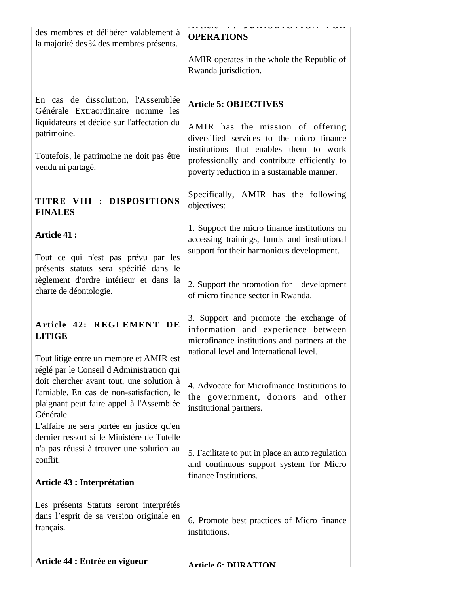| des membres et délibérer valablement à<br>la majorité des 3/4 des membres présents.                                                            | UVINIDIDI LUI LUI<br><b>OPERATIONS</b>                                                                                                    |
|------------------------------------------------------------------------------------------------------------------------------------------------|-------------------------------------------------------------------------------------------------------------------------------------------|
|                                                                                                                                                | AMIR operates in the whole the Republic of<br>Rwanda jurisdiction.                                                                        |
| En cas de dissolution, l'Assemblée<br>Générale Extraordinaire nomme les                                                                        | <b>Article 5: OBJECTIVES</b>                                                                                                              |
| liquidateurs et décide sur l'affectation du<br>patrimoine.                                                                                     | AMIR has the mission of offering<br>diversified services to the micro finance                                                             |
| Toutefois, le patrimoine ne doit pas être<br>vendu ni partagé.                                                                                 | institutions that enables them to work<br>professionally and contribute efficiently to<br>poverty reduction in a sustainable manner.      |
| TITRE VIII : DISPOSITIONS<br><b>FINALES</b>                                                                                                    | Specifically, AMIR has the following<br>objectives:                                                                                       |
| <b>Article 41:</b>                                                                                                                             | 1. Support the micro finance institutions on<br>accessing trainings, funds and institutional<br>support for their harmonious development. |
| Tout ce qui n'est pas prévu par les<br>présents statuts sera spécifié dans le                                                                  |                                                                                                                                           |
| règlement d'ordre intérieur et dans la<br>charte de déontologie.                                                                               | 2. Support the promotion for development<br>of micro finance sector in Rwanda.                                                            |
| Article 42: REGLEMENT DE<br><b>LITIGE</b>                                                                                                      | 3. Support and promote the exchange of<br>information and experience between<br>microfinance institutions and partners at the             |
| Tout litige entre un membre et AMIR est<br>réglé par le Conseil d'Administration qui                                                           | national level and International level.                                                                                                   |
| doit chercher avant tout, une solution à<br>l'amiable. En cas de non-satisfaction, le<br>plaignant peut faire appel à l'Assemblée<br>Générale. | 4. Advocate for Microfinance Institutions to<br>the government, donors and other<br>institutional partners.                               |
| L'affaire ne sera portée en justice qu'en<br>dernier ressort si le Ministère de Tutelle                                                        |                                                                                                                                           |
| n'a pas réussi à trouver une solution au<br>conflit.                                                                                           | 5. Facilitate to put in place an auto regulation<br>and continuous support system for Micro                                               |
| <b>Article 43 : Interprétation</b>                                                                                                             | finance Institutions.                                                                                                                     |
| Les présents Statuts seront interprétés<br>dans l'esprit de sa version originale en<br>français.                                               | 6. Promote best practices of Micro finance<br>institutions.                                                                               |
| Article 44 : Entrée en vigueur                                                                                                                 | Article 6. DIIRATION                                                                                                                      |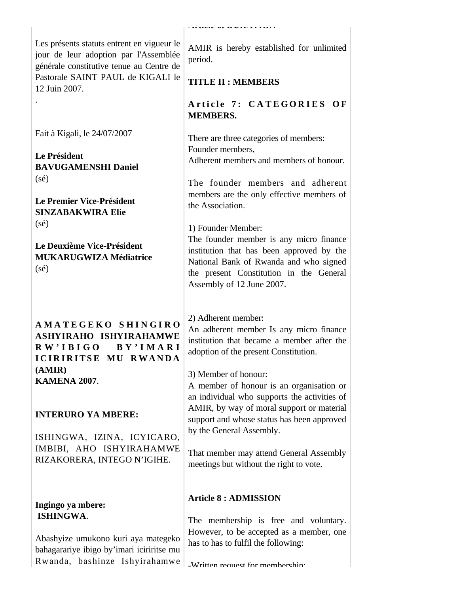Les présents statuts entrent en vigueur le jour de leur adoption par l'Assemblée générale constitutive tenue au Centre de Pastorale SAINT PAUL de KIGALI le 12 Juin 2007. .

Fait à Kigali, le 24/07/2007

**Le Président BAVUGAMENSHI Daniel**  (sé)

**Le Premier Vice-Président SINZABAKWIRA Elie**  (sé)

**Le Deuxième Vice-Président MUKARUGWIZA Médiatrice** (sé)

**A M A T E G E K O S H I N G I R O ASHYIRAHO ISHYIRAHAMWE R W ' I B I G O B Y ' I M A R I ICIRIRITSE MU RWANDA (AMIR) KAMENA 2007**.

## **INTERURO YA MBERE:**

ISHINGWA, IZINA, ICYICARO, IMBIBI, AHO ISHYIRAHAMWE RIZAKORERA, INTEGO N'IGIHE.

### **Ingingo ya mbere: ISHINGWA**.

Abashyize umukono kuri aya mategeko bahagarariye ibigo by'imari iciriritse mu Rwanda, bashinze Ishyirahamwe AMIR is hereby established for unlimited period.

# **TITLE II : MEMBERS**

Article 7: CATEGORIES OF **MEMBERS.**

There are three categories of members: Founder members, Adherent members and members of honour.

The founder members and adherent members are the only effective members of the Association.

1) Founder Member:

The founder member is any micro finance institution that has been approved by the National Bank of Rwanda and who signed the present Constitution in the General Assembly of 12 June 2007.

2) Adherent member:

An adherent member Is any micro finance institution that became a member after the adoption of the present Constitution.

3) Member of honour:

A member of honour is an organisation or an individual who supports the activities of AMIR, by way of moral support or material support and whose status has been approved by the General Assembly.

That member may attend General Assembly meetings but without the right to vote.

# **Article 8 : ADMISSION**

The membership is free and voluntary. However, to be accepted as a member, one has to has to fulfil the following: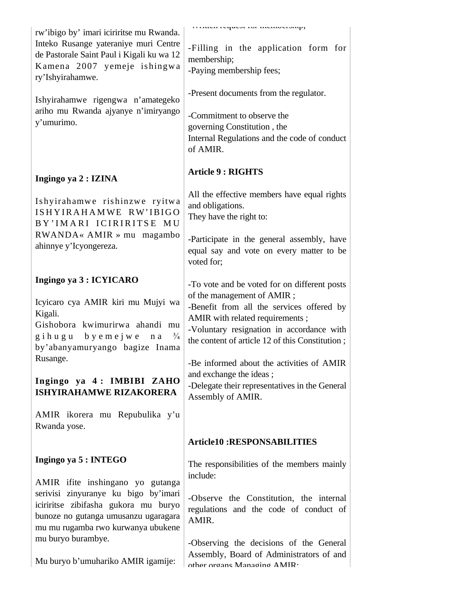| rw'ibigo by' imari iciriritse mu Rwanda.<br>Inteko Rusange yateraniye muri Centre<br>de Pastorale Saint Paul i Kigali ku wa 12<br>Kamena 2007 yemeje ishingwa<br>ry'Ishyirahamwe.<br>Ishyirahamwe rigengwa n'amategeko<br>ariho mu Rwanda ajyanye n'imiryango<br>y'umurimo.                      | manuva request ror memoeramp,<br>-Filling in the application form for<br>membership;<br>-Paying membership fees;<br>-Present documents from the regulator.<br>-Commitment to observe the<br>governing Constitution, the<br>Internal Regulations and the code of conduct<br>of AMIR.                                                                                                                       |
|--------------------------------------------------------------------------------------------------------------------------------------------------------------------------------------------------------------------------------------------------------------------------------------------------|-----------------------------------------------------------------------------------------------------------------------------------------------------------------------------------------------------------------------------------------------------------------------------------------------------------------------------------------------------------------------------------------------------------|
| Ingingo ya 2 : IZINA                                                                                                                                                                                                                                                                             | <b>Article 9 : RIGHTS</b>                                                                                                                                                                                                                                                                                                                                                                                 |
| Ishyirahamwe rishinzwe ryitwa<br>ISHYIRAHAMWE RW'IBIGO<br>BY'IMARI ICIRIRITSE MU<br>$RWANDA \times AMIR \times mu$ magambo<br>ahinnye y'Icyongereza.                                                                                                                                             | All the effective members have equal rights<br>and obligations.<br>They have the right to:                                                                                                                                                                                                                                                                                                                |
|                                                                                                                                                                                                                                                                                                  | -Participate in the general assembly, have<br>equal say and vote on every matter to be<br>voted for;                                                                                                                                                                                                                                                                                                      |
| Ingingo ya 3 : ICYICARO<br>Icyicaro cya AMIR kiri mu Mujyi wa<br>Kigali.<br>Gishobora kwimurirwa ahandi mu<br>gihugu byemejwe na<br>$\frac{3}{4}$<br>by'abanyamuryango bagize Inama<br>Rusange.<br>Ingingo ya 4: IMBIBI ZAHO<br><b>ISHYIRAHAMWE RIZAKORERA</b><br>AMIR ikorera mu Repubulika y'u | -To vote and be voted for on different posts<br>of the management of AMIR;<br>-Benefit from all the services offered by<br>AMIR with related requirements;<br>-Voluntary resignation in accordance with<br>the content of article 12 of this Constitution;<br>-Be informed about the activities of AMIR<br>and exchange the ideas;<br>-Delegate their representatives in the General<br>Assembly of AMIR. |
| Rwanda yose.                                                                                                                                                                                                                                                                                     | <b>Article10:RESPONSABILITIES</b>                                                                                                                                                                                                                                                                                                                                                                         |
|                                                                                                                                                                                                                                                                                                  |                                                                                                                                                                                                                                                                                                                                                                                                           |
| Ingingo ya 5 : INTEGO<br>AMIR ifite inshingano yo gutanga<br>serivisi zinyuranye ku bigo by'imari<br>iciriritse zibifasha gukora mu buryo                                                                                                                                                        | The responsibilities of the members mainly<br>include:<br>-Observe the Constitution, the internal<br>regulations and the code of conduct of                                                                                                                                                                                                                                                               |
| bunoze no gutanga umusanzu ugaragara<br>mu mu rugamba rwo kurwanya ubukene<br>mu buryo burambye.<br>Mu buryo b'umuhariko AMIR igamije:                                                                                                                                                           | AMIR.<br>-Observing the decisions of the General<br>Assembly, Board of Administrators of and<br>other organs Managing AMIR.                                                                                                                                                                                                                                                                               |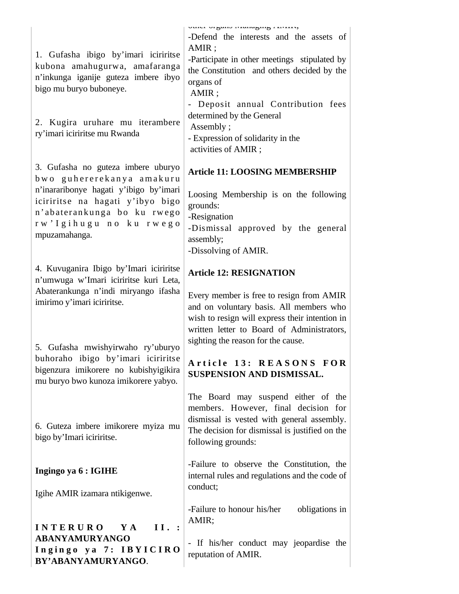| 1. Gufasha ibigo by'imari iciriritse<br>kubona amahugurwa, amafaranga<br>n'inkunga iganije guteza imbere ibyo<br>bigo mu buryo buboneye.<br>2. Kugira uruhare mu iterambere<br>ry'imari iciriritse mu Rwanda                                                                                                         | vuivi viguno munuging i sinis,<br>-Defend the interests and the assets of<br>AMIR;<br>-Participate in other meetings stipulated by<br>the Constitution and others decided by the<br>organs of<br>AMIR;<br>- Deposit annual Contribution fees<br>determined by the General<br>Assembly;<br>- Expression of solidarity in the<br>activities of AMIR; |
|----------------------------------------------------------------------------------------------------------------------------------------------------------------------------------------------------------------------------------------------------------------------------------------------------------------------|----------------------------------------------------------------------------------------------------------------------------------------------------------------------------------------------------------------------------------------------------------------------------------------------------------------------------------------------------|
| 3. Gufasha no guteza imbere uburyo<br>bwo guhererekanya amakuru<br>n'inararibonye hagati y'ibigo by'imari<br>iciriritse na hagati y'ibyo bigo<br>n'abaterankunga bo ku rwego<br>rw'Igihugu no ku rwego<br>mpuzamahanga.                                                                                              | <b>Article 11: LOOSING MEMBERSHIP</b><br>Loosing Membership is on the following<br>grounds:<br>-Resignation<br>-Dismissal approved by the general<br>assembly;<br>-Dissolving of AMIR.                                                                                                                                                             |
| 4. Kuvuganira Ibigo by'Imari iciriritse<br>n'umwuga w'Imari iciriritse kuri Leta,<br>Abaterankunga n'indi miryango ifasha<br>imirimo y'imari iciriritse.<br>5. Gufasha mwishyirwaho ry'uburyo<br>buhoraho ibigo by'imari iciriritse<br>bigenzura imikorere no kubishyigikira<br>mu buryo bwo kunoza imikorere yabyo. | <b>Article 12: RESIGNATION</b><br>Every member is free to resign from AMIR<br>and on voluntary basis. All members who<br>wish to resign will express their intention in<br>written letter to Board of Administrators,<br>sighting the reason for the cause.<br>Article 13: REASONS FOR<br>SUSPENSION AND DISMISSAL.                                |
| 6. Guteza imbere imikorere myiza mu<br>bigo by'Imari iciriritse.                                                                                                                                                                                                                                                     | The Board may suspend either of the<br>members. However, final decision for<br>dismissal is vested with general assembly.<br>The decision for dismissal is justified on the<br>following grounds:                                                                                                                                                  |
| Ingingo ya 6 : IGIHE<br>Igihe AMIR izamara ntikigenwe.                                                                                                                                                                                                                                                               | -Failure to observe the Constitution, the<br>internal rules and regulations and the code of<br>conduct;                                                                                                                                                                                                                                            |
| II. :<br><b>INTERURO</b><br>Y A<br>ABANYAMURYANGO<br>Ingingo ya 7: IBYICIRO<br>BY'ABANYAMURYANGO.                                                                                                                                                                                                                    | -Failure to honour his/her<br>obligations in<br>AMIR;<br>- If his/her conduct may jeopardise the<br>reputation of AMIR.                                                                                                                                                                                                                            |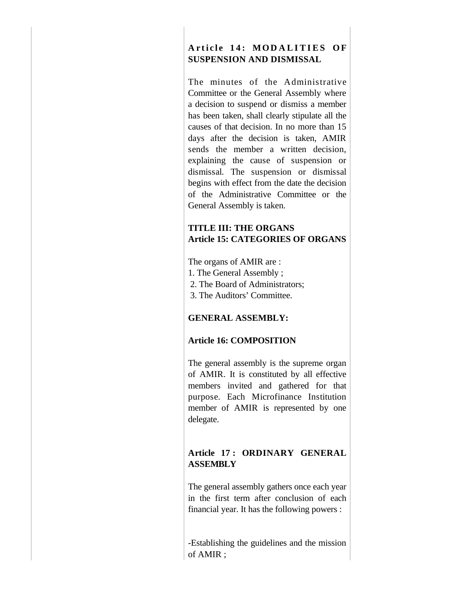# Article 14: MODALITIES OF **SUSPENSION AND DISMISSAL**

The minutes of the Administrative Committee or the General Assembly where a decision to suspend or dismiss a member has been taken, shall clearly stipulate all the causes of that decision. In no more than 15 days after the decision is taken, AMIR sends the member a written decision, explaining the cause of suspension or dismissal. The suspension or dismissal begins with effect from the date the decision of the Administrative Committee or the General Assembly is taken.

## **TITLE III: THE ORGANS Article 15: CATEGORIES OF ORGANS**

The organs of AMIR are :

- 1. The General Assembly ;
- 2. The Board of Administrators;
- 3. The Auditors' Committee.

## **GENERAL ASSEMBLY:**

## **Article 16: COMPOSITION**

The general assembly is the supreme organ of AMIR. It is constituted by all effective members invited and gathered for that purpose. Each Microfinance Institution member of AMIR is represented by one delegate.

## **Article 17 : ORDINARY GENERAL ASSEMBLY**

The general assembly gathers once each year in the first term after conclusion of each financial year. It has the following powers :

-Establishing the guidelines and the mission of AMIR ;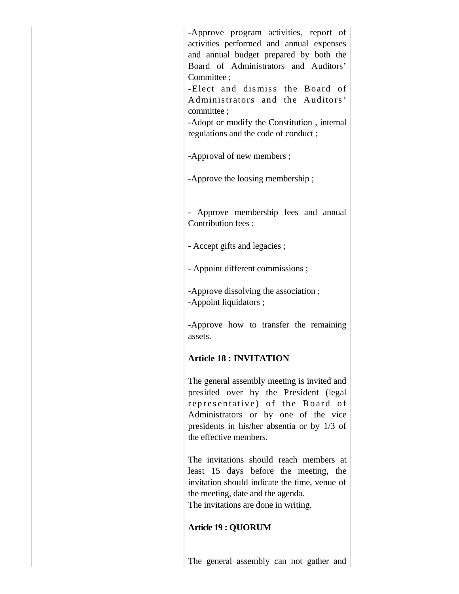-Approve program activities, report of activities performed and annual expenses and annual budget prepared by both the Board of Administrators and Auditors' Committee ; -Elect and dismiss the Board of

Administrators and the Auditors' committee ;

-Adopt or modify the Constitution , internal regulations and the code of conduct ;

-Approval of new members ;

-Approve the loosing membership ;

- Approve membership fees and annual Contribution fees ;

- Accept gifts and legacies ;

- Appoint different commissions ;

-Approve dissolving the association ; -Appoint liquidators ;

-Approve how to transfer the remaining assets.

## **Article 18 : INVITATION**

The general assembly meeting is invited and presided over by the President (legal representative) of the Board of Administrators or by one of the vice presidents in his/her absentia or by 1/3 of the effective members.

The invitations should reach members at least 15 days before the meeting, the invitation should indicate the time, venue of the meeting, date and the agenda. The invitations are done in writing.

## **Article 19 : QUORUM**

The general assembly can not gather and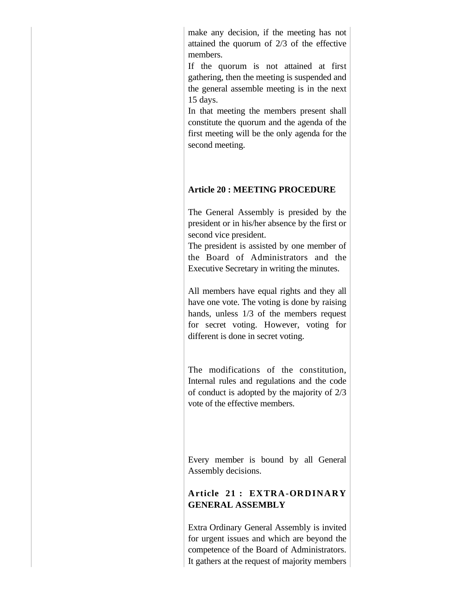make any decision, if the meeting has not attained the quorum of 2/3 of the effective members.

If the quorum is not attained at first gathering, then the meeting is suspended and the general assemble meeting is in the next 15 days.

In that meeting the members present shall constitute the quorum and the agenda of the first meeting will be the only agenda for the second meeting.

### **Article 20 : MEETING PROCEDURE**

The General Assembly is presided by the president or in his/her absence by the first or second vice president.

The president is assisted by one member of the Board of Administrators and the Executive Secretary in writing the minutes.

All members have equal rights and they all have one vote. The voting is done by raising hands, unless 1/3 of the members request for secret voting. However, voting for different is done in secret voting.

The modifications of the constitution, Internal rules and regulations and the code of conduct is adopted by the majority of 2/3 vote of the effective members.

Every member is bound by all General Assembly decisions.

## **Article 21 : EXTRA-ORDINARY GENERAL ASSEMBLY**

Extra Ordinary General Assembly is invited for urgent issues and which are beyond the competence of the Board of Administrators. It gathers at the request of majority members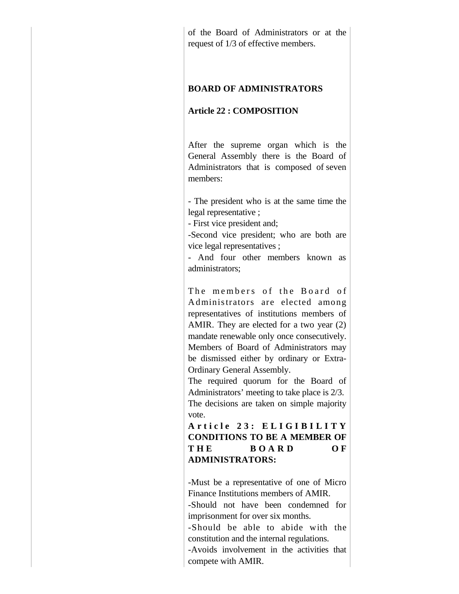of the Board of Administrators or at the request of 1/3 of effective members.

### **BOARD OF ADMINISTRATORS**

### **Article 22 : COMPOSITION**

After the supreme organ which is the General Assembly there is the Board of Administrators that is composed of seven members:

- The president who is at the same time the legal representative ;

- First vice president and;

-Second vice president; who are both are vice legal representatives ;

- And four other members known as administrators;

The members of the Board of A dminis trators are elected among representatives of institutions members of AMIR. They are elected for a two year (2) mandate renewable only once consecutively. Members of Board of Administrators may be dismissed either by ordinary or Extra-Ordinary General Assembly.

The required quorum for the Board of Administrators' meeting to take place is 2/3. The decisions are taken on simple majority vote.

**A r t i c l e 2 3 : E L I G I B I L I T Y CONDITIONS TO BE A MEMBER OF**  THE BOARD OF **ADMINISTRATORS:**

-Must be a representative of one of Micro Finance Institutions members of AMIR.

-Should not have been condemned for imprisonment for over six months.

-Should be able to abide with the constitution and the internal regulations.

-Avoids involvement in the activities that compete with AMIR.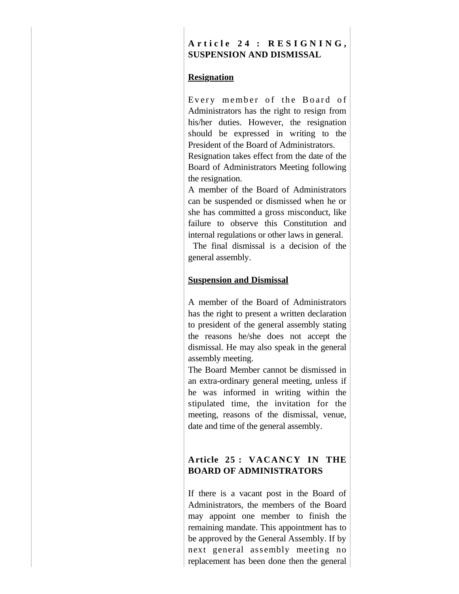## **A r t i c l e 2 4 : R E S I G N I N G , SUSPENSION AND DISMISSAL**

### **Resignation**

Every member of the Board of Administrators has the right to resign from his/her duties. However, the resignation should be expressed in writing to the President of the Board of Administrators.

Resignation takes effect from the date of the Board of Administrators Meeting following the resignation.

A member of the Board of Administrators can be suspended or dismissed when he or she has committed a gross misconduct, like failure to observe this Constitution and internal regulations or other laws in general.

 The final dismissal is a decision of the general assembly.

### **Suspension and Dismissal**

A member of the Board of Administrators has the right to present a written declaration to president of the general assembly stating the reasons he/she does not accept the dismissal. He may also speak in the general assembly meeting.

The Board Member cannot be dismissed in an extra-ordinary general meeting, unless if he was informed in writing within the stipulated time, the invitation for the meeting, reasons of the dismissal, venue, date and time of the general assembly.

## **Article 25 : VACANCY IN THE BOARD OF ADMINISTRATORS**

If there is a vacant post in the Board of Administrators, the members of the Board may appoint one member to finish the remaining mandate. This appointment has to be approved by the General Assembly. If by next general assembly meeting no replacement has been done then the general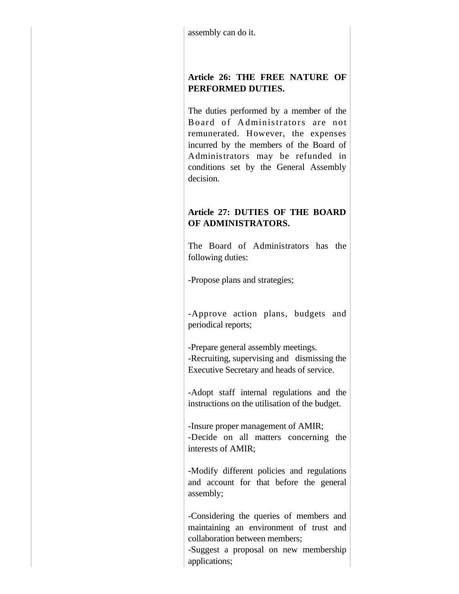## **Article 26: THE FREE NATURE OF PERFORMED DUTIES.**

The duties performed by a member of the Board of Administrators are not remunerated. However, the expenses incurred by the members of the Board of Administrators may be refunded in conditions set by the General Assembly decision.

# **Article 27: DUTIES OF THE BOARD OF ADMINISTRATORS.**

The Board of Administrators has the following duties:

-Propose plans and strategies;

-Approve action plans, budgets and periodical reports;

-Prepare general assembly meetings. -Recruiting, supervising and dismissing the Executive Secretary and heads of service.

-Adopt staff internal regulations and the instructions on the utilisation of the budget.

-Insure proper management of AMIR; -Decide on all matters concerning the interests of AMIR;

-Modify different policies and regulations and account for that before the general assembly;

-Considering the queries of members and maintaining an environment of trust and collaboration between members;

-Suggest a proposal on new membership applications;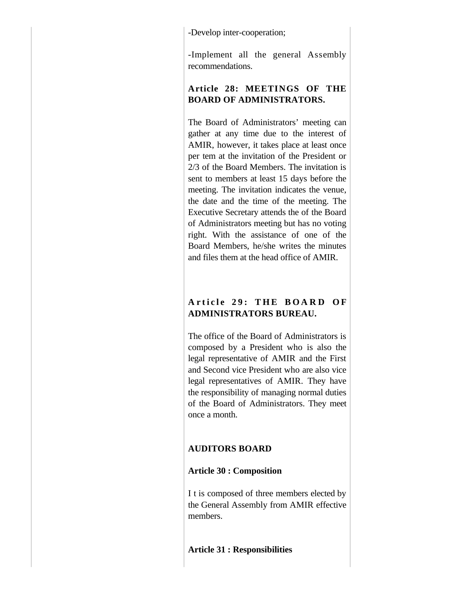-Develop inter-cooperation;

-Implement all the general Assembly recommendations.

# **Article 28: MEETINGS OF THE BOARD OF ADMINISTRATORS.**

The Board of Administrators' meeting can gather at any time due to the interest of AMIR, however, it takes place at least once per tem at the invitation of the President or 2/3 of the Board Members. The invitation is sent to members at least 15 days before the meeting. The invitation indicates the venue, the date and the time of the meeting. The Executive Secretary attends the of the Board of Administrators meeting but has no voting right. With the assistance of one of the Board Members, he/she writes the minutes and files them at the head office of AMIR.

## Article 29: THE BOARD OF **ADMINISTRATORS BUREAU.**

The office of the Board of Administrators is composed by a President who is also the legal representative of AMIR and the First and Second vice President who are also vice legal representatives of AMIR. They have the responsibility of managing normal duties of the Board of Administrators. They meet once a month.

## **AUDITORS BOARD**

## **Article 30 : Composition**

I t is composed of three members elected by the General Assembly from AMIR effective members.

**Article 31 : Responsibilities**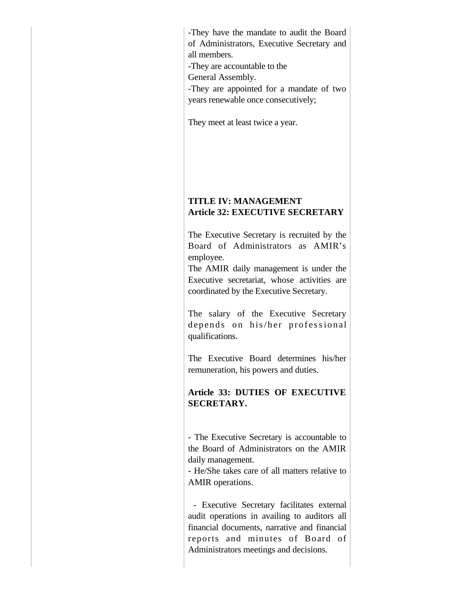-They have the mandate to audit the Board of Administrators, Executive Secretary and all members.

-They are accountable to the

General Assembly.

-They are appointed for a mandate of two years renewable once consecutively;

They meet at least twice a year.

## **TITLE IV: MANAGEMENT Article 32: EXECUTIVE SECRETARY**

The Executive Secretary is recruited by the Board of Administrators as AMIR's employee.

The AMIR daily management is under the Executive secretariat, whose activities are coordinated by the Executive Secretary.

The salary of the Executive Secretary depends on his/her professional qualifications.

The Executive Board determines his/her remuneration, his powers and duties.

**Article 33: DUTIES OF EXECUTIVE SECRETARY.**

- The Executive Secretary is accountable to the Board of Administrators on the AMIR daily management.

- He/She takes care of all matters relative to AMIR operations.

 - Executive Secretary facilitates external audit operations in availing to auditors all financial documents, narrative and financial reports and minutes of Board of Administrators meetings and decisions.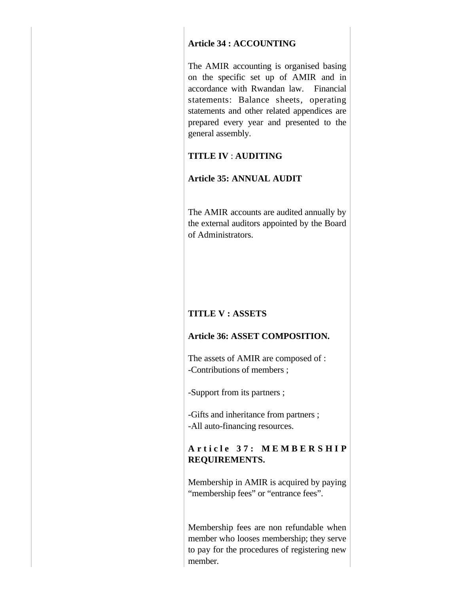### **Article 34 : ACCOUNTING**

The AMIR accounting is organised basing on the specific set up of AMIR and in accordance with Rwandan law. Financial statements: Balance sheets, operating statements and other related appendices are prepared every year and presented to the general assembly.

### **TITLE IV** : **AUDITING**

### **Article 35: ANNUAL AUDIT**

The AMIR accounts are audited annually by the external auditors appointed by the Board of Administrators.

## **TITLE V : ASSETS**

## **Article 36: ASSET COMPOSITION.**

The assets of AMIR are composed of : -Contributions of members ;

-Support from its partners ;

-Gifts and inheritance from partners ; -All auto-financing resources.

## **A r t i c l e 3 7 : M E M B E R S H I P REQUIREMENTS.**

Membership in AMIR is acquired by paying "membership fees" or "entrance fees".

Membership fees are non refundable when member who looses membership; they serve to pay for the procedures of registering new member.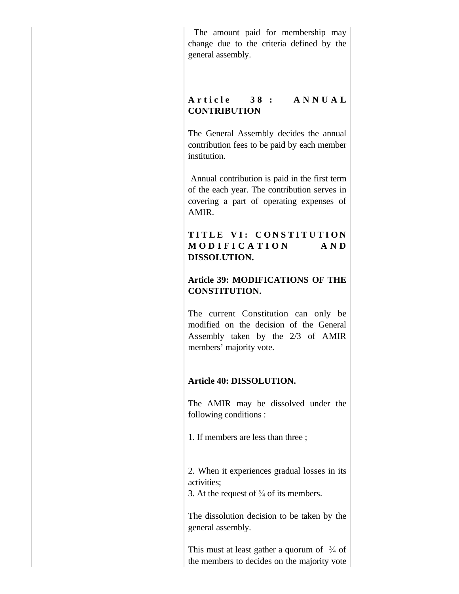The amount paid for membership may change due to the criteria defined by the general assembly.

## A r t i c l e 38 : A N N U A L **CONTRIBUTION**

The General Assembly decides the annual contribution fees to be paid by each member institution.

 Annual contribution is paid in the first term of the each year. The contribution serves in covering a part of operating expenses of AMIR.

## TITLE VI: CONSTITUTION **M O D I F I C A T I O N A N D DISSOLUTION.**

## **Article 39: MODIFICATIONS OF THE CONSTITUTION.**

The current Constitution can only be modified on the decision of the General Assembly taken by the 2/3 of AMIR members' majority vote.

## **Article 40: DISSOLUTION.**

The AMIR may be dissolved under the following conditions :

1. If members are less than three ;

2. When it experiences gradual losses in its activities;

3. At the request of  $\frac{3}{4}$  of its members.

The dissolution decision to be taken by the general assembly.

This must at least gather a quorum of  $\frac{3}{4}$  of the members to decides on the majority vote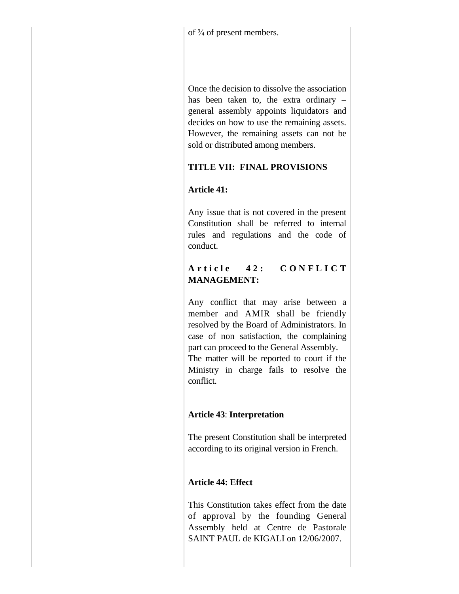of  $\frac{3}{4}$  of present members.

Once the decision to dissolve the association has been taken to, the extra ordinary – general assembly appoints liquidators and decides on how to use the remaining assets. However, the remaining assets can not be sold or distributed among members.

# **TITLE VII: FINAL PROVISIONS**

# **Article 41:**

Any issue that is not covered in the present Constitution shall be referred to internal rules and regulations and the code of conduct.

# A r t i c l e 42: CON F L I C T **MANAGEMENT:**

Any conflict that may arise between a member and AMIR shall be friendly resolved by the Board of Administrators. In case of non satisfaction, the complaining part can proceed to the General Assembly.

The matter will be reported to court if the Ministry in charge fails to resolve the conflict.

# **Article 43**: **Interpretation**

The present Constitution shall be interpreted according to its original version in French.

# **Article 44: Effect**

This Constitution takes effect from the date of approval by the founding General Assembly held at Centre de Pastorale SAINT PAUL de KIGALI on 12/06/2007.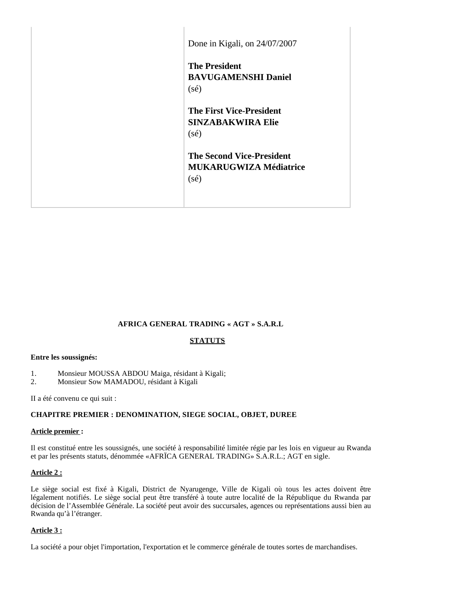| Done in Kigali, on 24/07/2007                                                       |  |
|-------------------------------------------------------------------------------------|--|
| <b>The President</b><br><b>BAVUGAMENSHI Daniel</b><br>$(s\acute{e})$                |  |
| <b>The First Vice-President</b><br><b>SINZABAKWIRA Elie</b><br>$(s\acute{e})$       |  |
| <b>The Second Vice-President</b><br><b>MUKARUGWIZA Médiatrice</b><br>$(s\acute{e})$ |  |
|                                                                                     |  |

## **AFRICA GENERAL TRADING « AGT » S.A.R.L**

## **STATUTS**

#### **Entre les soussignés:**

- 1. Monsieur MOUSSA ABDOU Maiga, résidant à Kigali;
- 2. Monsieur Sow MAMADOU, résidant à Kigali

II a été convenu ce qui suit :

## **CHAPITRE PREMIER : DENOMINATION, SIEGE SOCIAL, OBJET, DUREE**

## **Article premier :**

Il est constitué entre les soussignés, une société à responsabilité limitée régie par les lois en vigueur au Rwanda et par les présents statuts, dénommée «AFRÏCA GENERAL TRADING» S.A.R.L.; AGT en sigle.

## **Article 2 :**

Le siège social est fixé à Kigali, District de Nyarugenge, Ville de Kigali où tous les actes doivent être légalement notifiés. Le siège social peut être transféré à toute autre localité de la République du Rwanda par décision de l'Assemblée Générale. La société peut avoir des succursales, agences ou représentations aussi bien au Rwanda qu'à l'étranger.

## **Article 3 :**

La société a pour objet l'importation, l'exportation et le commerce générale de toutes sortes de marchandises.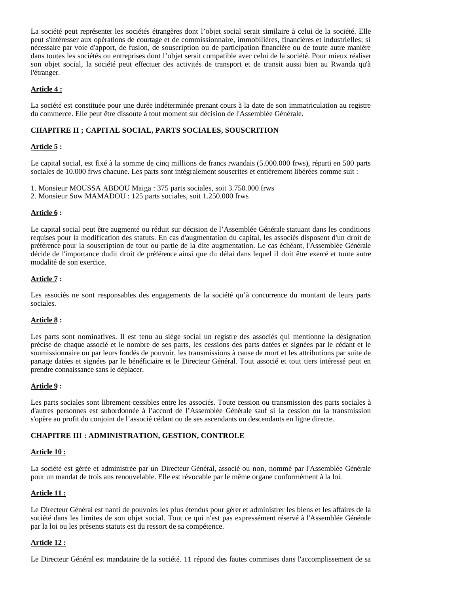La société peut représenter les sociétés étrangères dont l'objet social serait similaire à celui de la société. Elle peut s'intéresser aux opérations de courtage et de commissionnaire, immobilières, financières et industrielles; si nécessaire par voie d'apport, de fusion, de souscription ou de participation financière ou de toute autre manière dans toutes les sociétés ou entreprises dont l'objet serait compatible avec celui de la société. Pour mieux réaliser son objet social, la société peut effectuer des activités de transport et de transit aussi bien au Rwanda qu'à l'étranger.

## **Article 4 :**

La société est constituée pour une durée indéterminée prenant cours à la date de son immatriculation au registre du commerce. Elle peut être dissoute à tout moment sur décision de l'Assemblée Générale.

## **CHAPITRE II ; CAPITAL SOCIAL, PARTS SOCIALES, SOUSCRITION**

## **Article 5 :**

Le capital social, est fixé à la somme de cinq millions de francs rwandais (5.000.000 frws), réparti en 500 parts sociales de 10.000 frws chacune. Les parts sont intégralement souscrites et entièrement libérées comme suit :

- 1. Monsieur MOUSSA ABDOU Maiga : 375 parts sociales, soit 3.750.000 frws
- 2. Monsieur Sow MAMADOU : 125 parts sociales, soit 1.250.000 frws

## **Article 6 :**

Le capital social peut être augmenté ou réduit sur décision de l'Assemblée Générale statuant dans les conditions requises pour la modification des statuts. En cas d'augmentation du capital, les associés disposent d'un droit de préférence pour la souscription de tout ou partie de la dite augmentation. Le cas échéant, l'Assemblée Générale décide de l'importance dudit droit de préférence ainsi que du délai dans lequel il doit être exercé et toute autre modalité de son exercice.

#### **Article 7 :**

Les associés ne sont responsables des engagements de la société qu'à concurrence du montant de leurs parts sociales.

## **Article 8 :**

Les parts sont nominatives. Il est tenu au siège social un registre des associés qui mentionne la désignation précise de chaque associé et le nombre de ses parts, les cessions des parts datées et signées par le cédant et le soumissionnaire ou par leurs fondés de pouvoir, les transmissions à cause de mort et les attributions par suite de partage datées et signées par le bénéficiaire et le Directeur Général. Tout associé et tout tiers intéressé peut en prendre connaissance sans le déplacer.

#### **Article 9 :**

Les parts sociales sont librement cessibles entre les associés. Toute cession ou transmission des parts sociales à d'autres personnes est subordonnée à l'accord de l'Assemblée Générale sauf si la cession ou la transmission s'opère au profit du conjoint de l'associé cédant ou de ses ascendants ou descendants en ligne directe.

## **CHAPITRE III : ADMINISTRATION, GESTION, CONTROLE**

#### **Article 10 :**

La société est gérée et administrée par un Directeur Général, associé ou non, nommé par l'Assemblée Générale pour un mandat de trois ans renouvelable. Elle est révocable par le même organe conformément à la loi*.*

## **Article 11 :**

Le Directeur Générai est nanti de pouvoirs les plus étendus pour gérer et administrer les biens et les affaires de la société dans les limites de son objet social. Tout ce qui n'est pas expressément réservé à l'Assemblée Générale par la loi ou les présents statuts est du ressort de sa compétence.

#### **Article 12 :**

Le Directeur Général est mandataire de la société. 11 répond des fautes commises dans l'accomplissement de sa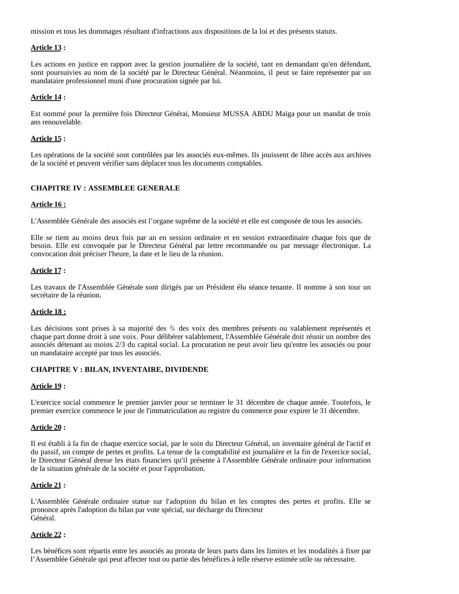mission et tous les dommages résultant d'infractions aux dispositions de la loi et des présents statuts.

## **Article 13 :**

Les actions en justice en rapport avec la gestion journalière de la société, tant en demandant qu'en défendant, sont poursuivies au nom de la société par le Directeur Général. Néanmoins, il peut se faire représenter par un mandataire professionnel muni d'une procuration signée par lui.

#### **Article 14 :**

Est nommé pour la première fois Directeur Générai, Monsieur MUSSA ABDU Maiga pour un mandat de trois ans renouvelable.

#### **Article 15 :**

Les opérations de la société sont contrôlées par les associés eux-mêmes. Ils jouissent de libre accès aux archives de la société et peuvent vérifier sans déplacer tous les documents comptables.

#### **CHAPITRE IV : ASSEMBLEE GENERALE**

#### **Article 16 :**

L'Assemblée Générale des associés est l'organe suprême de la société et elle est composée de tous les associés.

Elle se tient au moins deux fois par an en session ordinaire et en session extraordinaire chaque fois que de besoin. Elle est convoquée par le Directeur Général par lettre recommandée ou par message électronique. La convocation doit préciser l'heure, la date et le lieu de la réunion.

#### **Article 17 :**

Les travaux de l'Assemblée Générale sont dirigés par un Président élu séance tenante. Il nomme à son tour un secrétaire de la réunion.

## **Article 18 :**

Les décisions sont prises à sa majorité des  $\frac{3}{4}$  des voix des membres présents ou valablement représentés et chaque part donne droit à une voix. Pour délibérer valablement, l'Assemblée Générale doit réunir un nombre des associés détenant au moins 2/3 du capital social. La procuration ne peut avoir lieu qu'entre les associés ou pour un mandataire accepté par tous les associés.

## **CHAPITRE V : BILAN, INVENTAIRE, DIVIDENDE**

#### **Article 19 :**

L'exercice social commence le premier janvier pour se terminer le 31 décembre de chaque année. Toutefois, le premier exercice commence le jour de l'immatriculation au registre du commerce pour expirer le 31 décembre.

#### **Article 20 :**

Il est établi à la fin de chaque exercice social, par le soin du Directeur Général, un inventaire général de l'actif et du passif, un compte de pertes et profits. La tenue de la comptabilité est journalière et la fin de l'exercice social, le Directeur Général dresse les états financiers qu'il présente à l'Assemblée Générale ordinaire pour information de la situation générale de la société et pour l'approbation.

#### **Article 21 :**

L'Assemblée Générale ordinaire statue sur l'adoption du bilan et les comptes des pertes et profits. Elle se prononce après l'adoption du bilan par vote spécial, sur décharge du Directeur Général.

## **Article 22 :**

Les bénéfices sont répartis entre les associés au prorata de leurs parts dans les limites et les modalités à fixer par l'Assemblée Générale qui peut affecter tout ou partie des bénéfices à telle réserve estimée utile ou nécessaire.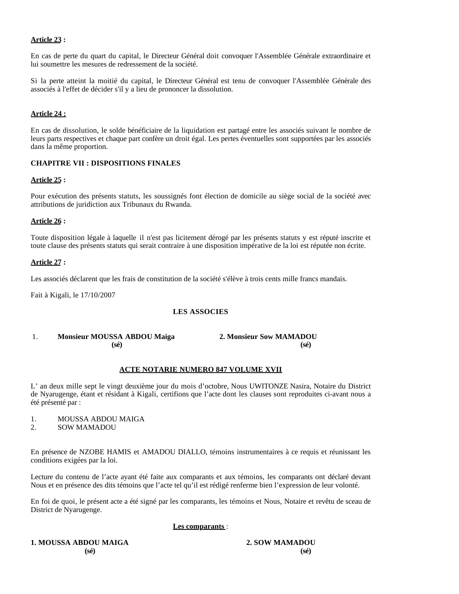## **Article 23 :**

En cas de perte du quart du capital, le Directeur Général doit convoquer l'Assemblée Générale extraordinaire et lui soumettre les mesures de redressement de la société.

Si la perte atteint la moitié du capital, le Directeur Général est tenu de convoquer l'Assemblée Générale des associés à l'effet de décider s'il y a lieu de prononcer la dissolution.

## **Article 24 :**

En cas de dissolution, le solde bénéficiaire de la liquidation est partagé entre les associés suivant le nombre de leurs parts respectives et chaque part confère un droit égal. Les pertes éventuelles sont supportées par les associés dans la même proportion.

## **CHAPITRE VII : DISPOSITIONS FINALES**

#### **Article 25 :**

Pour exécution des présents statuts, les soussignés font élection de domicile au siège social de la société avec attributions de juridiction aux Tribunaux du Rwanda.

#### **Article 26 :**

Toute disposition légale à laquelle il n'est pas licitement dérogé par les présents statuts y est réputé inscrite et toute clause des présents statuts qui serait contraire à une disposition impérative de la loi est réputée non écrite.

#### **Article 27 :**

Les associés déclarent que les frais de constitution de la société s'élève à trois cents mille francs mandais.

Fait à Kigali, le 17/10/2007

## **LES ASSOCIES**

## 1. **Monsieur MOUSSA ABDOU Maiga 2. Monsieur Sow MAMADOU (sé) (sé)**

## **ACTE NOTARIE NUMERO 847 VOLUME XVII**

L' an deux mille sept le vingt deuxième jour du mois d'octobre, Nous UWITONZE Nasira, Notaire du District de Nyarugenge, étant et résidant à Kigali, certifions que l'acte dont les clauses sont reproduites ci-avant nous a été présenté par :

## 1. MOUSSA ABDOU MAIGA

2. SOW MAMADOU

En présence de NZOBE HAMIS et AMADOU DIALLO, témoins instrumentaires à ce requis et réunissant les conditions exigées par la loi.

Lecture du contenu de l'acte ayant été faite aux comparants et aux témoins, les comparants ont déclaré devant Nous et en présence des dits témoins que l'acte tel qu'il est rédigé renferme bien l'expression de leur volonté.

En foi de quoi, le présent acte a été signé par les comparants, les témoins et Nous, Notaire et revêtu de sceau de District de Nyarugenge.

#### **Les comparants** :

**1. MOUSSA ABDOU MAIGA 2. SOW MAMADOU**

**(sé) (sé)**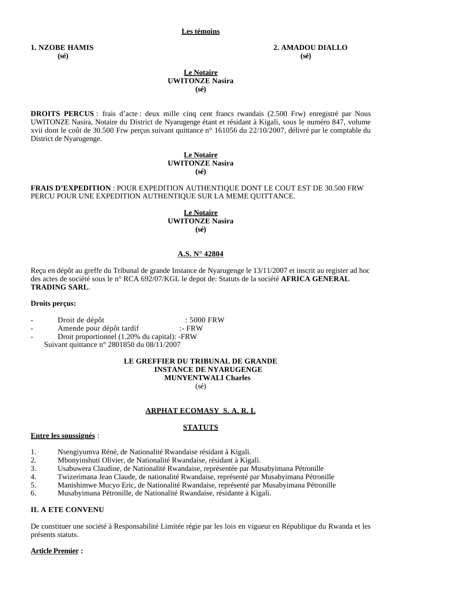#### **Les témoins**

#### **1. NZOBE HAMIS 2. AMADOU DIALLO (sé) (sé)**

#### **Le Notaire UWITONZE Nasira (sé)**

**DROITS PERCUS** : frais d'acte : deux mille cinq cent francs rwandais (2.500 Frw) enregistré par Nous UWITONZE Nasira, Notaire du District de Nyarugenge étant et résidant à Kigali, sous le numéro 847, volume xvii dont le coût de 30.500 Frw perçus suivant quittance n° 161056 du 22/10/2007, délivré par le comptable du District de Nyarugenge.

#### **Le Notaire UWITONZE Nasira (sé)**

#### **FRAIS D'EXPEDITION** : POUR EXPEDITION AUTHENTIQUE DONT LE COUT EST DE 30.500 FRW PERCU POUR UNE EXPEDITION AUTHENTIQUE SUR LA MEME QUITTANCE.

#### **Le Notaire UWITONZE Nasira (sé)**

#### **A.S. N° 42804**

Reçu en dépôt au greffe du Tribunal de grande Instance de Nyarugenge le 13/11/2007 et inscrit au register ad hoc des actes de société sous le n° RCA 692/07/KGL le depot de: Statuts de la société **AFRICA GENERAL TRADING SARL**.

#### **Droits perçus:**

- Droit de dépôt : 5000 FRW
- Amende pour dépôt tardif :- FRW

- Droit proportionnel (1.20% du capital): -FRW

Suivant quittance n° 2801850 du 08/11/2007

#### **LE GREFFIER DU TRIBUNAL DE GRANDE INSTANCE DE NYARUGENGE MUNYENTWALI Charles** (sé)

## **ARPHAT ECOMASY S. A. R. L**

## **STATUTS**

#### **Entre les soussignés** :

- 1. Nsengiyumva Réné, de Nationalité Rwandaise résidant à Kigali.
- 2. Mbonyinshuti Olivier, de Nationalité Rwandaise, résidant à Kigali.
- 3. Usabuwera Claudine, de Nationalité Rwandaise, représentée par Musabyimana Pétronille
- 4. Twizerimana Jean Claude, de nationalité Rwandaise, représenté par Musabyimana Pétronille
- 5. Manishimwe Mucyo Eric, de Nationalité Rwandaise, représenté par Musabyimana Pétronille
- 6. Musabyimana Pétronille, de Nationalité Rwandaise, résidante à Kigali.

#### **IL A ETE CONVENU**

De constituer une société à Responsabilité Limitée régie par les lois en vigueur en République du Rwanda et les présents statuts.

#### **Article Premier :**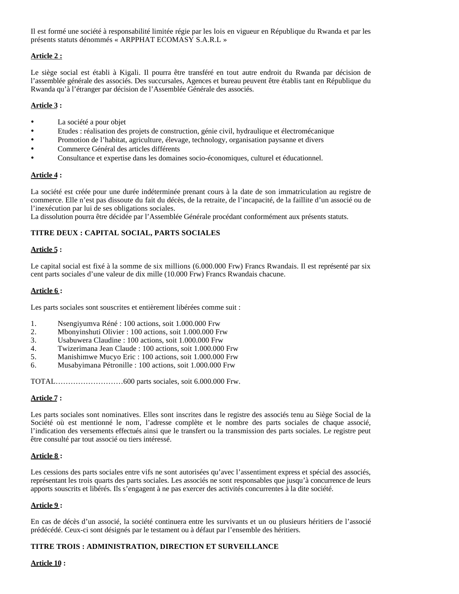Il est formé une société à responsabilité limitée régie par les lois en vigueur en République du Rwanda et par les présents statuts dénommés « ARPPHAT ECOMASY S.A.R.L »

## **Article 2 :**

Le siège social est établi à Kigali. Il pourra être transféré en tout autre endroit du Rwanda par décision de l'assemblée générale des associés. Des succursales, Agences et bureau peuvent être établis tant en République du Rwanda qu'à l'étranger par décision de l'Assemblée Générale des associés.

## **Article 3 :**

- La société a pour objet
- Etudes : réalisation des projets de construction, génie civil, hydraulique et électromécanique
- Promotion de l'habitat, agriculture, élevage, technology, organisation paysanne et divers
- Commerce Général des articles différents
- Consultance et expertise dans les domaines socio-économiques, culturel et éducationnel.

## **Article 4 :**

La société est créée pour une durée indéterminée prenant cours à la date de son immatriculation au registre de commerce. Elle n'est pas dissoute du fait du décès, de la retraite, de l'incapacité, de la faillite d'un associé ou de l'inexécution par lui de ses obligations sociales.

La dissolution pourra être décidée par l'Assemblée Générale procédant conformément aux présents statuts.

## **TITRE DEUX : CAPITAL SOCIAL, PARTS SOCIALES**

## **Article 5 :**

Le capital social est fixé à la somme de six millions (6.000.000 Frw) Francs Rwandais. Il est représenté par six cent parts sociales d'une valeur de dix mille (10.000 Frw) Francs Rwandais chacune.

## **Article 6 :**

Les parts sociales sont souscrites et entièrement libérées comme suit :

- 1. Nsengiyumva Réné : 100 actions, soit 1.000.000 Frw
- 2. Mbonyinshuti Olivier : 100 actions, soit 1.000.000 Frw
- 3. Usabuwera Claudine : 100 actions, soit 1.000.000 Frw
- 4. Twizerimana Jean Claude : 100 actions, soit 1.000.000 Frw
- 5. Manishimwe Mucyo Eric : 100 actions, soit 1.000.000 Frw
- 6. Musabyimana Pétronille : 100 actions, soit 1.000.000 Frw

TOTAL………………………600 parts sociales, soit 6.000.000 Frw.

## **Article 7 :**

Les parts sociales sont nominatives. Elles sont inscrites dans le registre des associés tenu au Siège Social de la Société où est mentionné le nom, l'adresse complète et le nombre des parts sociales de chaque associé, l'indication des versements effectués ainsi que le transfert ou la transmission des parts sociales. Le registre peut être consulté par tout associé ou tiers intéressé.

## **Article 8 :**

Les cessions des parts sociales entre vifs ne sont autorisées qu'avec l'assentiment express et spécial des associés, représentant les trois quarts des parts sociales. Les associés ne sont responsables que jusqu'à concurrence de leurs apports souscrits et libérés. Ils s'engagent à ne pas exercer des activités concurrentes à la dite société.

## **Article 9 :**

En cas de décès d'un associé, la société continuera entre les survivants et un ou plusieurs héritiers de l'associé prédécédé. Ceux-ci sont désignés par le testament ou à défaut par l'ensemble des héritiers.

## **TITRE TROIS : ADMINISTRATION, DIRECTION ET SURVEILLANCE**

## **Article 10 :**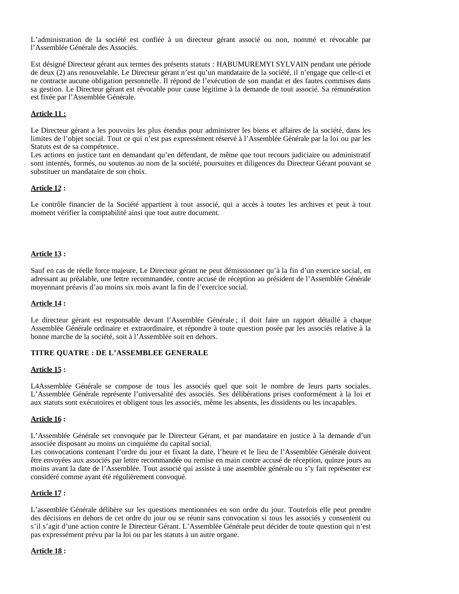L'administration de la société est confiée à un directeur gérant associé ou non, nommé et révocable par l'Assemblée Générale des Associés.

Est désigné Directeur gérant aux termes des présents statuts : HABUMUREMYI SYLVAIN pendant une période de deux (2) ans renouvelable. Le Directeur gérant n'est qu'un mandataire de la société, il n'engage que celle-ci et ne contracte aucune obligation personnelle. Il répond de l'exécution de son mandat et des fautes commises dans sa gestion. Le Directeur gérant est révocable pour cause légitime à la demande de tout associé. Sa rémunération est fixée par l'Assemblée Générale.

## **Article 11 :**

Le Directeur gérant a les pouvoirs les plus étendus pour administrer les biens et affaires de la société, dans les limites de l'objet social. Tout ce qui n'est pas expressément réservé à l'Assemblée Générale par la loi ou par les Statuts est de sa compétence.

Les actions en justice tant en demandant qu'en défendant, de même que tout recours judiciaire ou administratif sont intentés, formés, ou soutenus au nom de la société, poursuites et diligences du Directeur Gérant pouvant se substituer un mandataire de son choix.

#### **Article 12 :**

Le contrôle financier de la Société appartient à tout associé, qui a accès à toutes les archives et peut à tout moment vérifier la comptabilité ainsi que tout autre document.

#### **Article 13 :**

Sauf en cas de réelle force majeure, Le Directeur gérant ne peut démissionner qu'à la fin d'un exercice social, en adressant au préalable, une lettre recommandée, contre accusé de réception au président de l'Assemblée Générale moyennant préavis d'au moins six mois avant la fin de l'exercice social.

#### **Article 14 :**

Le directeur gérant est responsable devant l'Assemblée Générale ; il doit faire un rapport détaillé à chaque Assemblée Générale ordinaire et extraordinaire, et répondre à toute question posée par les associés relative à la bonne marche de la société, soit à l'Assemblée soit en dehors.

#### **TITRE QUATRE : DE L'ASSEMBLEE GENERALE**

#### **Article 15 :**

L4Assemblée Générale se compose de tous les associés quel que soit le nombre de leurs parts sociales. L'Assemblée Générale représente l'universalité des associés. Ses délibérations prises conformément à la loi et aux statuts sont exécutoires et obligent tous les associés, même les absents, les dissidents ou les incapables.

#### **Article 16 :**

L'Assemblée Générale set convoquée par le Directeur Gérant, et par mandataire en justice à la demande d'un associée disposant au moins un cinquième du capital social.

Les convocations contenant l'ordre du jour et fixant la date, l'heure et le lieu de l'Assemblée Générale doivent être envoyées aux associés par lettre recommandée ou remise en main contre accusé de réception, quinze jours au moins avant la date de l'Assemblée. Tout associé qui assiste à une assemblée générale ou s'y fait représenter est considéré comme ayant été régulièrement convoqué.

## **Article 17 :**

L'assemblée Générale délibère sur les questions mentionnées en son ordre du jour. Toutefois elle peut prendre des décisions en dehors de cet ordre du jour ou se réunir sans convocation si tous les associés y consentent ou s'il s'agit d'une action contre le Directeur Gérant. L'Assemblée Générale peut décider de toute question qui n'est pas expressément prévu par la loi ou par les statuts à un autre organe.

#### **Article 18 :**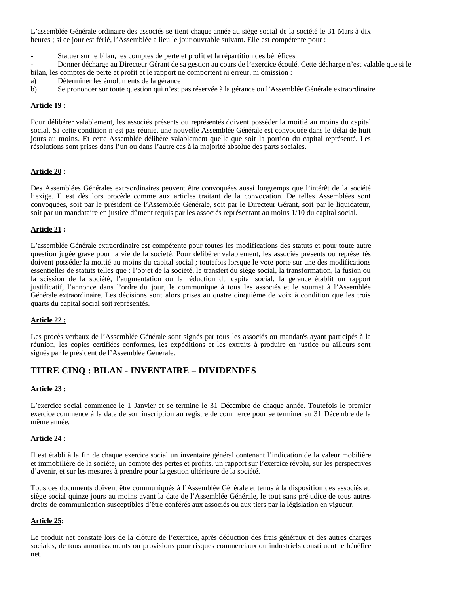L'assemblée Générale ordinaire des associés se tient chaque année au siège social de la société le 31 Mars à dix heures ; si ce jour est férié, l'Assemblée a lieu le jour ouvrable suivant. Elle est compétente pour :

Statuer sur le bilan, les comptes de perte et profit et la répartition des bénéfices

- Donner décharge au Directeur Gérant de sa gestion au cours de l'exercice écoulé. Cette décharge n'est valable que si le bilan, les comptes de perte et profit et le rapport ne comportent ni erreur, ni omission :

- a) Déterminer les émoluments de la gérance
- b) Se prononcer sur toute question qui n'est pas réservée à la gérance ou l'Assemblée Générale extraordinaire.

#### **Article 19 :**

Pour délibérer valablement, les associés présents ou représentés doivent posséder la moitié au moins du capital social. Si cette condition n'est pas réunie, une nouvelle Assemblée Générale est convoquée dans le délai de huit jours au moins. Et cette Assemblée délibère valablement quelle que soit la portion du capital représenté. Les résolutions sont prises dans l'un ou dans l'autre cas à la majorité absolue des parts sociales.

#### **Article 20 :**

Des Assemblées Générales extraordinaires peuvent être convoquées aussi longtemps que l'intérêt de la société l'exige. Il est dès lors procède comme aux articles traitant de la convocation. De telles Assemblées sont convoquées, soit par le président de l'Assemblée Générale, soit par le Directeur Gérant, soit par le liquidateur, soit par un mandataire en justice dûment requis par les associés représentant au moins 1/10 du capital social.

#### **Article 21 :**

L'assemblée Générale extraordinaire est compétente pour toutes les modifications des statuts et pour toute autre question jugée grave pour la vie de la société. Pour délibérer valablement, les associés présents ou représentés doivent posséder la moitié au moins du capital social ; toutefois lorsque le vote porte sur une des modifications essentielles de statuts telles que : l'objet de la société, le transfert du siège social, la transformation, la fusion ou la scission de la société, l'augmentation ou la réduction du capital social, la gérance établit un rapport justificatif, l'annonce dans l'ordre du jour, le communique à tous les associés et le soumet à l'Assemblée Générale extraordinaire. Les décisions sont alors prises au quatre cinquième de voix à condition que les trois quarts du capital social soit représentés.

## **Article 22 :**

Les procès verbaux de l'Assemblée Générale sont signés par tous les associés ou mandatés ayant participés à la réunion, les copies certifiées conformes, les expéditions et les extraits à produire en justice ou ailleurs sont signés par le président de l'Assemblée Générale.

# **TITRE CINQ : BILAN - INVENTAIRE – DIVIDENDES**

## **Article 23 :**

L'exercice social commence le 1 Janvier et se termine le 31 Décembre de chaque année. Toutefois le premier exercice commence à la date de son inscription au registre de commerce pour se terminer au 31 Décembre de la même année.

## **Article 24 :**

Il est établi à la fin de chaque exercice social un inventaire général contenant l'indication de la valeur mobilière et immobilière de la société, un compte des pertes et profits, un rapport sur l'exercice révolu, sur les perspectives d'avenir, et sur les mesures à prendre pour la gestion ultérieure de la société.

Tous ces documents doivent être communiqués à l'Assemblée Générale et tenus à la disposition des associés au siège social quinze jours au moins avant la date de l'Assemblée Générale, le tout sans préjudice de tous autres droits de communication susceptibles d'être conférés aux associés ou aux tiers par la législation en vigueur.

#### **Article 25:**

Le produit net constaté lors de la clôture de l'exercice, après déduction des frais généraux et des autres charges sociales, de tous amortissements ou provisions pour risques commerciaux ou industriels constituent le bénéfice net.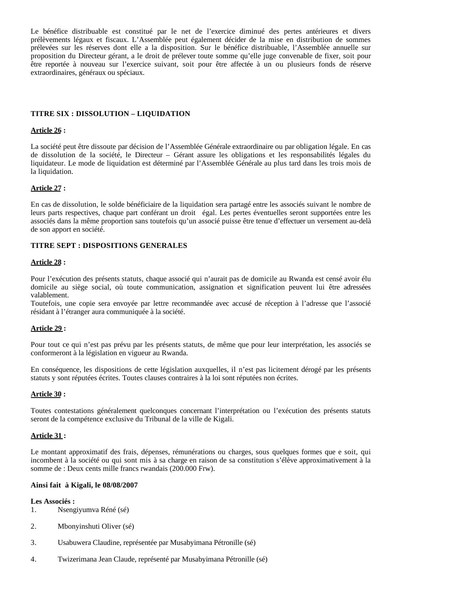Le bénéfice distribuable est constitué par le net de l'exercice diminué des pertes antérieures et divers prélèvements légaux et fiscaux. L'Assemblée peut également décider de la mise en distribution de sommes prélevées sur les réserves dont elle a la disposition. Sur le bénéfice distribuable, l'Assemblée annuelle sur proposition du Directeur gérant, a le droit de prélever toute somme qu'elle juge convenable de fixer, soit pour être reportée à nouveau sur l'exercice suivant, soit pour être affectée à un ou plusieurs fonds de réserve extraordinaires, généraux ou spéciaux.

#### **TITRE SIX : DISSOLUTION – LIQUIDATION**

#### **Article 26 :**

La société peut être dissoute par décision de l'Assemblée Générale extraordinaire ou par obligation légale. En cas de dissolution de la société, le Directeur – Gérant assure les obligations et les responsabilités légales du liquidateur. Le mode de liquidation est déterminé par l'Assemblée Générale au plus tard dans les trois mois de la liquidation.

#### **Article 27 :**

En cas de dissolution, le solde bénéficiaire de la liquidation sera partagé entre les associés suivant le nombre de leurs parts respectives, chaque part conférant un droit égal. Les pertes éventuelles seront supportées entre les associés dans la même proportion sans toutefois qu'un associé puisse être tenue d'effectuer un versement au-delà de son apport en société.

#### **TITRE SEPT : DISPOSITIONS GENERALES**

#### **Article 28 :**

Pour l'exécution des présents statuts, chaque associé qui n'aurait pas de domicile au Rwanda est censé avoir élu domicile au siège social, où toute communication, assignation et signification peuvent lui être adressées valablement.

Toutefois, une copie sera envoyée par lettre recommandée avec accusé de réception à l'adresse que l'associé résidant à l'étranger aura communiquée à la société.

#### **Article 29 :**

Pour tout ce qui n'est pas prévu par les présents statuts, de même que pour leur interprétation, les associés se conformeront à la législation en vigueur au Rwanda.

En conséquence, les dispositions de cette législation auxquelles, il n'est pas licitement dérogé par les présents statuts y sont réputées écrites. Toutes clauses contraires à la loi sont réputées non écrites.

#### **Article 30 :**

Toutes contestations généralement quelconques concernant l'interprétation ou l'exécution des présents statuts seront de la compétence exclusive du Tribunal de la ville de Kigali.

#### **Article 31 :**

Le montant approximatif des frais, dépenses, rémunérations ou charges, sous quelques formes que e soit, qui incombent à la société ou qui sont mis à sa charge en raison de sa constitution s'élève approximativement à la somme de : Deux cents mille francs rwandais (200.000 Frw).

#### **Ainsi fait à Kigali, le 08/08/2007**

#### **Les Associés :**

- 1. Nsengiyumva Réné (sé)
- 2. Mbonyinshuti Oliver (sé)
- 3. Usabuwera Claudine, représentée par Musabyimana Pétronille (sé)
- 4. Twizerimana Jean Claude, représenté par Musabyimana Pétronille (sé)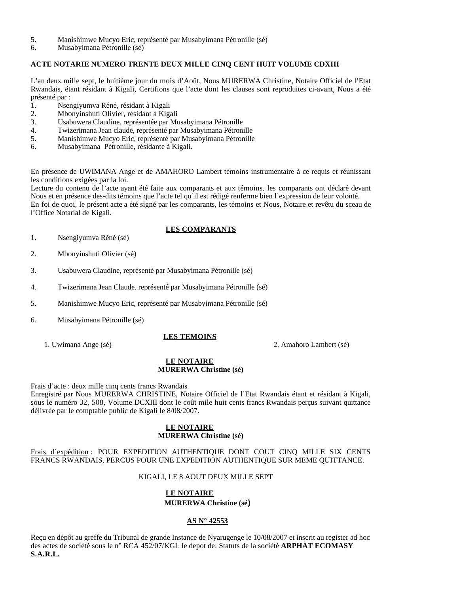- 5. Manishimwe Mucyo Eric, représenté par Musabyimana Pétronille (sé)
- 6. Musabyimana Pétronille (sé)

## **ACTE NOTARIE NUMERO TRENTE DEUX MILLE CINQ CENT HUIT VOLUME CDXIII**

L'an deux mille sept, le huitième jour du mois d'Août, Nous MURERWA Christine, Notaire Officiel de l'Etat Rwandais, étant résidant à Kigali, Certifions que l'acte dont les clauses sont reproduites ci-avant, Nous a été présenté par :

- 1. Nsengiyumva Réné, résidant à Kigali
- 2. Mbonyinshuti Olivier, résidant à Kigali
- 3. Usabuwera Claudine, représentée par Musabyimana Pétronille
- 4. Twizerimana Jean claude, représenté par Musabyimana Pétronille
- 5. Manishimwe Mucyo Eric, représenté par Musabyimana Pétronille
- 6. Musabyimana Pétronille, résidante à Kigali.

En présence de UWIMANA Ange et de AMAHORO Lambert témoins instrumentaire à ce requis et réunissant les conditions exigées par la loi.

Lecture du contenu de l'acte ayant été faite aux comparants et aux témoins, les comparants ont déclaré devant Nous et en présence des-dits témoins que l'acte tel qu'il est rédigé renferme bien l'expression de leur volonté. En foi de quoi, le présent acte a été signé par les comparants, les témoins et Nous, Notaire et revêtu du sceau de l'Office Notarial de Kigali.

## **LES COMPARANTS**

- 1. Nsengiyumva Réné (sé)
- 2. Mbonyinshuti Olivier (sé)
- 3. Usabuwera Claudine, représenté par Musabyimana Pétronille (sé)
- 4. Twizerimana Jean Claude, représenté par Musabyimana Pétronille (sé)
- 5. Manishimwe Mucyo Eric, représenté par Musabyimana Pétronille (sé)
- 6. Musabyimana Pétronille (sé)

## **LES TEMOINS**

1. Uwimana Ange (sé) 2. Amahoro Lambert (sé)

#### **LE NOTAIRE MURERWA Christine (sé)**

Frais d'acte : deux mille cinq cents francs Rwandais

Enregistré par Nous MURERWA CHRISTINE, Notaire Officiel de l'Etat Rwandais étant et résidant à Kigali, sous le numéro 32, 508, Volume DCXIII dont le coût mile huit cents francs Rwandais perçus suivant quittance délivrée par le comptable public de Kigali le 8/08/2007.

#### **LE NOTAIRE MURERWA Christine (sé)**

Frais d'expédition : POUR EXPEDITION AUTHENTIQUE DONT COUT CINQ MILLE SIX CENTS FRANCS RWANDAIS, PERCUS POUR UNE EXPEDITION AUTHENTIQUE SUR MEME QUITTANCE.

#### KIGALI, LE 8 AOUT DEUX MILLE SEPT

## **LE NOTAIRE MURERWA Christine (sé)**

#### **AS N° 42553**

Reçu en dépôt au greffe du Tribunal de grande Instance de Nyarugenge le 10/08/2007 et inscrit au register ad hoc des actes de société sous le n° RCA 452/07/KGL le depot de: Statuts de la société **ARPHAT ECOMASY S.A.R.L.**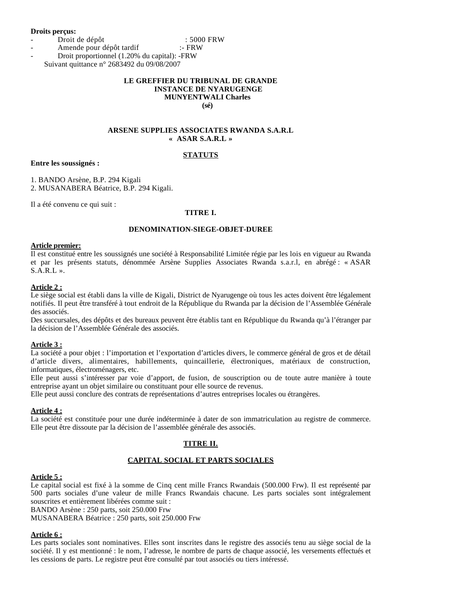#### **Droits perçus:**

Droit de dépôt : 5000 FRW

- Amende pour dépôt tardif :- FRW
- Droit proportionnel (1.20% du capital): -FRW Suivant quittance n° 2683492 du 09/08/2007

## **LE GREFFIER DU TRIBUNAL DE GRANDE INSTANCE DE NYARUGENGE MUNYENTWALI Charles**

**(sé)**

## **ARSENE SUPPLIES ASSOCIATES RWANDA S.A.R.L « ASAR S.A.R.L »**

## **STATUTS**

**Entre les soussignés :**

1. BANDO Arsène, B.P. 294 Kigali

2. MUSANABERA Béatrice, B.P. 294 Kigali.

Il a été convenu ce qui suit :

## **TITRE I.**

## **DENOMINATION-SIEGE-OBJET-DUREE**

#### **Article premier:**

Il est constitué entre les soussignés une société à Responsabilité Limitée régie par les lois en vigueur au Rwanda et par les présents statuts, dénommée Arsène Supplies Associates Rwanda s.a.r.l, en abrégé : « ASAR  $S.A.R.L$  ».

#### **Article 2 :**

Le siège social est établi dans la ville de Kigali, District de Nyarugenge où tous les actes doivent être légalement notifiés. Il peut être transféré à tout endroit de la République du Rwanda par la décision de l'Assemblée Générale des associés.

Des succursales, des dépôts et des bureaux peuvent être établis tant en République du Rwanda qu'à l'étranger par la décision de l'Assemblée Générale des associés.

## **Article 3 :**

La société a pour objet : l'importation et l'exportation d'articles divers, le commerce général de gros et de détail d'article divers, alimentaires, habillements, quincaillerie, électroniques, matériaux de construction, informatiques, électroménagers, etc.

Elle peut aussi s'intéresser par voie d'apport, de fusion, de souscription ou de toute autre manière à toute entreprise ayant un objet similaire ou constituant pour elle source de revenus.

Elle peut aussi conclure des contrats de représentations d'autres entreprises locales ou étrangères.

## **Article 4 :**

La société est constituée pour une durée indéterminée à dater de son immatriculation au registre de commerce. Elle peut être dissoute par la décision de l'assemblée générale des associés.

## **TITRE II.**

## **CAPITAL SOCIAL ET PARTS SOCIALES**

## **Article 5 :**

Le capital social est fixé à la somme de Cinq cent mille Francs Rwandais (500.000 Frw). Il est représenté par 500 parts sociales d'une valeur de mille Francs Rwandais chacune. Les parts sociales sont intégralement souscrites et entièrement libérées comme suit :

BANDO Arsène : 250 parts, soit 250.000 Frw

MUSANABERA Béatrice : 250 parts, soit 250.000 Frw

## **Article 6 :**

Les parts sociales sont nominatives. Elles sont inscrites dans le registre des associés tenu au siège social de la société. Il y est mentionné : le nom, l'adresse, le nombre de parts de chaque associé, les versements effectués et les cessions de parts. Le registre peut être consulté par tout associés ou tiers intéressé.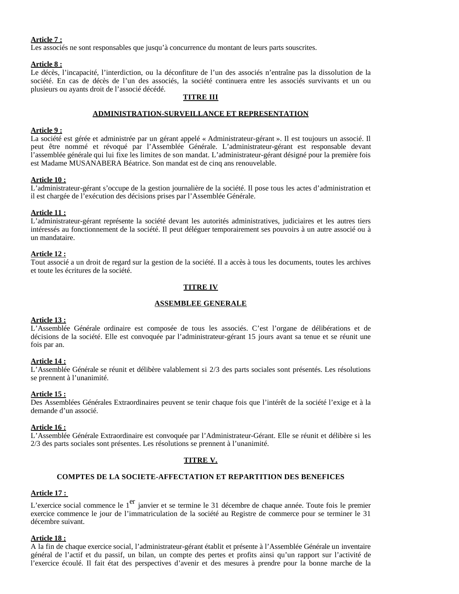#### **Article 7 :**

Les associés ne sont responsables que jusqu'à concurrence du montant de leurs parts souscrites.

#### **Article 8 :**

Le décès, l'incapacité, l'interdiction, ou la déconfiture de l'un des associés n'entraîne pas la dissolution de la société. En cas de décès de l'un des associés, la société continuera entre les associés survivants et un ou plusieurs ou ayants droit de l'associé décédé.

## **TITRE III**

#### **ADMINISTRATION-SURVEILLANCE ET REPRESENTATION**

#### **Article 9 :**

La société est gérée et administrée par un gérant appelé « Administrateur-gérant ». Il est toujours un associé. Il peut être nommé et révoqué par l'Assemblée Générale. L'administrateur-gérant est responsable devant l'assemblée générale qui lui fixe les limites de son mandat. L'administrateur-gérant désigné pour la première fois est Madame MUSANABERA Béatrice. Son mandat est de cinq ans renouvelable.

#### **Article 10 :**

L'administrateur-gérant s'occupe de la gestion journalière de la société. Il pose tous les actes d'administration et il est chargée de l'exécution des décisions prises par l'Assemblée Générale.

#### **Article 11 :**

L'administrateur-gérant représente la société devant les autorités administratives, judiciaires et les autres tiers intéressés au fonctionnement de la société. Il peut déléguer temporairement ses pouvoirs à un autre associé ou à un mandataire.

#### **Article 12 :**

Tout associé a un droit de regard sur la gestion de la société. Il a accès à tous les documents, toutes les archives et toute les écritures de la société.

#### **TITRE IV**

## **ASSEMBLEE GENERALE**

#### **Article 13 :**

L'Assemblée Générale ordinaire est composée de tous les associés. C'est l'organe de délibérations et de décisions de la société. Elle est convoquée par l'administrateur-gérant 15 jours avant sa tenue et se réunit une fois par an.

#### **Article 14 :**

L'Assemblée Générale se réunit et délibère valablement si 2/3 des parts sociales sont présentés. Les résolutions se prennent à l'unanimité.

#### **Article 15 :**

Des Assemblées Générales Extraordinaires peuvent se tenir chaque fois que l'intérêt de la société l'exige et à la demande d'un associé.

#### **Article 16 :**

L'Assemblée Générale Extraordinaire est convoquée par l'Administrateur-Gérant. Elle se réunit et délibère si les 2/3 des parts sociales sont présentes. Les résolutions se prennent à l'unanimité.

## **TITRE V.**

#### **COMPTES DE LA SOCIETE-AFFECTATION ET REPARTITION DES BENEFICES**

#### **Article 17 :**

L'exercice social commence le 1<sup>er</sup> janvier et se termine le 31 décembre de chaque année. Toute fois le premier exercice commence le jour de l'immatriculation de la société au Registre de commerce pour se terminer le 31 décembre suivant.

#### **Article 18 :**

A la fin de chaque exercice social, l'administrateur-gérant établit et présente à l'Assemblée Générale un inventaire général de l'actif et du passif, un bilan, un compte des pertes et profits ainsi qu'un rapport sur l'activité de l'exercice écoulé. Il fait état des perspectives d'avenir et des mesures à prendre pour la bonne marche de la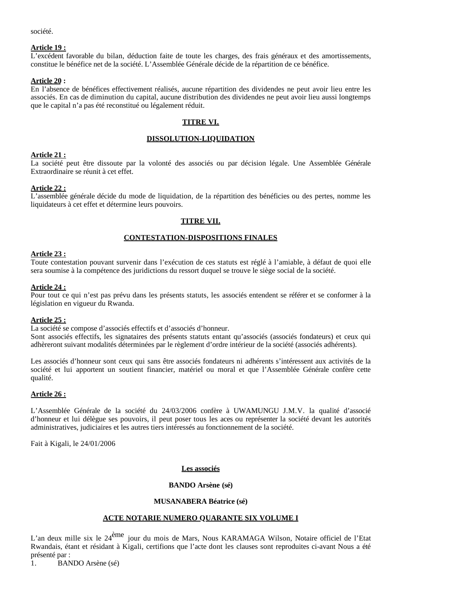société.

#### **Article 19 :**

L'excédent favorable du bilan, déduction faite de toute les charges, des frais généraux et des amortissements, constitue le bénéfice net de la société. L'Assemblée Générale décide de la répartition de ce bénéfice.

#### **Article 20 :**

En l'absence de bénéfices effectivement réalisés, aucune répartition des dividendes ne peut avoir lieu entre les associés. En cas de diminution du capital, aucune distribution des dividendes ne peut avoir lieu aussi longtemps que le capital n'a pas été reconstitué ou légalement réduit.

## **TITRE VI.**

## **DISSOLUTION-LIQUIDATION**

#### **Article 21 :**

La société peut être dissoute par la volonté des associés ou par décision légale. Une Assemblée Générale Extraordinaire se réunit à cet effet.

#### **Article 22 :**

L'assemblée générale décide du mode de liquidation, de la répartition des bénéficies ou des pertes, nomme les liquidateurs à cet effet et détermine leurs pouvoirs.

## **TITRE VII.**

## **CONTESTATION-DISPOSITIONS FINALES**

#### **Article 23 :**

Toute contestation pouvant survenir dans l'exécution de ces statuts est réglé à l'amiable, à défaut de quoi elle sera soumise à la compétence des juridictions du ressort duquel se trouve le siège social de la société.

#### **Article 24 :**

Pour tout ce qui n'est pas prévu dans les présents statuts, les associés entendent se référer et se conformer à la législation en vigueur du Rwanda.

#### **Article 25 :**

La société se compose d'associés effectifs et d'associés d'honneur.

Sont associés effectifs, les signataires des présents statuts entant qu'associés (associés fondateurs) et ceux qui adhèreront suivant modalités déterminées par le règlement d'ordre intérieur de la société (associés adhérents).

Les associés d'honneur sont ceux qui sans être associés fondateurs ni adhérents s'intéressent aux activités de la société et lui apportent un soutient financier, matériel ou moral et que l'Assemblée Générale confère cette qualité.

#### **Article 26 :**

L'Assemblée Générale de la société du 24/03/2006 confère à UWAMUNGU J.M.V. la qualité d'associé d'honneur et lui délègue ses pouvoirs, il peut poser tous les aces ou représenter la société devant les autorités administratives, judiciaires et les autres tiers intéressés au fonctionnement de la société.

Fait à Kigali, le 24/01/2006

#### **Les associés**

## **BANDO Arsène (sé)**

## **MUSANABERA Béatrice (sé)**

## **ACTE NOTARIE NUMERO QUARANTE SIX VOLUME I**

L'an deux mille six le 24<sup>ème</sup> jour du mois de Mars, Nous KARAMAGA Wilson, Notaire officiel de l'Etat Rwandais, étant et résidant à Kigali, certifions que l'acte dont les clauses sont reproduites ci-avant Nous a été présenté par :

1. BANDO Arsène (sé)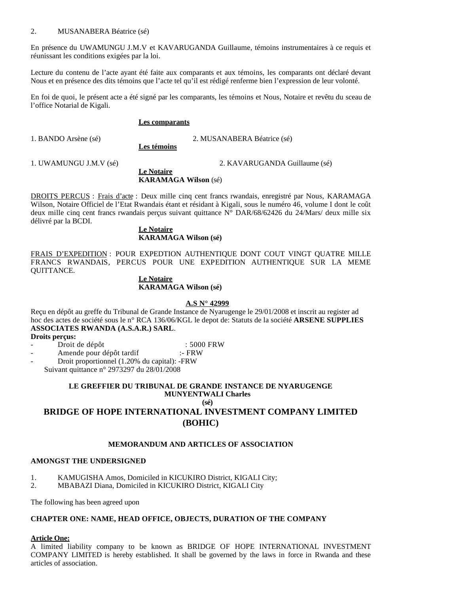## 2. MUSANABERA Béatrice (sé)

En présence du UWAMUNGU J.M.V et KAVARUGANDA Guillaume, témoins instrumentaires à ce requis et réunissant les conditions exigées par la loi.

Lecture du contenu de l'acte ayant été faite aux comparants et aux témoins, les comparants ont déclaré devant Nous et en présence des dits témoins que l'acte tel qu'il est rédigé renferme bien l'expression de leur volonté.

En foi de quoi, le présent acte a été signé par les comparants, les témoins et Nous, Notaire et revêtu du sceau de l'office Notarial de Kigali.

#### **Les comparants**

1. BANDO Arsène (sé) 2. MUSANABERA Béatrice (sé)

**Les témoins**

**Le Notaire**

1. UWAMUNGU J.M.V (sé) 2. KAVARUGANDA Guillaume (sé)

**KARAMAGA Wilson** (sé)

DROITS PERCUS : Frais d'acte : Deux mille cinq cent francs rwandais, enregistré par Nous, KARAMAGA Wilson, Notaire Officiel de l'Etat Rwandais étant et résidant à Kigali, sous le numéro 46, volume I dont le coût deux mille cinq cent francs rwandais perçus suivant quittance N° DAR/68/62426 du 24/Mars/ deux mille six délivré par la BCDI.

#### **Le Notaire KARAMAGA Wilson (sé)**

FRAIS D'EXPEDITION : POUR EXPEDTION AUTHENTIQUE DONT COUT VINGT QUATRE MILLE FRANCS RWANDAIS, PERCUS POUR UNE EXPEDITION AUTHENTIQUE SUR LA MEME QUITTANCE.

## **Le Notaire KARAMAGA Wilson (sé)**

#### **A.S N° 42999**

Reçu en dépôt au greffe du Tribunal de Grande Instance de Nyarugenge le 29/01/2008 et inscrit au register ad hoc des actes de société sous le n° RCA 136/06/KGL le depot de: Statuts de la société **ARSENE SUPPLIES ASSOCIATES RWANDA (A.S.A.R.) SARL**.

**Droits perçus:** 

Droit de dépôt : 5000 FRW

Amende pour dépôt tardif :- FRW

- Droit proportionnel (1.20% du capital): -FRW

Suivant quittance n° 2973297 du 28/01/2008

#### **LE GREFFIER DU TRIBUNAL DE GRANDE INSTANCE DE NYARUGENGE MUNYENTWALI Charles**

**(sé)**

# **BRIDGE OF HOPE INTERNATIONAL INVESTMENT COMPANY LIMITED (BOHIC)**

## **MEMORANDUM AND ARTICLES OF ASSOCIATION**

#### **AMONGST THE UNDERSIGNED**

- 1. KAMUGISHA Amos, Domiciled in KICUKIRO District, KIGALI City;
- 2. MBABAZI Diana, Domiciled in KICUKIRO District, KIGALI City

The following has been agreed upon

#### **CHAPTER ONE: NAME, HEAD OFFICE, OBJECTS, DURATION OF THE COMPANY**

#### **Article One:**

A limited liability company to be known as BRIDGE OF HOPE INTERNATIONAL INVESTMENT COMPANY LIMITED is hereby established. It shall be governed by the laws in force in Rwanda and these articles of association.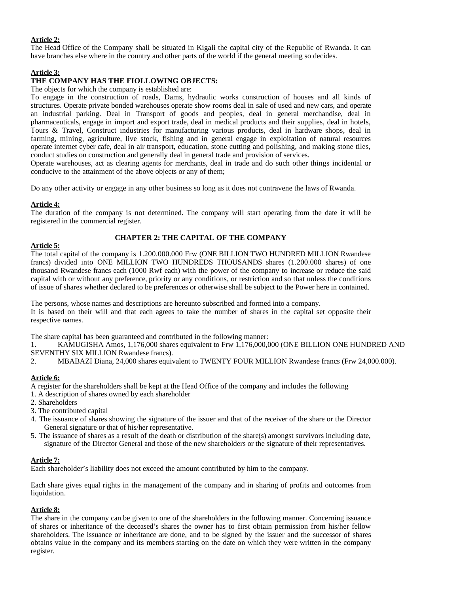## **Article 2:**

The Head Office of the Company shall be situated in Kigali the capital city of the Republic of Rwanda. It can have branches else where in the country and other parts of the world if the general meeting so decides.

## **Article 3:**

#### **THE COMPANY HAS THE FIOLLOWING OBJECTS:**

The objects for which the company is established are:

To engage in the construction of roads, Dams, hydraulic works construction of houses and all kinds of structures. Operate private bonded warehouses operate show rooms deal in sale of used and new cars, and operate an industrial parking. Deal in Transport of goods and peoples, deal in general merchandise, deal in pharmaceuticals, engage in import and export trade, deal in medical products and their supplies, deal in hotels, Tours & Travel, Construct industries for manufacturing various products, deal in hardware shops, deal in farming, mining, agriculture, live stock, fishing and in general engage in exploitation of natural resources operate internet cyber cafe, deal in air transport, education, stone cutting and polishing, and making stone tiles, conduct studies on construction and generally deal in general trade and provision of services.

Operate warehouses, act as clearing agents for merchants, deal in trade and do such other things incidental or conducive to the attainment of the above objects or any of them;

Do any other activity or engage in any other business so long as it does not contravene the laws of Rwanda.

#### **Article 4:**

The duration of the company is not determined. The company will start operating from the date it will be registered in the commercial register.

#### **CHAPTER 2: THE CAPITAL OF THE COMPANY**

## **Article 5:**

The total capital of the company is 1.200.000.000 Frw (ONE BILLION TWO HUNDRED MILLION Rwandese francs) divided into ONE MILLION TWO HUNDREDS THOUSANDS shares (1.200.000 shares) of one thousand Rwandese francs each (1000 Rwf each) with the power of the company to increase or reduce the said capital with or without any preference, priority or any conditions, or restriction and so that unless the conditions of issue of shares whether declared to be preferences or otherwise shall be subject to the Power here in contained.

The persons, whose names and descriptions are hereunto subscribed and formed into a company. It is based on their will and that each agrees to take the number of shares in the capital set opposite their respective names.

The share capital has been guaranteed and contributed in the following manner:

1. KAMUGISHA Amos, 1,176,000 shares equivalent to Frw 1,176,000,000 (ONE BILLION ONE HUNDRED AND SEVENTHY SIX MILLION Rwandese francs).

2. MBABAZI Diana, 24,000 shares equivalent to TWENTY FOUR MILLION Rwandese francs (Frw 24,000.000).

## **Article 6:**

A register for the shareholders shall be kept at the Head Office of the company and includes the following

- 1. A description of shares owned by each shareholder
- 2. Shareholders
- 3. The contributed capital
- 4. The issuance of shares showing the signature of the issuer and that of the receiver of the share or the Director General signature or that of his/her representative.
- 5. The issuance of shares as a result of the death or distribution of the share(s) amongst survivors including date, signature of the Director General and those of the new shareholders or the signature of their representatives.

#### **Article 7:**

Each shareholder's liability does not exceed the amount contributed by him to the company.

Each share gives equal rights in the management of the company and in sharing of profits and outcomes from liquidation.

#### **Article 8:**

The share in the company can be given to one of the shareholders in the following manner. Concerning issuance of shares or inheritance of the deceased's shares the owner has to first obtain permission from his/her fellow shareholders. The issuance or inheritance are done, and to be signed by the issuer and the successor of shares obtains value in the company and its members starting on the date on which they were written in the company register.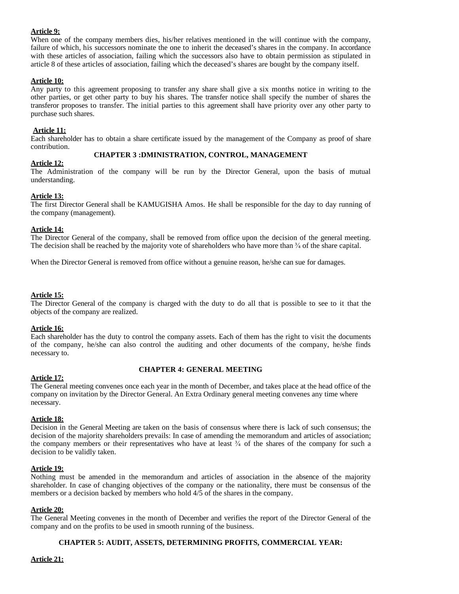## **Article 9:**

When one of the company members dies, his/her relatives mentioned in the will continue with the company, failure of which, his successors nominate the one to inherit the deceased's shares in the company. In accordance with these articles of association, failing which the successors also have to obtain permission as stipulated in article 8 of these articles of association, failing which the deceased's shares are bought by the company itself.

## **Article 10:**

Any party to this agreement proposing to transfer any share shall give a six months notice in writing to the other parties, or get other party to buy his shares. The transfer notice shall specify the number of shares the transferor proposes to transfer. The initial parties to this agreement shall have priority over any other party to purchase such shares.

#### **Article 11:**

Each shareholder has to obtain a share certificate issued by the management of the Company as proof of share contribution.

#### **CHAPTER 3 :DMINISTRATION, CONTROL, MANAGEMENT**

#### **Article 12:**

The Administration of the company will be run by the Director General, upon the basis of mutual understanding.

## **Article 13:**

The first Director General shall be KAMUGISHA Amos. He shall be responsible for the day to day running of the company (management).

#### **Article 14:**

The Director General of the company, shall be removed from office upon the decision of the general meeting. The decision shall be reached by the majority vote of shareholders who have more than  $\frac{3}{4}$  of the share capital.

When the Director General is removed from office without a genuine reason, he/she can sue for damages.

#### **Article 15:**

The Director General of the company is charged with the duty to do all that is possible to see to it that the objects of the company are realized.

#### **Article 16:**

Each shareholder has the duty to control the company assets. Each of them has the right to visit the documents of the company, he/she can also control the auditing and other documents of the company, he/she finds necessary to.

#### **CHAPTER 4: GENERAL MEETING**

## **Article 17:**

The General meeting convenes once each year in the month of December, and takes place at the head office of the company on invitation by the Director General. An Extra Ordinary general meeting convenes any time where necessary.

#### **Article 18:**

Decision in the General Meeting are taken on the basis of consensus where there is lack of such consensus; the decision of the majority shareholders prevails: In case of amending the memorandum and articles of association; the company members or their representatives who have at least  $\frac{3}{4}$  of the shares of the company for such a decision to be validly taken.

#### **Article 19:**

Nothing must be amended in the memorandum and articles of association in the absence of the majority shareholder. In case of changing objectives of the company or the nationality, there must be consensus of the members or a decision backed by members who hold 4/5 of the shares in the company.

#### **Article 20:**

The General Meeting convenes in the month of December and verifies the report of the Director General of the company and on the profits to be used in smooth running of the business.

## **CHAPTER 5: AUDIT, ASSETS, DETERMINING PROFITS, COMMERCIAL YEAR:**

## **Article 21:**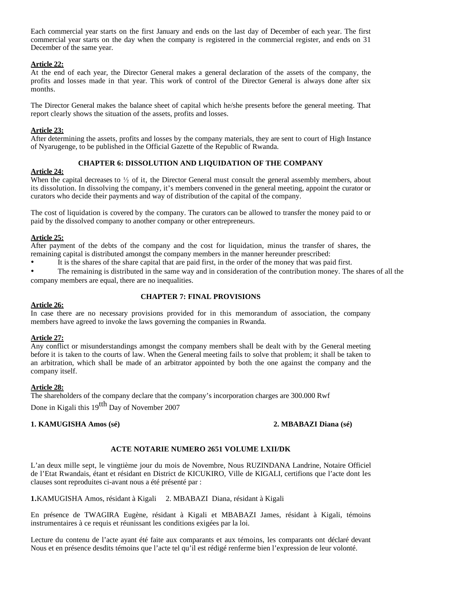Each commercial year starts on the first January and ends on the last day of December of each year. The first commercial year starts on the day when the company is registered in the commercial register, and ends on 31 December of the same year.

#### **Article 22:**

At the end of each year, the Director General makes a general declaration of the assets of the company, the profits and losses made in that year. This work of control of the Director General is always done after six months.

The Director General makes the balance sheet of capital which he/she presents before the general meeting. That report clearly shows the situation of the assets, profits and losses.

#### **Article 23:**

After determining the assets, profits and losses by the company materials, they are sent to court of High Instance of Nyarugenge, to be published in the Official Gazette of the Republic of Rwanda.

## **CHAPTER 6: DISSOLUTION AND LIQUIDATION OF THE COMPANY**

#### **Article 24:**

When the capital decreases to  $\frac{1}{2}$  of it, the Director General must consult the general assembly members, about its dissolution. In dissolving the company, it's members convened in the general meeting, appoint the curator or curators who decide their payments and way of distribution of the capital of the company.

The cost of liquidation is covered by the company. The curators can be allowed to transfer the money paid to or paid by the dissolved company to another company or other entrepreneurs.

#### **Article 25:**

After payment of the debts of the company and the cost for liquidation, minus the transfer of shares, the remaining capital is distributed amongst the company members in the manner hereunder prescribed:

• It is the shares of the share capital that are paid first, in the order of the money that was paid first.

• The remaining is distributed in the same way and in consideration of the contribution money. The shares of all the company members are equal, there are no inequalities.

## **CHAPTER 7: FINAL PROVISIONS**

#### **Article 26:**

In case there are no necessary provisions provided for in this memorandum of association, the company members have agreed to invoke the laws governing the companies in Rwanda.

## **Article 27:**

Any conflict or misunderstandings amongst the company members shall be dealt with by the General meeting before it is taken to the courts of law. When the General meeting fails to solve that problem; it shall be taken to an arbitration, which shall be made of an arbitrator appointed by both the one against the company and the company itself.

#### **Article 28:**

The shareholders of the company declare that the company's incorporation charges are 300.000 Rwf Done in Kigali this  $19^{tth}$  Day of November 2007

## **1. KAMUGISHA Amos (sé) 2. MBABAZI Diana (sé)**

## **ACTE NOTARIE NUMERO 2651 VOLUME LXII/DK**

L'an deux mille sept, le vingtième jour du mois de Novembre, Nous RUZINDANA Landrine, Notaire Officiel de l'Etat Rwandais, étant et résidant en District de KICUKIRO, Ville de KIGALI, certifions que l'acte dont les clauses sont reproduites ci-avant nous a été présenté par :

**1.**KAMUGISHA Amos, résidant à Kigali 2. MBABAZI Diana, résidant à Kigali

En présence de TWAGIRA Eugène, résidant à Kigali et MBABAZI James, résidant à Kigali, témoins instrumentaires à ce requis et réunissant les conditions exigées par la loi.

Lecture du contenu de l'acte ayant été faite aux comparants et aux témoins, les comparants ont déclaré devant Nous et en présence desdits témoins que l'acte tel qu'il est rédigé renferme bien l'expression de leur volonté.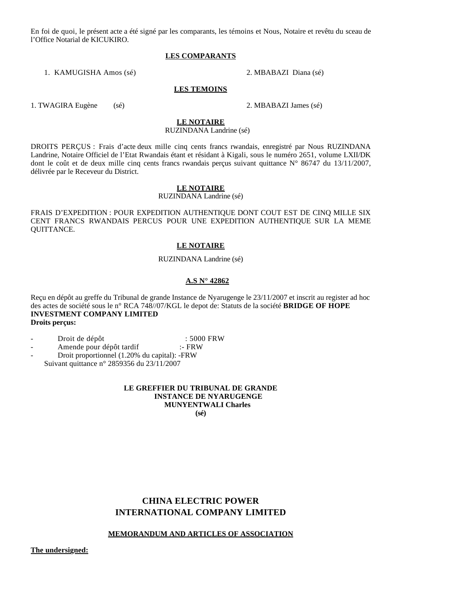En foi de quoi, le présent acte a été signé par les comparants, les témoins et Nous, Notaire et revêtu du sceau de l'Office Notarial de KICUKIRO.

#### **LES COMPARANTS**

1. KAMUGISHA Amos (sé) 2. MBABAZI Diana (sé)

#### **LES TEMOINS**

1. TWAGIRA Eugène (sé) 2. MBABAZI James (sé)

# **LE NOTAIRE**

## RUZINDANA Landrine (sé)

DROITS PERÇUS : Frais d'acte deux mille cinq cents francs rwandais, enregistré par Nous RUZINDANA Landrine, Notaire Officiel de l'Etat Rwandais étant et résidant à Kigali, sous le numéro 2651, volume LXII/DK dont le coût et de deux mille cinq cents francs rwandais perçus suivant quittance N° 86747 du 13/11/2007, délivrée par le Receveur du District.

#### **LE NOTAIRE**

RUZINDANA Landrine (sé)

FRAIS D'EXPEDITION : POUR EXPEDITION AUTHENTIQUE DONT COUT EST DE CINQ MILLE SIX CENT FRANCS RWANDAIS PERCUS POUR UNE EXPEDITION AUTHENTIQUE SUR LA MEME QUITTANCE.

#### **LE NOTAIRE**

#### RUZINDANA Landrine (sé)

#### **A.S N° 42862**

Reçu en dépôt au greffe du Tribunal de grande Instance de Nyarugenge le 23/11/2007 et inscrit au register ad hoc des actes de société sous le n° RCA 748//07/KGL le depot de: Statuts de la société **BRIDGE OF HOPE INVESTMENT COMPANY LIMITED Droits perçus:** 

- Droit de dépôt<br>Amende pour dépôt tardif  $\cdot$  FRW :- FRW
- Amende pour dépôt tardif
- Droit proportionnel (1.20% du capital): -FRW Suivant quittance n° 2859356 du 23/11/2007

#### **LE GREFFIER DU TRIBUNAL DE GRANDE INSTANCE DE NYARUGENGE MUNYENTWALI Charles (sé)**

# **CHINA ELECTRIC POWER INTERNATIONAL COMPANY LIMITED**

#### **MEMORANDUM AND ARTICLES OF ASSOCIATION**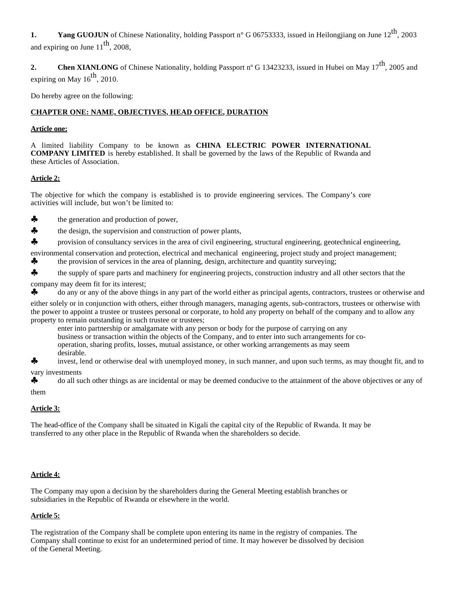**1.** Yang GUOJUN of Chinese Nationality, holding Passport n° G 06753333, issued in Heilongjiang on June 12<sup>th</sup>, 2003 and expiring on June  $11^{th}$ , 2008.

**2.** Chen XIANLONG of Chinese Nationality, holding Passport n° G 13423233, issued in Hubei on May 17<sup>th</sup>, 2005 and expiring on May  $16^{th}$ , 2010.

Do hereby agree on the following:

## **CHAPTER ONE: NAME, OBJECTIVES, HEAD OFFICE, DURATION**

## **Article one:**

A limited liability Company to be known as **CHINA ELECTRIC POWER INTERNATIONAL COMPANY LIMITED** is hereby established. It shall be governed by the laws of the Republic of Rwanda and these Articles of Association.

## **Article 2:**

The objective for which the company is established is to provide engineering services. The Company's core activities will include, but won't be limited to:

- the generation and production of power,
- $\clubsuit$  the design, the supervision and construction of power plants,
- ♣ provision of consultancy services in the area of civil engineering, structural engineering, geotechnical engineering,

environmental conservation and protection, electrical and mechanical engineering, project study and project management;

- $\clubsuit$  the provision of services in the area of planning, design, architecture and quantity surveying;
- the supply of spare parts and machinery for engineering projects, construction industry and all other sectors that the

company may deem fit for its interest;

♣ do any or any of the above things in any part of the world either as principal agents, contractors, trustees or otherwise and

either solely or in conjunction with others, either through managers, managing agents, sub-contractors, trustees or otherwise with the power to appoint a trustee or trustees personal or corporate, to hold any property on behalf of the company and to allow any property to remain outstanding in such trustee or trustees;

enter into partnership or amalgamate with any person or body for the purpose of carrying on any business or transaction within the objects of the Company, and to enter into such arrangements for cooperation, sharing profits, losses, mutual assistance, or other working arrangements as may seem desirable.

♣ invest, lend or otherwise deal with unemployed money, in such manner, and upon such terms, as may thought fit, and to vary investments

◆ do all such other things as are incidental or may be deemed conducive to the attainment of the above objectives or any of them

## **Article 3:**

The head-office of the Company shall be situated in Kigali the capital city of the Republic of Rwanda. It may be transferred to any other place in the Republic of Rwanda when the shareholders so decide.

## **Article 4:**

The Company may upon a decision by the shareholders during the General Meeting establish branches or subsidiaries in the Republic of Rwanda or elsewhere in the world.

## **Article 5:**

The registration of the Company shall be complete upon entering its name in the registry of companies. The Company shall continue to exist for an undetermined period of time. It may however be dissolved by decision of the General Meeting.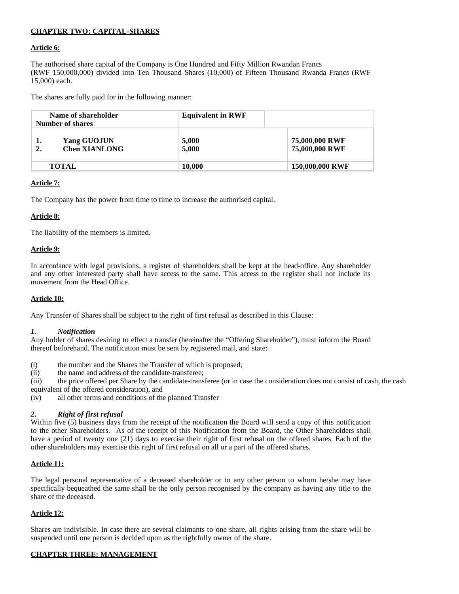## **CHAPTER TWO: CAPITAL-SHARES**

#### **Article 6:**

The authorised share capital of the Company is One Hundred and Fifty Million Rwandan Francs (RWF 150,000,000) divided into Ten Thousand Shares (10,000) of Fifteen Thousand Rwanda Francs (RWF 15,000) each.

The shares are fully paid for in the following manner:

| Name of shareholder<br>Number of shares         | <b>Equivalent in RWF</b> |                                  |
|-------------------------------------------------|--------------------------|----------------------------------|
| Yang GUOJUN<br>ı.<br><b>Chen XIANLONG</b><br>2. | 5,000<br>5,000           | 75,000,000 RWF<br>75,000,000 RWF |
| <b>TOTAL</b>                                    | 10.000                   | 150,000,000 RWF                  |

#### **Article 7:**

The Company has the power from time to time to increase the authorised capital.

#### **Article 8:**

The liability of the members is limited.

#### **Article 9:**

In accordance with legal provisions, a register of shareholders shall be kept at the head-office. Any shareholder and any other interested party shall have access to the same. This access to the register shall not include its movement from the Head Office.

#### **Article 10:**

Any Transfer of Shares shall be subject to the right of first refusal as described in this Clause:

#### *1. Notification*

Any holder of shares desiring to effect a transfer (hereinafter the "Offering Shareholder"), must inform the Board thereof beforehand. The notification must be sent by registered mail, and state:

- (i) the number and the Shares the Transfer of which is proposed;<br>(ii) the name and address of the candidate-transferee;
- the name and address of the candidate-transferee;

(iii) the price offered per Share by the candidate-transferee (or in case the consideration does not consist of cash, the cash equivalent of the offered consideration), and

(iv) all other terms and conditions of the planned Transfer

#### *2. Right of first refusal*

Within five (5) business days from the receipt of the notification the Board will send a copy of this notification to the other Shareholders. As of the receipt of this Notification from the Board, the Other Shareholders shall have a period of twenty one (21) days to exercise their right of first refusal on the offered shares. Each of the other shareholders may exercise this right of first refusal on all or a part of the offered shares.

#### **Article 11:**

The legal personal representative of a deceased shareholder or to any other person to whom he/she may have specifically bequeathed the same shall be the only person recognised by the company as having any title to the share of the deceased.

## **Article 12:**

Shares are indivisible. In case there are several claimants to one share, all rights arising from the share will be suspended until one person is decided upon as the rightfully owner of the share.

#### **CHAPTER THREE: MANAGEMENT**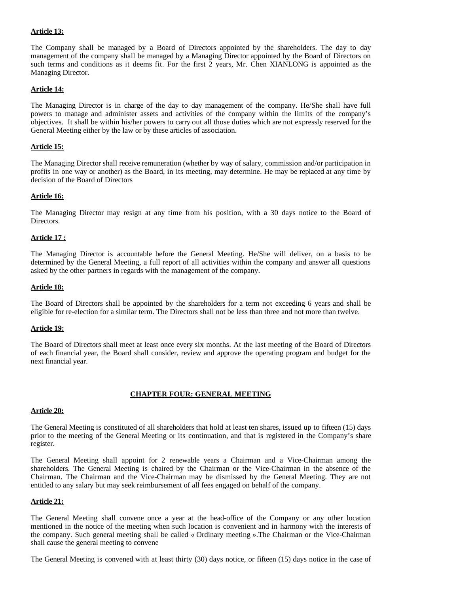## **Article 13:**

The Company shall be managed by a Board of Directors appointed by the shareholders. The day to day management of the company shall be managed by a Managing Director appointed by the Board of Directors on such terms and conditions as it deems fit. For the first 2 years, Mr. Chen XIANLONG is appointed as the Managing Director.

## **Article 14:**

The Managing Director is in charge of the day to day management of the company. He/She shall have full powers to manage and administer assets and activities of the company within the limits of the company's objectives. It shall be within his/her powers to carry out all those duties which are not expressly reserved for the General Meeting either by the law or by these articles of association.

## **Article 15:**

The Managing Director shall receive remuneration (whether by way of salary, commission and/or participation in profits in one way or another) as the Board, in its meeting, may determine. He may be replaced at any time by decision of the Board of Directors

## **Article 16:**

The Managing Director may resign at any time from his position, with a 30 days notice to the Board of Directors.

## **Article 17 :**

The Managing Director is accountable before the General Meeting. He/She will deliver, on a basis to be determined by the General Meeting, a full report of all activities within the company and answer all questions asked by the other partners in regards with the management of the company.

## **Article 18:**

The Board of Directors shall be appointed by the shareholders for a term not exceeding 6 years and shall be eligible for re-election for a similar term. The Directors shall not be less than three and not more than twelve.

## **Article 19:**

The Board of Directors shall meet at least once every six months. At the last meeting of the Board of Directors of each financial year, the Board shall consider, review and approve the operating program and budget for the next financial year.

## **CHAPTER FOUR: GENERAL MEETING**

## **Article 20:**

The General Meeting is constituted of all shareholders that hold at least ten shares, issued up to fifteen (15) days prior to the meeting of the General Meeting or its continuation, and that is registered in the Company's share register.

The General Meeting shall appoint for 2 renewable years a Chairman and a Vice-Chairman among the shareholders. The General Meeting is chaired by the Chairman or the Vice-Chairman in the absence of the Chairman. The Chairman and the Vice-Chairman may be dismissed by the General Meeting. They are not entitled to any salary but may seek reimbursement of all fees engaged on behalf of the company.

## **Article 21:**

The General Meeting shall convene once a year at the head-office of the Company or any other location mentioned in the notice of the meeting when such location is convenient and in harmony with the interests of the company. Such general meeting shall be called « Ordinary meeting ».The Chairman or the Vice-Chairman shall cause the general meeting to convene

The General Meeting is convened with at least thirty (30) days notice, or fifteen (15) days notice in the case of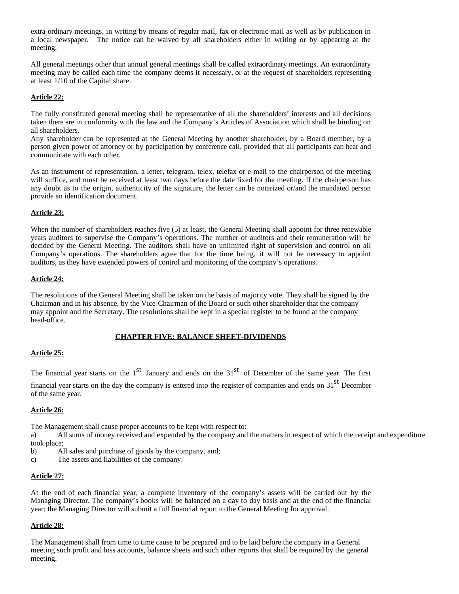extra-ordinary meetings, in writing by means of regular mail, fax or electronic mail as well as by publication in a local newspaper. The notice can be waived by all shareholders either in writing or by appearing at the meeting.

All general meetings other than annual general meetings shall be called extraordinary meetings. An extraordinary meeting may be called each time the company deems it necessary, or at the request of shareholders representing at least 1/10 of the Capital share.

## **Article 22:**

The fully constituted general meeting shall be representative of all the shareholders' interests and all decisions taken there are in conformity with the law and the Company's Articles of Association which shall be binding on all shareholders.

Any shareholder can be represented at the General Meeting by another shareholder, by a Board member, by a person given power of attorney or by participation by conference call, provided that all participants can hear and communicate with each other.

As an instrument of representation, a letter, telegram, telex, telefax or e-mail to the chairperson of the meeting will suffice, and must be received at least two days before the date fixed for the meeting. If the chairperson has any doubt as to the origin, authenticity of the signature, the letter can be notarized or/and the mandated person provide an identification document.

## **Article 23:**

When the number of shareholders reaches five (5) at least, the General Meeting shall appoint for three renewable years auditors to supervise the Company's operations. The number of auditors and their remuneration will be decided by the General Meeting. The auditors shall have an unlimited right of supervision and control on all Company's operations. The shareholders agree that for the time being, it will not be necessary to appoint auditors, as they have extended powers of control and monitoring of the company's operations.

## **Article 24:**

The resolutions of the General Meeting shall be taken on the basis of majority vote. They shall be signed by the Chairman and in his absence, by the Vice-Chairman of the Board or such other shareholder that the company may appoint and the Secretary. The resolutions shall be kept in a special register to be found at the company head-office.

## **CHAPTER FIVE: BALANCE SHEET-DIVIDENDS**

## **Article 25:**

The financial year starts on the  $1<sup>st</sup>$  January and ends on the  $31<sup>st</sup>$  of December of the same year. The first financial year starts on the day the company is entered into the register of companies and ends on  $31<sup>st</sup>$  December of the same year.

## **Article 26:**

The Management shall cause proper accounts to be kept with respect to:

a) All sums of money received and expended by the company and the matters in respect of which the receipt and expenditure took place;

- b) All sales and purchase of goods by the company, and;
- c) The assets and liabilities of the company.

## **Article 27:**

At the end of each financial year, a complete inventory of the company's assets will be carried out by the Managing Director. The company's books will be balanced on a day to day basis and at the end of the financial year; the Managing Director will submit a full financial report to the General Meeting for approval.

## **Article 28:**

The Management shall from time to time cause to be prepared and to be laid before the company in a General meeting such profit and loss accounts, balance sheets and such other reports that shall be required by the general meeting.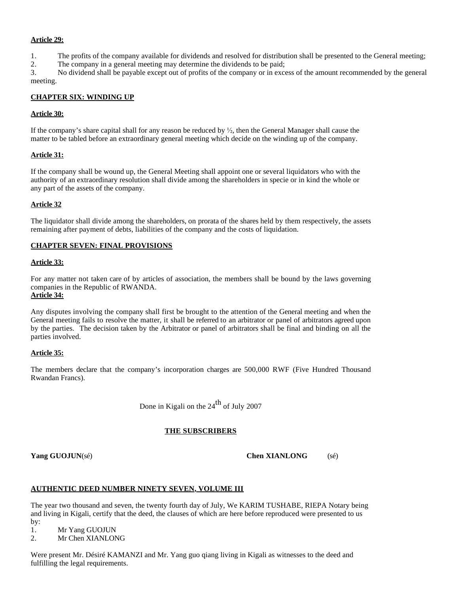## **Article 29:**

- 1. The profits of the company available for dividends and resolved for distribution shall be presented to the General meeting;
- 2. The company in a general meeting may determine the dividends to be paid;

3. No dividend shall be payable except out of profits of the company or in excess of the amount recommended by the general meeting.

## **CHAPTER SIX: WINDING UP**

## **Article 30:**

If the company's share capital shall for any reason be reduced by  $\frac{1}{2}$ , then the General Manager shall cause the matter to be tabled before an extraordinary general meeting which decide on the winding up of the company.

## **Article 31:**

If the company shall be wound up, the General Meeting shall appoint one or several liquidators who with the authority of an extraordinary resolution shall divide among the shareholders in specie or in kind the whole or any part of the assets of the company.

## **Article 32**

The liquidator shall divide among the shareholders, on prorata of the shares held by them respectively, the assets remaining after payment of debts, liabilities of the company and the costs of liquidation.

## **CHAPTER SEVEN: FINAL PROVISIONS**

## **Article 33:**

For any matter not taken care of by articles of association, the members shall be bound by the laws governing companies in the Republic of RWANDA.

## **Article 34:**

Any disputes involving the company shall first be brought to the attention of the General meeting and when the General meeting fails to resolve the matter, it shall be referred to an arbitrator or panel of arbitrators agreed upon by the parties. The decision taken by the Arbitrator or panel of arbitrators shall be final and binding on all the parties involved.

## **Article 35:**

The members declare that the company's incorporation charges are 500,000 RWF (Five Hundred Thousand Rwandan Francs).

Done in Kigali on the  $24<sup>th</sup>$  of July 2007

## **THE SUBSCRIBERS**

**Yang GUOJUN**(sé) **Chen XIANLONG** (sé)

# **AUTHENTIC DEED NUMBER NINETY SEVEN, VOLUME III**

The year two thousand and seven, the twenty fourth day of July, We KARIM TUSHABE, RIEPA Notary being and living in Kigali, certify that the deed, the clauses of which are here before reproduced were presented to us

by: 1. Mr Yang GUOJUN

2. Mr Chen XIANLONG

Were present Mr. Désiré KAMANZI and Mr. Yang guo qiang living in Kigali as witnesses to the deed and fulfilling the legal requirements.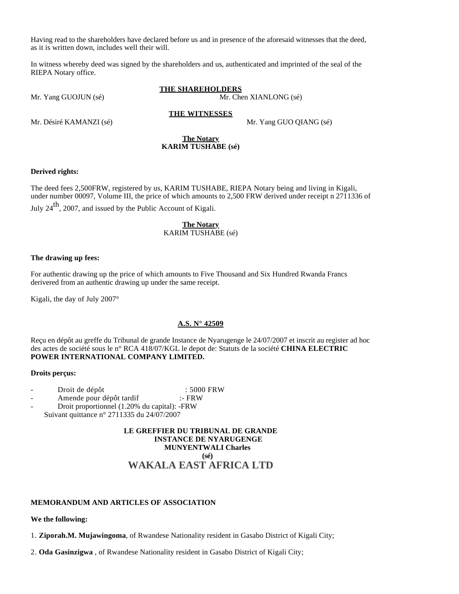Having read to the shareholders have declared before us and in presence of the aforesaid witnesses that the deed, as it is written down, includes well their will.

In witness whereby deed was signed by the shareholders and us, authenticated and imprinted of the seal of the RIEPA Notary office.

**THE SHAREHOLDERS** Mr. Yang GUOJUN (sé)  $\blacksquare$  Mr. Chen XIANLONG (sé)

Mr. Désiré KAMANZI (sé)  $\mu$ r. Yang GUO QIANG (sé)

#### **The Notary KARIM TUSHABE (sé)**

**THE WITNESSES**

#### **Derived rights:**

The deed fees 2,500FRW, registered by us, KARIM TUSHABE, RIEPA Notary being and living in Kigali, under number 00097, Volume III, the price of which amounts to 2,500 FRW derived under receipt n 2711336 of

July  $24<sup>th</sup>$ , 2007, and issued by the Public Account of Kigali.

#### **The Notary** KARIM TUSHABE (sé)

#### **The drawing up fees:**

For authentic drawing up the price of which amounts to Five Thousand and Six Hundred Rwanda Francs derivered from an authentic drawing up under the same receipt.

Kigali, the day of July 2007°

## **A.S. N° 42509**

Reçu en dépôt au greffe du Tribunal de grande Instance de Nyarugenge le 24/07/2007 et inscrit au register ad hoc des actes de société sous le n° RCA 418/07/KGL le depot de: Statuts de la société **CHINA ELECTRIC POWER INTERNATIONAL COMPANY LIMITED.**

#### **Droits perçus:**

- Droit de dépôt : 5000 FRW
- Amende pour dépôt tardif :- FRW

- Droit proportionnel (1.20% du capital): -FRW Suivant quittance n° 2711335 du 24/07/2007

> **LE GREFFIER DU TRIBUNAL DE GRANDE INSTANCE DE NYARUGENGE MUNYENTWALI Charles (sé) WAKALA EAST AFRICA LTD**

## **MEMORANDUM AND ARTICLES OF ASSOCIATION**

**We the following:**

1. **Ziporah.M. Mujawingoma**, of Rwandese Nationality resident in Gasabo District of Kigali City;

2. **Oda Gasinzigwa** , of Rwandese Nationality resident in Gasabo District of Kigali City;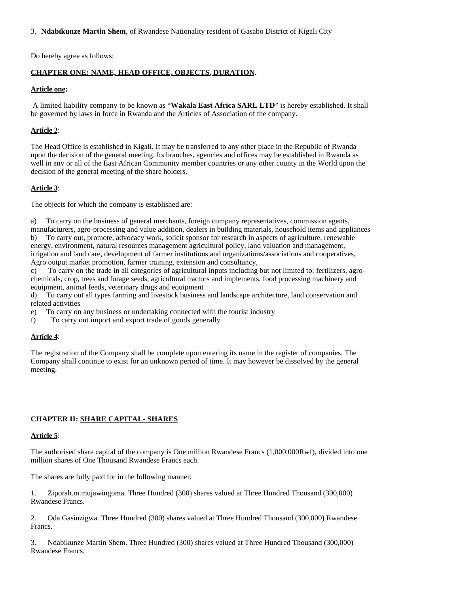3. **Ndabikunze Martin Shem**, of Rwandese Nationality resident of Gasabo District of Kigali City

Do hereby agree as follows:

## **CHAPTER ONE: NAME, HEAD OFFICE, OBJECTS, DURATION.**

## **Article one:**

 A limited liability company to be known as "**Wakala East Africa SARL LTD**" is hereby established. It shall be governed by laws in force in Rwanda and the Articles of Association of the company.

## **Article 2**:

The Head Office is established in Kigali. It may be transferred to any other place in the Republic of Rwanda upon the decision of the general meeting. Its branches, agencies and offices may be established in Rwanda as well in any or all of the East African Community member countries or any other county in the World upon the decision of the general meeting of the share holders.

## **Article 3**:

The objects for which the company is established are:

a) To carry on the business of general merchants, foreign company representatives, commission agents, manufacturers, agro-processing and value addition, dealers in building materials, household items and appliances b) To carry out, promote, advocacy work, solicit sponsor for research in aspects of agriculture, renewable energy, environment, natural resources management agricultural policy, land valuation and management, irrigation and land care, development of farmer institutions and organizations/associations and cooperatives, Agro output market promotion, farmer training, extension and consultancy,

c) To carry on the trade in all categories of agricultural inputs including but not limited to: fertilizers, agrochemicals, crop, trees and forage seeds, agricultural tractors and implements, food processing machinery and equipment, animal feeds, veterinary drugs and equipment

d) To carry out all types farming and livestock business and landscape architecture, land conservation and related activities

e) To carry on any business or undertaking connected with the tourist industry

f) To carry out import and export trade of goods generally

## **Article 4**:

The registration of the Company shall be complete upon entering its name in the register of companies. The Company shall continue to exist for an unknown period of time. It may however be dissolved by the general meeting.

## **CHAPTER II: SHARE CAPITAL- SHARES**

## **Article 5**:

The authorised share capital of the company is One million Rwandese Francs (1,000,000Rwf), divided into one million shares of One Thousand Rwandese Francs each.

The shares are fully paid for in the following manner;

1. Ziporah.m.mujawingoma. Three Hundred (300) shares valued at Three Hundred Thousand (300,000) Rwandese Francs.

2. Oda Gasinzigwa. Three Hundred (300) shares valued at Three Hundred Thousand (300,000) Rwandese Francs.

3. Ndabikunze Martin Shem. Three Hundred (300) shares valued at Three Hundred Thousand (300,000) Rwandese Francs.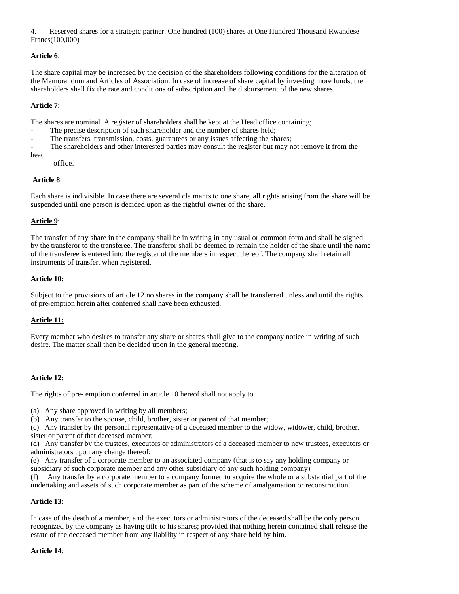4. Reserved shares for a strategic partner. One hundred (100) shares at One Hundred Thousand Rwandese Francs(100,000)

## **Article 6**:

The share capital may be increased by the decision of the shareholders following conditions for the alteration of the Memorandum and Articles of Association. In case of increase of share capital by investing more funds, the shareholders shall fix the rate and conditions of subscription and the disbursement of the new shares.

## **Article 7**:

The shares are nominal. A register of shareholders shall be kept at the Head office containing;

- The precise description of each shareholder and the number of shares held;
- The transfers, transmission, costs, guarantees or any issues affecting the shares;
- The shareholders and other interested parties may consult the register but may not remove it from the head
	- office.

## **Article 8**:

Each share is indivisible. In case there are several claimants to one share, all rights arising from the share will be suspended until one person is decided upon as the rightful owner of the share.

## **Article 9**:

The transfer of any share in the company shall be in writing in any usual or common form and shall be signed by the transferor to the transferee. The transferor shall be deemed to remain the holder of the share until the name of the transferee is entered into the register of the members in respect thereof. The company shall retain all instruments of transfer, when registered.

## **Article 10:**

Subject to the provisions of article 12 no shares in the company shall be transferred unless and until the rights of pre-emption herein after conferred shall have been exhausted.

## **Article 11:**

Every member who desires to transfer any share or shares shall give to the company notice in writing of such desire. The matter shall then be decided upon in the general meeting.

## **Article 12:**

The rights of pre- emption conferred in article 10 hereof shall not apply to

- (a) Any share approved in writing by all members;
- (b) Any transfer to the spouse, child, brother, sister or parent of that member;

(c) Any transfer by the personal representative of a deceased member to the widow, widower, child, brother, sister or parent of that deceased member;

(d) Any transfer by the trustees, executors or administrators of a deceased member to new trustees, executors or administrators upon any change thereof;

(e) Any transfer of a corporate member to an associated company (that is to say any holding company or subsidiary of such corporate member and any other subsidiary of any such holding company)

(f) Any transfer by a corporate member to a company formed to acquire the whole or a substantial part of the undertaking and assets of such corporate member as part of the scheme of amalgamation or reconstruction.

## **Article 13:**

In case of the death of a member, and the executors or administrators of the deceased shall be the only person recognized by the company as having title to his shares; provided that nothing herein contained shall release the estate of the deceased member from any liability in respect of any share held by him.

## **Article 14**: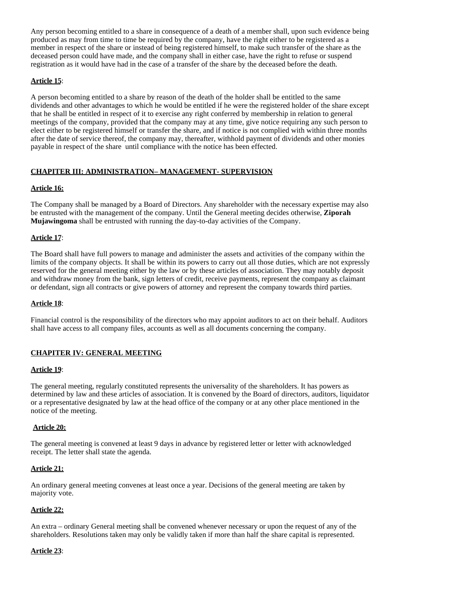Any person becoming entitled to a share in consequence of a death of a member shall, upon such evidence being produced as may from time to time be required by the company, have the right either to be registered as a member in respect of the share or instead of being registered himself, to make such transfer of the share as the deceased person could have made, and the company shall in either case, have the right to refuse or suspend registration as it would have had in the case of a transfer of the share by the deceased before the death.

## **Article 15**:

A person becoming entitled to a share by reason of the death of the holder shall be entitled to the same dividends and other advantages to which he would be entitled if he were the registered holder of the share except that he shall be entitled in respect of it to exercise any right conferred by membership in relation to general meetings of the company, provided that the company may at any time, give notice requiring any such person to elect either to be registered himself or transfer the share, and if notice is not complied with within three months after the date of service thereof, the company may, thereafter, withhold payment of dividends and other monies payable in respect of the share until compliance with the notice has been effected.

## **CHAPITER III: ADMINISTRATION– MANAGEMENT- SUPERVISION**

## **Article 16:**

The Company shall be managed by a Board of Directors. Any shareholder with the necessary expertise may also be entrusted with the management of the company. Until the General meeting decides otherwise, **Ziporah Mujawingoma** shall be entrusted with running the day-to-day activities of the Company.

## **Article 17**:

The Board shall have full powers to manage and administer the assets and activities of the company within the limits of the company objects. It shall be within its powers to carry out all those duties, which are not expressly reserved for the general meeting either by the law or by these articles of association. They may notably deposit and withdraw money from the bank, sign letters of credit, receive payments, represent the company as claimant or defendant, sign all contracts or give powers of attorney and represent the company towards third parties.

## **Article 18**:

Financial control is the responsibility of the directors who may appoint auditors to act on their behalf. Auditors shall have access to all company files, accounts as well as all documents concerning the company.

## **CHAPITER IV: GENERAL MEETING**

## **Article 19**:

The general meeting, regularly constituted represents the universality of the shareholders. It has powers as determined by law and these articles of association. It is convened by the Board of directors, auditors, liquidator or a representative designated by law at the head office of the company or at any other place mentioned in the notice of the meeting.

## **Article 20:**

The general meeting is convened at least 9 days in advance by registered letter or letter with acknowledged receipt. The letter shall state the agenda.

## **Article 21:**

An ordinary general meeting convenes at least once a year. Decisions of the general meeting are taken by majority vote.

## **Article 22:**

An extra – ordinary General meeting shall be convened whenever necessary or upon the request of any of the shareholders. Resolutions taken may only be validly taken if more than half the share capital is represented.

## **Article 23**: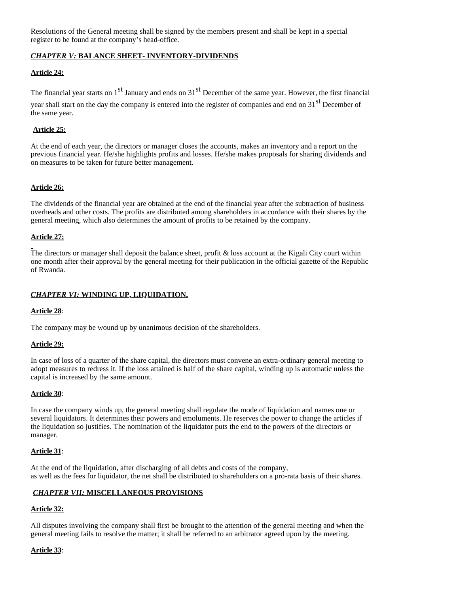Resolutions of the General meeting shall be signed by the members present and shall be kept in a special register to be found at the company's head-office.

## *CHAPTER V:* **BALANCE SHEET- INVENTORY-DIVIDENDS**

## **Article 24:**

The financial year starts on  $1<sup>st</sup>$  January and ends on  $31<sup>st</sup>$  December of the same year. However, the first financial

year shall start on the day the company is entered into the register of companies and end on 31<sup>st</sup> December of the same year.

## **Article 25:**

At the end of each year, the directors or manager closes the accounts, makes an inventory and a report on the previous financial year. He/she highlights profits and losses. He/she makes proposals for sharing dividends and on measures to be taken for future better management.

## **Article 26:**

The dividends of the financial year are obtained at the end of the financial year after the subtraction of business overheads and other costs. The profits are distributed among shareholders in accordance with their shares by the general meeting, which also determines the amount of profits to be retained by the company.

## **Article 27:**

The directors or manager shall deposit the balance sheet, profit & loss account at the Kigali City court within one month after their approval by the general meeting for their publication in the official gazette of the Republic of Rwanda.

## *CHAPTER VI:* **WINDING UP, LIQUIDATION.**

## **Article 28**:

The company may be wound up by unanimous decision of the shareholders.

#### **Article 29:**

In case of loss of a quarter of the share capital, the directors must convene an extra-ordinary general meeting to adopt measures to redress it. If the loss attained is half of the share capital, winding up is automatic unless the capital is increased by the same amount.

#### **Article 30**:

In case the company winds up, the general meeting shall regulate the mode of liquidation and names one or several liquidators. It determines their powers and emoluments. He reserves the power to change the articles if the liquidation so justifies. The nomination of the liquidator puts the end to the powers of the directors or manager.

## **Article 31**:

At the end of the liquidation, after discharging of all debts and costs of the company, as well as the fees for liquidator, the net shall be distributed to shareholders on a pro-rata basis of their shares.

## *CHAPTER VII:* **MISCELLANEOUS PROVISIONS**

## **Article 32:**

All disputes involving the company shall first be brought to the attention of the general meeting and when the general meeting fails to resolve the matter; it shall be referred to an arbitrator agreed upon by the meeting.

## **Article 33**: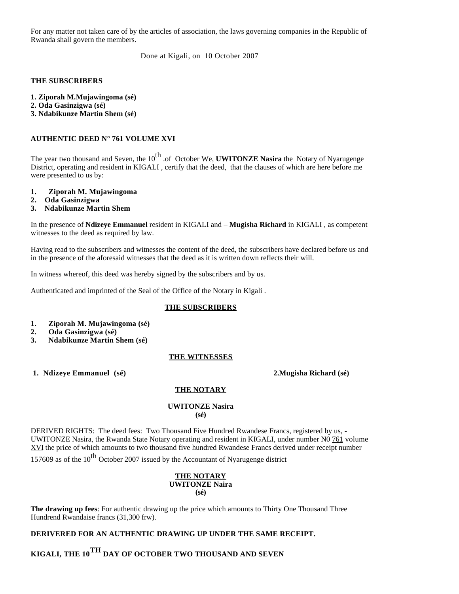For any matter not taken care of by the articles of association, the laws governing companies in the Republic of Rwanda shall govern the members.

Done at Kigali, on 10 October 2007

#### **THE SUBSCRIBERS**

**1. Ziporah M.Mujawingoma (sé)**

- **2. Oda Gasinzigwa (sé)**
- **3. Ndabikunze Martin Shem (sé)**

## **AUTHENTIC DEED N° 761 VOLUME XVI**

The year two thousand and Seven, the 10<sup>th</sup> .of October We, **UWITONZE Nasira** the Notary of Nyarugenge District, operating and resident in KIGALI , certify that the deed, that the clauses of which are here before me were presented to us by:

- **1. Ziporah M. Mujawingoma**
- **2. Oda Gasinzigwa**
- **3. Ndabikunze Martin Shem**

In the presence of **Ndizeye Emmanuel** resident in KIGALI and – **Mugisha Richard** in KIGALI , as competent witnesses to the deed as required by law.

Having read to the subscribers and witnesses the content of the deed, the subscribers have declared before us and in the presence of the aforesaid witnesses that the deed as it is written down reflects their will.

In witness whereof, this deed was hereby signed by the subscribers and by us.

Authenticated and imprinted of the Seal of the Office of the Notary in Kigali .

## **THE SUBSCRIBERS**

- **1. Ziporah M. Mujawingoma (sé)**
- **2. Oda Gasinzigwa (sé)**
- **3. Ndabikunze Martin Shem (sé)**

## **THE WITNESSES**

 **1. Ndizeye Emmanuel (sé) 2.Mugisha Richard (sé)**

## **THE NOTARY**

#### **UWITONZE Nasira (sé)**

DERIVED RIGHTS: The deed fees: Two Thousand Five Hundred Rwandese Francs, registered by us, - UWITONZE Nasira, the Rwanda State Notary operating and resident in KIGALI, under number N0 761 volume XVI the price of which amounts to two thousand five hundred Rwandese Francs derived under receipt number

157609 as of the  $10^{th}$  October 2007 issued by the Accountant of Nyarugenge district

#### **THE NOTARY UWITONZE Naira (sé)**

**The drawing up fees**: For authentic drawing up the price which amounts to Thirty One Thousand Three Hundrend Rwandaise francs (31,300 frw).

## **DERIVERED FOR AN AUTHENTIC DRAWING UP UNDER THE SAME RECEIPT.**

**KIGALI, THE 10TH DAY OF OCTOBER TWO THOUSAND AND SEVEN**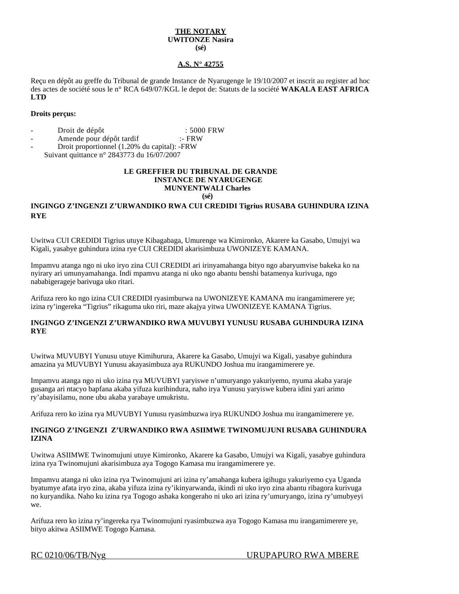#### **THE NOTARY UWITONZE Nasira (sé)**

#### **A.S. N° 42755**

Reçu en dépôt au greffe du Tribunal de grande Instance de Nyarugenge le 19/10/2007 et inscrit au register ad hoc des actes de société sous le n° RCA 649/07/KGL le depot de: Statuts de la société **WAKALA EAST AFRICA LTD**

#### **Droits perçus:**

- Droit de dépôt : 5000 FRW
- Amende pour dépôt tardif :- FRW
- Droit proportionnel (1.20% du capital): -FRW
- Suivant quittance n° 2843773 du 16/07/2007

#### **LE GREFFIER DU TRIBUNAL DE GRANDE INSTANCE DE NYARUGENGE MUNYENTWALI Charles (sé)**

## **INGINGO Z'INGENZI Z'URWANDIKO RWA CUI CREDIDI Tigrius RUSABA GUHINDURA IZINA RYE**

Uwitwa CUI CREDIDI Tigrius utuye Kibagabaga, Umurenge wa Kimironko, Akarere ka Gasabo, Umujyi wa Kigali, yasabye guhindura izina rye CUI CREDIDI akarisimbuza UWONIZEYE KAMANA.

Impamvu atanga ngo ni uko iryo zina CUI CREDIDI ari irinyamahanga bityo ngo abaryumvise bakeka ko na nyirary ari umunyamahanga. Indi mpamvu atanga ni uko ngo abantu benshi batamenya kurivuga, ngo nababigerageje barivuga uko ritari.

Arifuza rero ko ngo izina CUI CREDIDI ryasimburwa na UWONIZEYE KAMANA mu irangamimerere ye; izina ry'ingereka "Tigrius" rikaguma uko riri, maze akajya yitwa UWONIZEYE KAMANA Tigrius.

#### **INGINGO Z'INGENZI Z'URWANDIKO RWA MUVUBYI YUNUSU RUSABA GUHINDURA IZINA RYE**

Uwitwa MUVUBYI Yunusu utuye Kimihurura, Akarere ka Gasabo, Umujyi wa Kigali, yasabye guhindura amazina ya MUVUBYI Yunusu akayasimbuza aya RUKUNDO Joshua mu irangamimerere ye.

Impamvu atanga ngo ni uko izina rya MUVUBYI yaryiswe n'umuryango yakuriyemo, nyuma akaba yaraje gusanga ari ntacyo bapfana akaba yifuza kurihindura, naho irya Yunusu yaryiswe kubera idini yari arimo ry'abayisilamu, none ubu akaba yarabaye umukristu.

Arifuza rero ko izina rya MUVUBYI Yunusu ryasimbuzwa irya RUKUNDO Joshua mu irangamimerere ye.

#### **INGINGO Z'INGENZI Z'URWANDIKO RWA ASIIMWE TWINOMUJUNI RUSABA GUHINDURA IZINA**

Uwitwa ASIIMWE Twinomujuni utuye Kimironko, Akarere ka Gasabo, Umujyi wa Kigali, yasabye guhindura izina rya Twinomujuni akarisimbuza aya Togogo Kamasa mu irangamimerere ye.

Impamvu atanga ni uko izina rya Twinomujuni ari izina ry'amahanga kubera igihugu yakuriyemo cya Uganda byatumye afata iryo zina, akaba yifuza izina ry'ikinyarwanda, ikindi ni uko iryo zina abantu ribagora kurivuga no kuryandika. Naho ku izina rya Togogo ashaka kongeraho ni uko ari izina ry'umuryango, izina ry'umubyeyi we.

Arifuza rero ko izina ry'ingereka rya Twinomujuni ryasimbuzwa aya Togogo Kamasa mu irangamimerere ye, bityo akitwa ASIIMWE Togogo Kamasa.

## RC 0210/06/TB/Nyg URUPAPURO RWA MBERE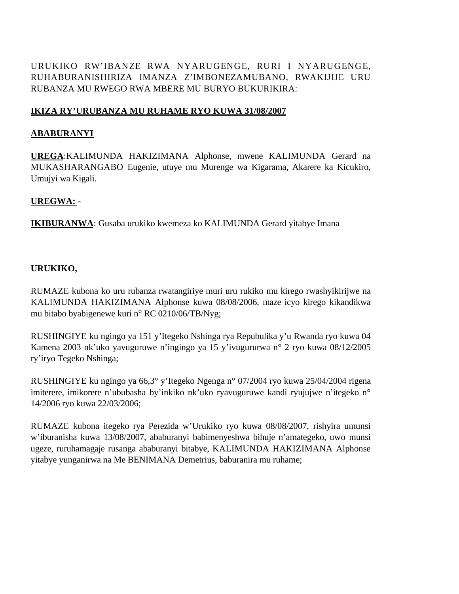URUKIKO RW'IBANZE RWA NYARUGENGE, RURI I NYARUGENGE, RUHABURANISHIRIZA IMANZA Z'IMBONEZAMUBANO, RWAKIJIJE URU RUBANZA MU RWEGO RWA MBERE MU BURYO BUKURIKIRA:

# **IKIZA RY'URUBANZA MU RUHAME RYO KUWA 31/08/2007**

# **ABABURANYI**

**UREGA**:KALIMUNDA HAKIZIMANA Alphonse, mwene KALIMUNDA Gerard na MUKASHARANGABO Eugenie, utuye mu Murenge wa Kigarama, Akarere ka Kicukiro, Umujyi wa Kigali.

# **UREGWA:** -

**IKIBURANWA**: Gusaba urukiko kwemeza ko KALIMUNDA Gerard yitabye Imana

# **URUKIKO,**

RUMAZE kubona ko uru rubanza rwatangiriye muri uru rukiko mu kirego rwashyikirijwe na KALIMUNDA HAKIZIMANA Alphonse kuwa 08/08/2006, maze icyo kirego kikandikwa mu bitabo byabigenewe kuri n° RC 0210/06/TB/Nyg;

RUSHINGIYE ku ngingo ya 151 y'Itegeko Nshinga rya Repubulika y'u Rwanda ryo kuwa 04 Kamena 2003 nk'uko yavuguruwe n'ingingo ya 15 y'ivugururwa n° 2 ryo kuwa 08/12/2005 ry'iryo Tegeko Nshinga;

RUSHINGIYE ku ngingo ya 66,3° y'Itegeko Ngenga n° 07/2004 ryo kuwa 25/04/2004 rigena imiterere, imikorere n'ububasha by'inkiko nk'uko ryavuguruwe kandi ryujujwe n'itegeko n° 14/2006 ryo kuwa 22/03/2006;

RUMAZE kubona itegeko rya Perezida w'Urukiko ryo kuwa 08/08/2007, rishyira umunsi w'iburanisha kuwa 13/08/2007, ababuranyi babimenyeshwa bihuje n'amategeko, uwo munsi ugeze, ruruhamagaje rusanga ababuranyi bitabye, KALIMUNDA HAKIZIMANA Alphonse yitabye yunganirwa na Me BENIMANA Demetrius, baburanira mu ruhame;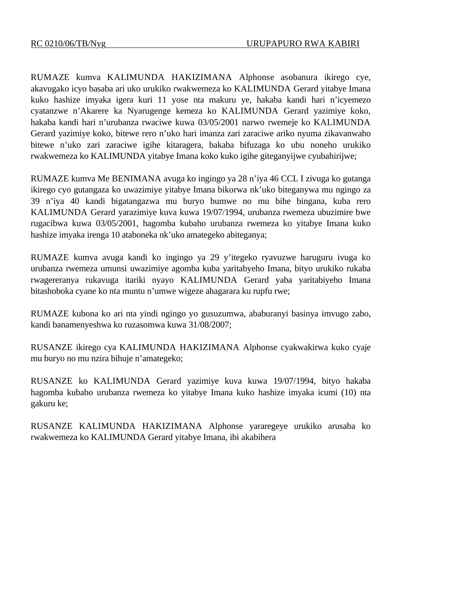RUMAZE kumva KALIMUNDA HAKIZIMANA Alphonse asobanura ikirego cye, akavugako icyo basaba ari uko urukiko rwakwemeza ko KALIMUNDA Gerard yitabye Imana kuko hashize imyaka igera kuri 11 yose nta makuru ye, hakaba kandi hari n'icyemezo cyatanzwe n'Akarere ka Nyarugenge kemeza ko KALIMUNDA Gerard yazimiye koko, hakaba kandi hari n'urubanza rwaciwe kuwa 03/05/2001 narwo rwemeje ko KALIMUNDA Gerard yazimiye koko, bitewe rero n'uko hari imanza zari zaraciwe ariko nyuma zikavanwaho bitewe n'uko zari zaraciwe igihe kitaragera, bakaba bifuzaga ko ubu noneho urukiko rwakwemeza ko KALIMUNDA yitabye Imana koko kuko igihe giteganyijwe cyubahirijwe;

RUMAZE kumva Me BENIMANA avuga ko ingingo ya 28 n'iya 46 CCL I zivuga ko gutanga ikirego cyo gutangaza ko uwazimiye yitabye Imana bikorwa nk'uko biteganywa mu ngingo za 39 n'iya 40 kandi bigatangazwa mu buryo bumwe no mu bihe bingana, kuba rero KALIMUNDA Gerard yarazimiye kuva kuwa 19/07/1994, urubanza rwemeza ubuzimire bwe rugacibwa kuwa 03/05/2001, hagomba kubaho urubanza rwemeza ko yitabye Imana kuko hashize imyaka irenga 10 ataboneka nk'uko amategeko abiteganya;

RUMAZE kumva avuga kandi ko ingingo ya 29 y'itegeko ryavuzwe haruguru ivuga ko urubanza rwemeza umunsi uwazimiye agomba kuba yaritabyeho Imana, bityo urukiko rukaba rwagereranya rukavuga itariki nyayo KALIMUNDA Gerard yaba yaritabiyeho Imana bitashoboka cyane ko nta muntu n'umwe wigeze ahagarara ku rupfu rwe;

RUMAZE kubona ko ari nta yindi ngingo yo gusuzumwa, ababuranyi basinya imvugo zabo, kandi banamenyeshwa ko ruzasomwa kuwa 31/08/2007;

RUSANZE ikirego cya KALIMUNDA HAKIZIMANA Alphonse cyakwakirwa kuko cyaje mu buryo no mu nzira bihuje n'amategeko;

RUSANZE ko KALIMUNDA Gerard yazimiye kuva kuwa 19/07/1994, bityo hakaba hagomba kubaho urubanza rwemeza ko yitabye Imana kuko hashize imyaka icumi (10) nta gakuru ke;

RUSANZE KALIMUNDA HAKIZIMANA Alphonse yararegeye urukiko arusaba ko rwakwemeza ko KALIMUNDA Gerard yitabye Imana, ibi akabihera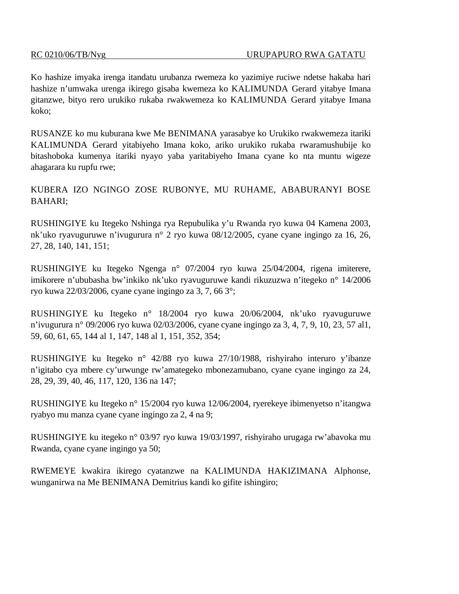Ko hashize imyaka irenga itandatu urubanza rwemeza ko yazimiye ruciwe ndetse hakaba hari hashize n'umwaka urenga ikirego gisaba kwemeza ko KALIMUNDA Gerard yitabye Imana gitanzwe, bityo rero urukiko rukaba rwakwemeza ko KALIMUNDA Gerard yitabye Imana koko;

RUSANZE ko mu kuburana kwe Me BENIMANA yarasabye ko Urukiko rwakwemeza itariki KALIMUNDA Gerard yitabiyeho Imana koko, ariko urukiko rukaba rwaramushubije ko bitashoboka kumenya itariki nyayo yaba yaritabiyeho Imana cyane ko nta muntu wigeze ahagarara ku rupfu rwe;

KUBERA IZO NGINGO ZOSE RUBONYE, MU RUHAME, ABABURANYI BOSE BAHARI;

RUSHINGIYE ku Itegeko Nshinga rya Repubulika y'u Rwanda ryo kuwa 04 Kamena 2003, nk'uko ryavuguruwe n'ivugurura n° 2 ryo kuwa 08/12/2005, cyane cyane ingingo za 16, 26, 27, 28, 140, 141, 151;

RUSHINGIYE ku Itegeko Ngenga n° 07/2004 ryo kuwa 25/04/2004, rigena imiterere, imikorere n'ububasha bw'inkiko nk'uko ryavuguruwe kandi rikuzuzwa n'itegeko n° 14/2006 ryo kuwa 22/03/2006, cyane cyane ingingo za 3, 7, 66 3°;

RUSHINGIYE ku Itegeko n° 18/2004 ryo kuwa 20/06/2004, nk'uko ryavuguruwe n'ivugurura n° 09/2006 ryo kuwa 02/03/2006, cyane cyane ingingo za 3, 4, 7, 9, 10, 23, 57 al1, 59, 60, 61, 65, 144 al 1, 147, 148 al 1, 151, 352, 354;

RUSHINGIYE ku Itegeko n° 42/88 ryo kuwa 27/10/1988, rishyiraho interuro y'ibanze n'igitabo cya mbere cy'urwunge rw'amategeko mbonezamubano, cyane cyane ingingo za 24, 28, 29, 39, 40, 46, 117, 120, 136 na 147;

RUSHINGIYE ku Itegeko n° 15/2004 ryo kuwa 12/06/2004, ryerekeye ibimenyetso n'itangwa ryabyo mu manza cyane cyane ingingo za 2, 4 na 9;

RUSHINGIYE ku itegeko n° 03/97 ryo kuwa 19/03/1997, rishyiraho urugaga rw'abavoka mu Rwanda, cyane cyane ingingo ya 50;

RWEMEYE kwakira ikirego cyatanzwe na KALIMUNDA HAKIZIMANA Alphonse, wunganirwa na Me BENIMANA Demitrius kandi ko gifite ishingiro;